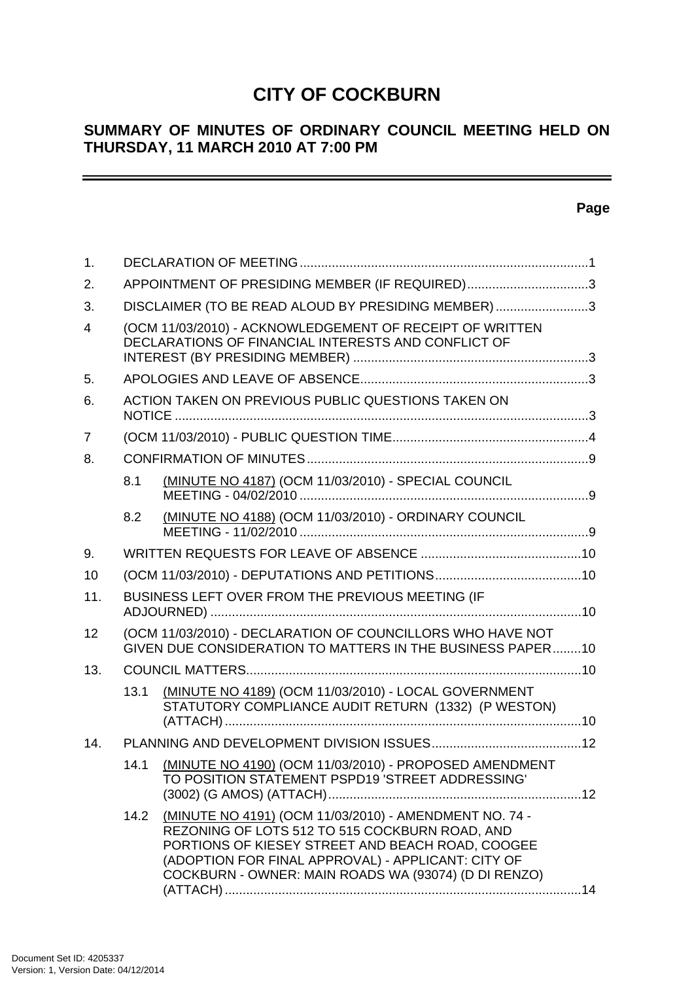# **CITY OF COCKBURN**

# **SUMMARY OF MINUTES OF ORDINARY COUNCIL MEETING HELD ON THURSDAY, 11 MARCH 2010 AT 7:00 PM**

# **Page**

| 1.  |                                                                                                                          |                                                                                                                                                                                                                                                                            |  |  |  |  |
|-----|--------------------------------------------------------------------------------------------------------------------------|----------------------------------------------------------------------------------------------------------------------------------------------------------------------------------------------------------------------------------------------------------------------------|--|--|--|--|
| 2.  | APPOINTMENT OF PRESIDING MEMBER (IF REQUIRED)3                                                                           |                                                                                                                                                                                                                                                                            |  |  |  |  |
| 3.  | DISCLAIMER (TO BE READ ALOUD BY PRESIDING MEMBER) 3                                                                      |                                                                                                                                                                                                                                                                            |  |  |  |  |
| 4   | (OCM 11/03/2010) - ACKNOWLEDGEMENT OF RECEIPT OF WRITTEN<br>DECLARATIONS OF FINANCIAL INTERESTS AND CONFLICT OF          |                                                                                                                                                                                                                                                                            |  |  |  |  |
| 5.  |                                                                                                                          |                                                                                                                                                                                                                                                                            |  |  |  |  |
| 6.  |                                                                                                                          | ACTION TAKEN ON PREVIOUS PUBLIC QUESTIONS TAKEN ON                                                                                                                                                                                                                         |  |  |  |  |
| 7   |                                                                                                                          |                                                                                                                                                                                                                                                                            |  |  |  |  |
| 8.  |                                                                                                                          |                                                                                                                                                                                                                                                                            |  |  |  |  |
|     | 8.1                                                                                                                      | (MINUTE NO 4187) (OCM 11/03/2010) - SPECIAL COUNCIL                                                                                                                                                                                                                        |  |  |  |  |
|     | 8.2                                                                                                                      | (MINUTE NO 4188) (OCM 11/03/2010) - ORDINARY COUNCIL                                                                                                                                                                                                                       |  |  |  |  |
| 9.  |                                                                                                                          |                                                                                                                                                                                                                                                                            |  |  |  |  |
| 10  |                                                                                                                          |                                                                                                                                                                                                                                                                            |  |  |  |  |
| 11. | BUSINESS LEFT OVER FROM THE PREVIOUS MEETING (IF                                                                         |                                                                                                                                                                                                                                                                            |  |  |  |  |
| 12  | (OCM 11/03/2010) - DECLARATION OF COUNCILLORS WHO HAVE NOT<br>GIVEN DUE CONSIDERATION TO MATTERS IN THE BUSINESS PAPER10 |                                                                                                                                                                                                                                                                            |  |  |  |  |
| 13. |                                                                                                                          |                                                                                                                                                                                                                                                                            |  |  |  |  |
|     | 13.1                                                                                                                     | (MINUTE NO 4189) (OCM 11/03/2010) - LOCAL GOVERNMENT<br>STATUTORY COMPLIANCE AUDIT RETURN (1332) (P WESTON)                                                                                                                                                                |  |  |  |  |
| 14. |                                                                                                                          |                                                                                                                                                                                                                                                                            |  |  |  |  |
|     | 14.1                                                                                                                     | (MINUTE NO 4190) (OCM 11/03/2010) - PROPOSED AMENDMENT<br>TO POSITION STATEMENT PSPD19 'STREET ADDRESSING'                                                                                                                                                                 |  |  |  |  |
|     | 14.2                                                                                                                     | (MINUTE NO 4191) (OCM 11/03/2010) - AMENDMENT NO. 74 -<br>REZONING OF LOTS 512 TO 515 COCKBURN ROAD, AND<br>PORTIONS OF KIESEY STREET AND BEACH ROAD, COOGEE<br>(ADOPTION FOR FINAL APPROVAL) - APPLICANT: CITY OF<br>COCKBURN - OWNER: MAIN ROADS WA (93074) (D DI RENZO) |  |  |  |  |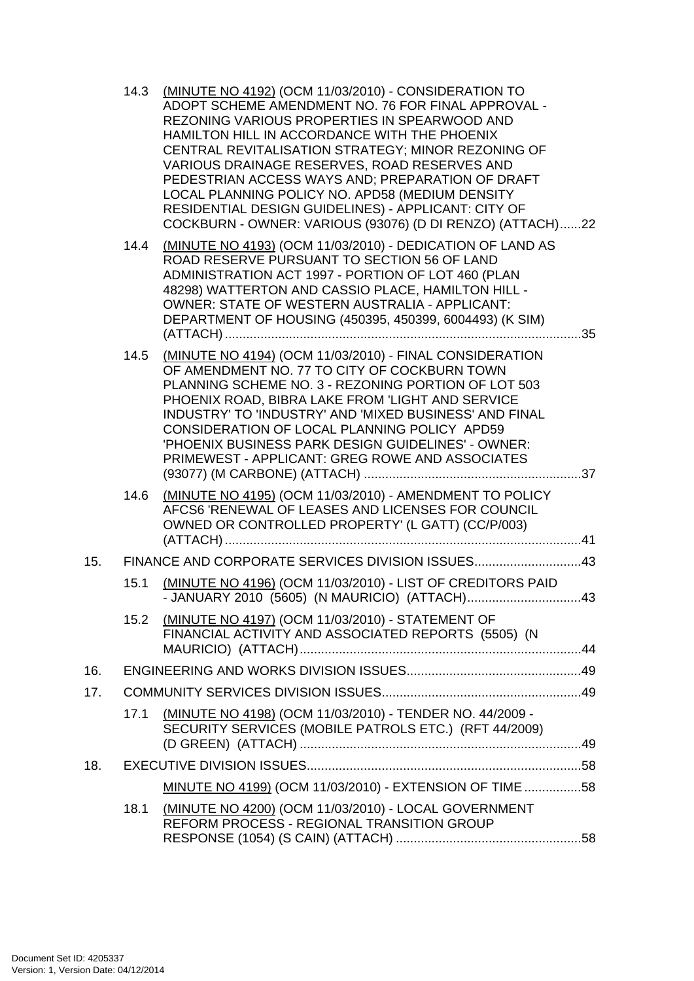|     | 14.3 | (MINUTE NO 4192) (OCM 11/03/2010) - CONSIDERATION TO<br>ADOPT SCHEME AMENDMENT NO. 76 FOR FINAL APPROVAL -<br>REZONING VARIOUS PROPERTIES IN SPEARWOOD AND<br>HAMILTON HILL IN ACCORDANCE WITH THE PHOENIX<br>CENTRAL REVITALISATION STRATEGY; MINOR REZONING OF<br>VARIOUS DRAINAGE RESERVES, ROAD RESERVES AND<br>PEDESTRIAN ACCESS WAYS AND; PREPARATION OF DRAFT<br>LOCAL PLANNING POLICY NO. APD58 (MEDIUM DENSITY<br>RESIDENTIAL DESIGN GUIDELINES) - APPLICANT: CITY OF<br>COCKBURN - OWNER: VARIOUS (93076) (D DI RENZO) (ATTACH)22 |    |
|-----|------|---------------------------------------------------------------------------------------------------------------------------------------------------------------------------------------------------------------------------------------------------------------------------------------------------------------------------------------------------------------------------------------------------------------------------------------------------------------------------------------------------------------------------------------------|----|
|     | 14.4 | (MINUTE NO 4193) (OCM 11/03/2010) - DEDICATION OF LAND AS<br>ROAD RESERVE PURSUANT TO SECTION 56 OF LAND<br>ADMINISTRATION ACT 1997 - PORTION OF LOT 460 (PLAN<br>48298) WATTERTON AND CASSIO PLACE, HAMILTON HILL -<br>OWNER: STATE OF WESTERN AUSTRALIA - APPLICANT:<br>DEPARTMENT OF HOUSING (450395, 450399, 6004493) (K SIM)                                                                                                                                                                                                           | 35 |
|     | 14.5 | (MINUTE NO 4194) (OCM 11/03/2010) - FINAL CONSIDERATION<br>OF AMENDMENT NO. 77 TO CITY OF COCKBURN TOWN<br>PLANNING SCHEME NO. 3 - REZONING PORTION OF LOT 503<br>PHOENIX ROAD, BIBRA LAKE FROM 'LIGHT AND SERVICE<br>INDUSTRY' TO 'INDUSTRY' AND 'MIXED BUSINESS' AND FINAL<br>CONSIDERATION OF LOCAL PLANNING POLICY APD59<br>'PHOENIX BUSINESS PARK DESIGN GUIDELINES' - OWNER:<br>PRIMEWEST - APPLICANT: GREG ROWE AND ASSOCIATES                                                                                                       |    |
|     | 14.6 | (MINUTE NO 4195) (OCM 11/03/2010) - AMENDMENT TO POLICY<br>AFCS6 'RENEWAL OF LEASES AND LICENSES FOR COUNCIL<br>OWNED OR CONTROLLED PROPERTY' (L GATT) (CC/P/003)                                                                                                                                                                                                                                                                                                                                                                           |    |
| 15. |      | FINANCE AND CORPORATE SERVICES DIVISION ISSUES43                                                                                                                                                                                                                                                                                                                                                                                                                                                                                            |    |
|     | 15.1 | (MINUTE NO 4196) (OCM 11/03/2010) - LIST OF CREDITORS PAID<br>- JANUARY 2010 (5605) (N MAURICIO) (ATTACH)                                                                                                                                                                                                                                                                                                                                                                                                                                   | 43 |
|     |      | 15.2 (MINUTE NO 4197) (OCM 11/03/2010) - STATEMENT OF<br>FINANCIAL ACTIVITY AND ASSOCIATED REPORTS (5505) (N                                                                                                                                                                                                                                                                                                                                                                                                                                |    |
| 16. |      |                                                                                                                                                                                                                                                                                                                                                                                                                                                                                                                                             |    |
| 17. |      |                                                                                                                                                                                                                                                                                                                                                                                                                                                                                                                                             |    |
|     | 17.1 | (MINUTE NO 4198) (OCM 11/03/2010) - TENDER NO. 44/2009 -<br>SECURITY SERVICES (MOBILE PATROLS ETC.) (RFT 44/2009)                                                                                                                                                                                                                                                                                                                                                                                                                           |    |
| 18. |      |                                                                                                                                                                                                                                                                                                                                                                                                                                                                                                                                             |    |
|     |      | MINUTE NO 4199) (OCM 11/03/2010) - EXTENSION OF TIME 58                                                                                                                                                                                                                                                                                                                                                                                                                                                                                     |    |
|     | 18.1 | (MINUTE NO 4200) (OCM 11/03/2010) - LOCAL GOVERNMENT<br>REFORM PROCESS - REGIONAL TRANSITION GROUP                                                                                                                                                                                                                                                                                                                                                                                                                                          |    |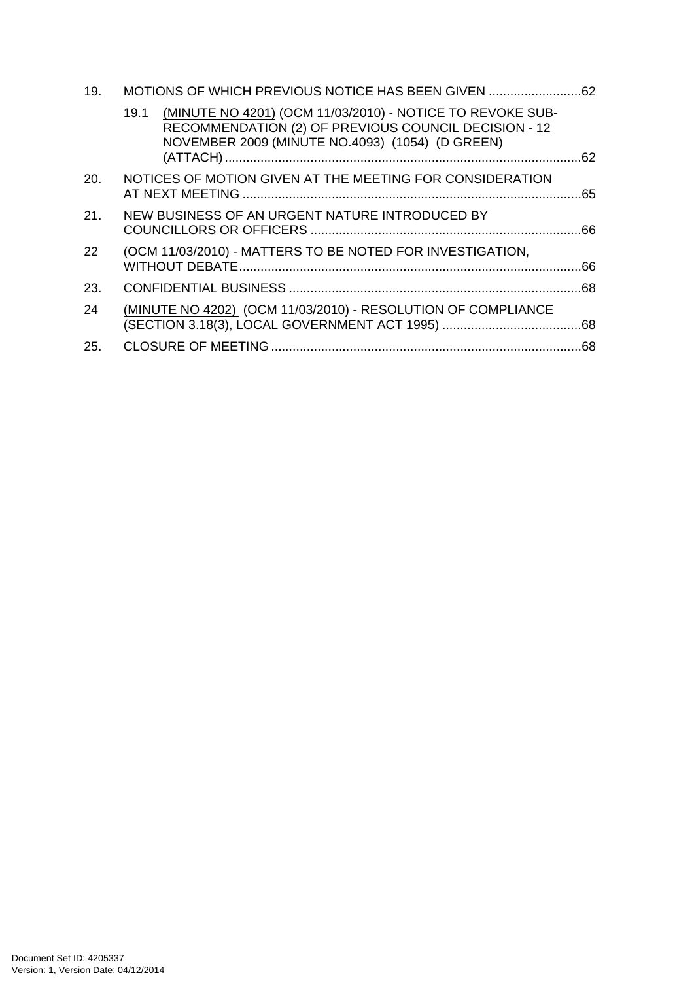| 19. |      |                                                                                                                                                                      |     |
|-----|------|----------------------------------------------------------------------------------------------------------------------------------------------------------------------|-----|
|     | 19.1 | (MINUTE NO 4201) (OCM 11/03/2010) - NOTICE TO REVOKE SUB-<br>RECOMMENDATION (2) OF PREVIOUS COUNCIL DECISION - 12<br>NOVEMBER 2009 (MINUTE NO.4093) (1054) (D GREEN) |     |
| 20. |      | NOTICES OF MOTION GIVEN AT THE MEETING FOR CONSIDERATION                                                                                                             | .65 |
| 21. |      | NEW BUSINESS OF AN URGENT NATURE INTRODUCED BY                                                                                                                       | .66 |
| 22  |      | (OCM 11/03/2010) - MATTERS TO BE NOTED FOR INVESTIGATION,                                                                                                            | .66 |
| 23. |      |                                                                                                                                                                      |     |
| 24  |      | (MINUTE NO 4202) (OCM 11/03/2010) - RESOLUTION OF COMPLIANCE                                                                                                         | .68 |
| 25. |      |                                                                                                                                                                      |     |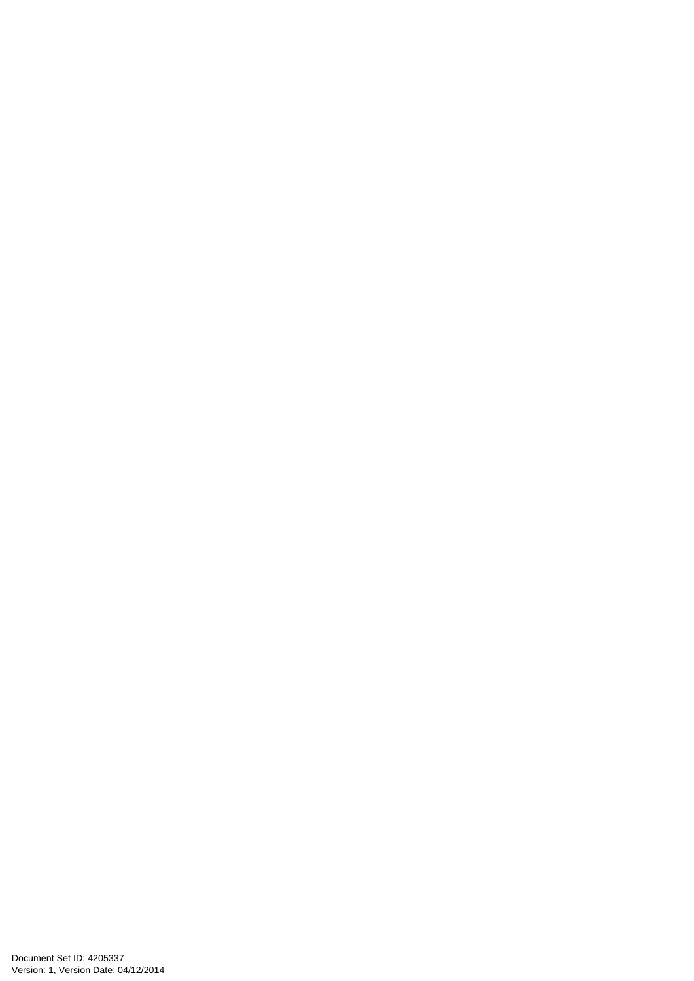Document Set ID: 4205337<br>Version: 1, Version Date: 04/12/2014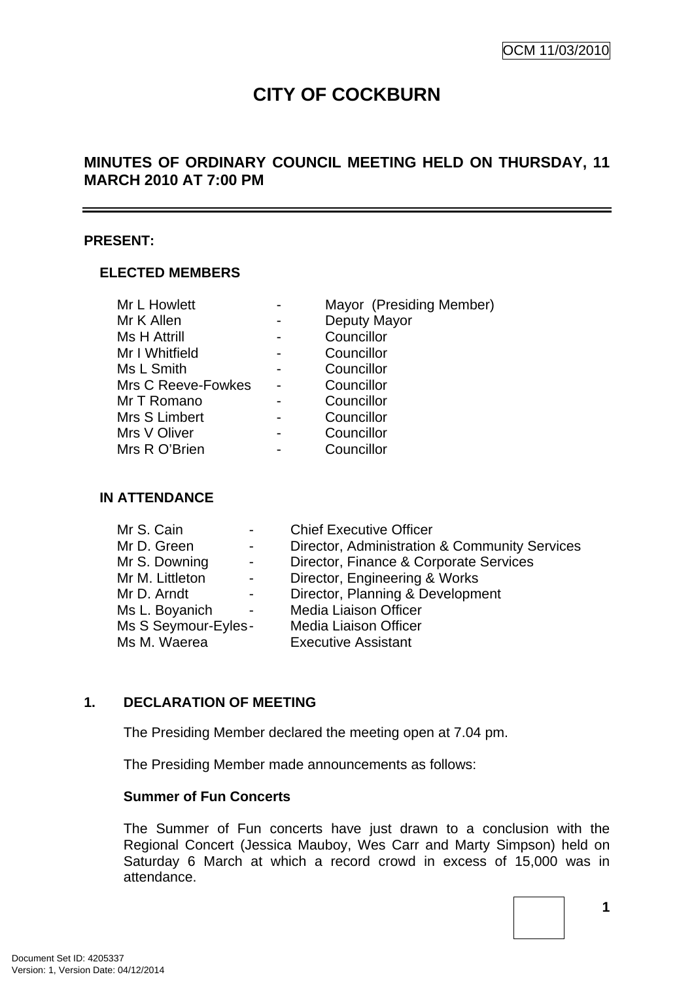# **CITY OF COCKBURN**

# <span id="page-4-0"></span>**MINUTES OF ORDINARY COUNCIL MEETING HELD ON THURSDAY, 11 MARCH 2010 AT 7:00 PM**

#### **PRESENT:**

#### **ELECTED MEMBERS**

| Mr L Howlett        | Mayor (Presiding Member) |
|---------------------|--------------------------|
| Mr K Allen          | Deputy Mayor             |
| <b>Ms H Attrill</b> | Councillor               |
| Mr I Whitfield      | Councillor               |
| Ms L Smith          | Councillor               |
| Mrs C Reeve-Fowkes  | Councillor               |
| Mr T Romano         | Councillor               |
| Mrs S Limbert       | Councillor               |
| Mrs V Oliver        | Councillor               |
| Mrs R O'Brien       | Councillor               |

### **IN ATTENDANCE**

| $\sim 100$           | <b>Chief Executive Officer</b>                |
|----------------------|-----------------------------------------------|
| $\sim 100$           | Director, Administration & Community Services |
| $\sim$               | Director, Finance & Corporate Services        |
| $\sim 100$           | Director, Engineering & Works                 |
| $\sim 100$ m $^{-1}$ | Director, Planning & Development              |
| $\sim 100$           | <b>Media Liaison Officer</b>                  |
| Ms S Seymour-Eyles-  | <b>Media Liaison Officer</b>                  |
|                      | <b>Executive Assistant</b>                    |
|                      |                                               |

#### **1. DECLARATION OF MEETING**

The Presiding Member declared the meeting open at 7.04 pm.

The Presiding Member made announcements as follows:

#### **Summer of Fun Concerts**

The Summer of Fun concerts have just drawn to a conclusion with the Regional Concert (Jessica Mauboy, Wes Carr and Marty Simpson) held on Saturday 6 March at which a record crowd in excess of 15,000 was in attendance.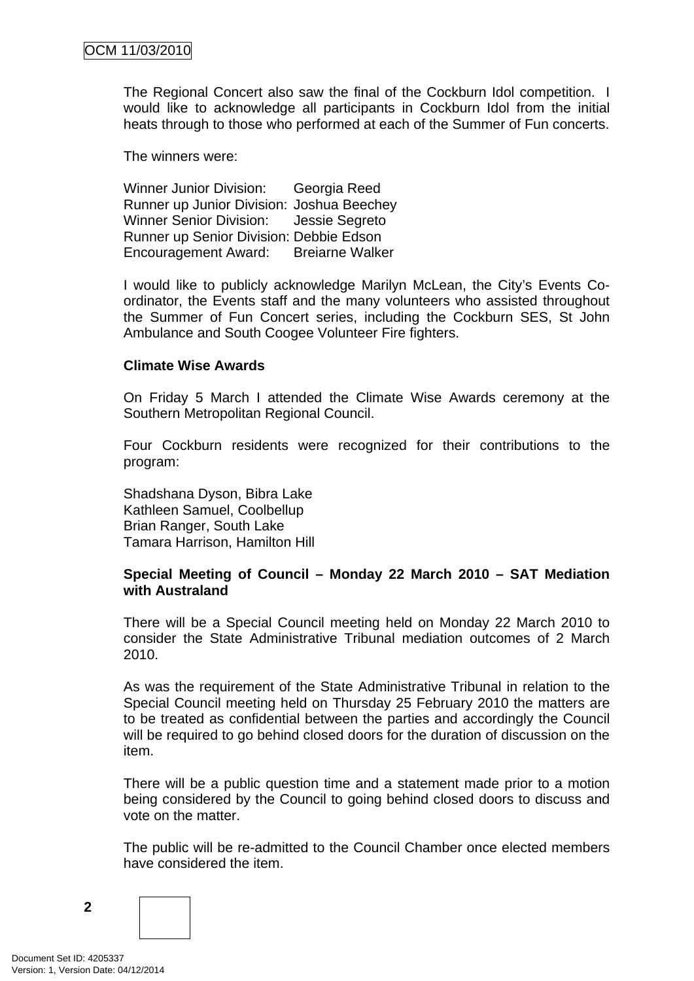The Regional Concert also saw the final of the Cockburn Idol competition. I would like to acknowledge all participants in Cockburn Idol from the initial heats through to those who performed at each of the Summer of Fun concerts.

The winners were:

Winner Junior Division: Georgia Reed Runner up Junior Division: Joshua Beechey Winner Senior Division: Jessie Segreto Runner up Senior Division: Debbie Edson Encouragement Award: Breiarne Walker

I would like to publicly acknowledge Marilyn McLean, the City's Events Coordinator, the Events staff and the many volunteers who assisted throughout the Summer of Fun Concert series, including the Cockburn SES, St John Ambulance and South Coogee Volunteer Fire fighters.

#### **Climate Wise Awards**

On Friday 5 March I attended the Climate Wise Awards ceremony at the Southern Metropolitan Regional Council.

Four Cockburn residents were recognized for their contributions to the program:

Shadshana Dyson, Bibra Lake Kathleen Samuel, Coolbellup Brian Ranger, South Lake Tamara Harrison, Hamilton Hill

#### **Special Meeting of Council – Monday 22 March 2010 – SAT Mediation with Australand**

There will be a Special Council meeting held on Monday 22 March 2010 to consider the State Administrative Tribunal mediation outcomes of 2 March 2010.

As was the requirement of the State Administrative Tribunal in relation to the Special Council meeting held on Thursday 25 February 2010 the matters are to be treated as confidential between the parties and accordingly the Council will be required to go behind closed doors for the duration of discussion on the item.

There will be a public question time and a statement made prior to a motion being considered by the Council to going behind closed doors to discuss and vote on the matter.

The public will be re-admitted to the Council Chamber once elected members have considered the item.

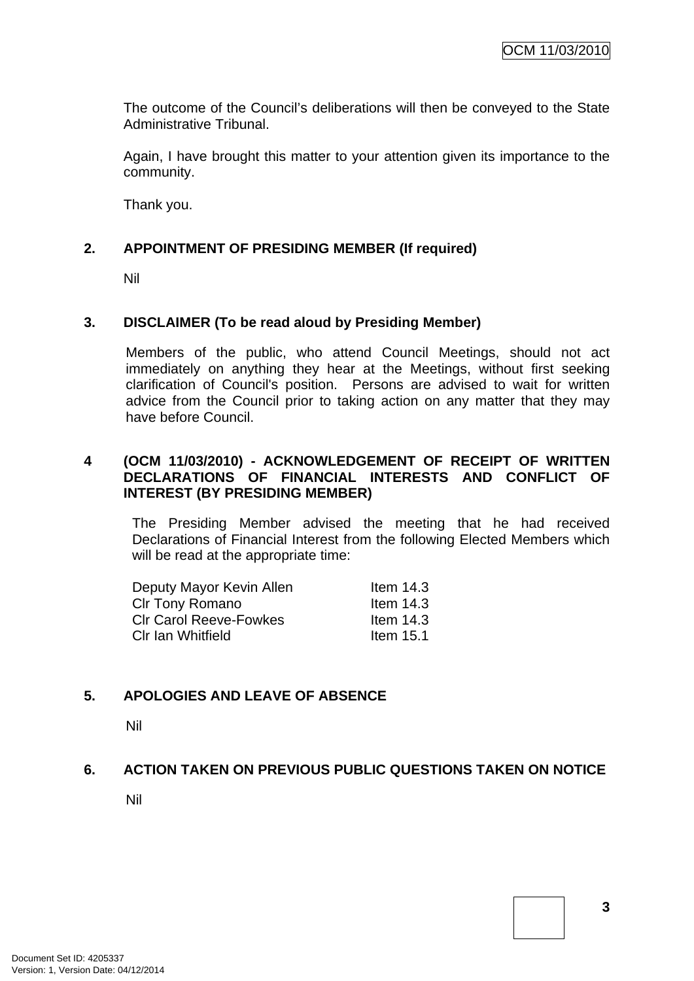<span id="page-6-0"></span>The outcome of the Council's deliberations will then be conveyed to the State Administrative Tribunal.

Again, I have brought this matter to your attention given its importance to the community.

Thank you.

#### **2. APPOINTMENT OF PRESIDING MEMBER (If required)**

Nil

#### **3. DISCLAIMER (To be read aloud by Presiding Member)**

Members of the public, who attend Council Meetings, should not act immediately on anything they hear at the Meetings, without first seeking clarification of Council's position. Persons are advised to wait for written advice from the Council prior to taking action on any matter that they may have before Council.

## **4 (OCM 11/03/2010) - ACKNOWLEDGEMENT OF RECEIPT OF WRITTEN DECLARATIONS OF FINANCIAL INTERESTS AND CONFLICT OF INTEREST (BY PRESIDING MEMBER)**

The Presiding Member advised the meeting that he had received Declarations of Financial Interest from the following Elected Members which will be read at the appropriate time:

| Deputy Mayor Kevin Allen | Item $14.3$ |
|--------------------------|-------------|
| Clr Tony Romano          | Item $14.3$ |
| CIr Carol Reeve-Fowkes   | Item $14.3$ |
| CIr Ian Whitfield        | Item $15.1$ |

#### **5. APOLOGIES AND LEAVE OF ABSENCE**

Nil

#### **6. ACTION TAKEN ON PREVIOUS PUBLIC QUESTIONS TAKEN ON NOTICE**

Nil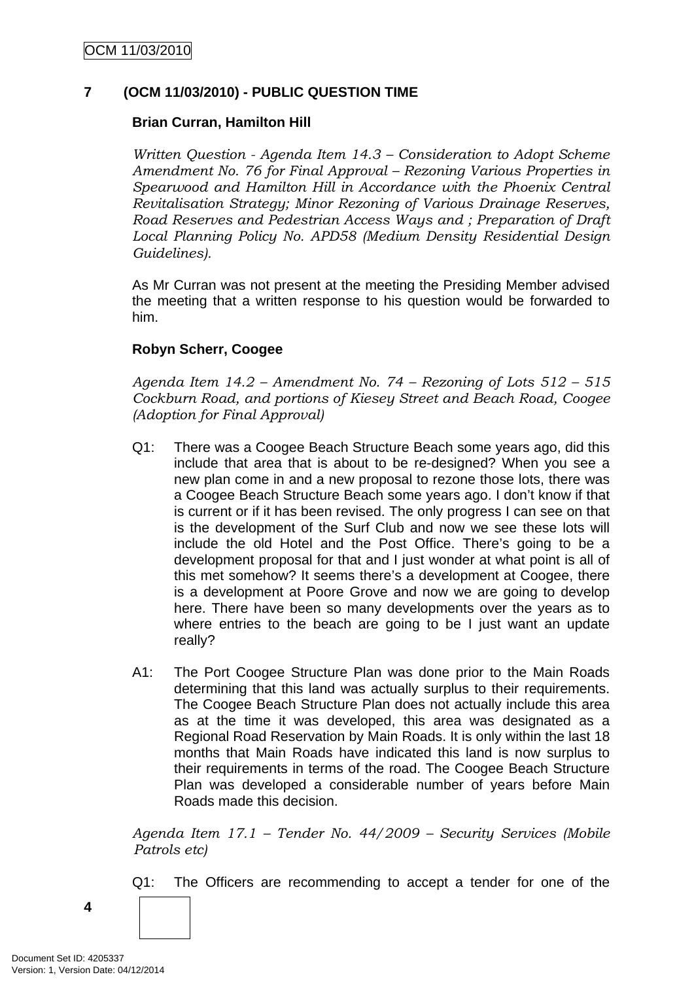## <span id="page-7-0"></span>**7 (OCM 11/03/2010) - PUBLIC QUESTION TIME**

#### **Brian Curran, Hamilton Hill**

*Written Question - Agenda Item 14.3 – Consideration to Adopt Scheme Amendment No. 76 for Final Approval – Rezoning Various Properties in Spearwood and Hamilton Hill in Accordance with the Phoenix Central Revitalisation Strategy; Minor Rezoning of Various Drainage Reserves, Road Reserves and Pedestrian Access Ways and ; Preparation of Draft Local Planning Policy No. APD58 (Medium Density Residential Design Guidelines).* 

As Mr Curran was not present at the meeting the Presiding Member advised the meeting that a written response to his question would be forwarded to him.

#### **Robyn Scherr, Coogee**

*Agenda Item 14.2 – Amendment No. 74 – Rezoning of Lots 512 – 515 Cockburn Road, and portions of Kiesey Street and Beach Road, Coogee (Adoption for Final Approval)* 

- Q1: There was a Coogee Beach Structure Beach some years ago, did this include that area that is about to be re-designed? When you see a new plan come in and a new proposal to rezone those lots, there was a Coogee Beach Structure Beach some years ago. I don't know if that is current or if it has been revised. The only progress I can see on that is the development of the Surf Club and now we see these lots will include the old Hotel and the Post Office. There's going to be a development proposal for that and I just wonder at what point is all of this met somehow? It seems there's a development at Coogee, there is a development at Poore Grove and now we are going to develop here. There have been so many developments over the years as to where entries to the beach are going to be I just want an update really?
- A1: The Port Coogee Structure Plan was done prior to the Main Roads determining that this land was actually surplus to their requirements. The Coogee Beach Structure Plan does not actually include this area as at the time it was developed, this area was designated as a Regional Road Reservation by Main Roads. It is only within the last 18 months that Main Roads have indicated this land is now surplus to their requirements in terms of the road. The Coogee Beach Structure Plan was developed a considerable number of years before Main Roads made this decision.

*Agenda Item 17.1 – Tender No. 44/2009 – Security Services (Mobile Patrols etc)* 

Q1: The Officers are recommending to accept a tender for one of the

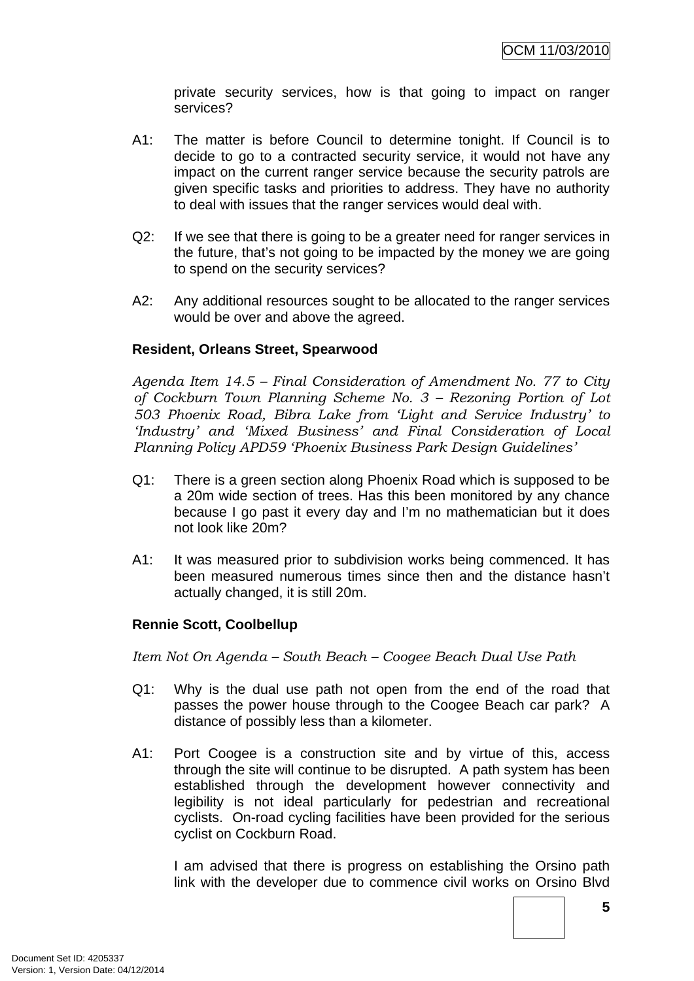private security services, how is that going to impact on ranger services?

- A1: The matter is before Council to determine tonight. If Council is to decide to go to a contracted security service, it would not have any impact on the current ranger service because the security patrols are given specific tasks and priorities to address. They have no authority to deal with issues that the ranger services would deal with.
- Q2: If we see that there is going to be a greater need for ranger services in the future, that's not going to be impacted by the money we are going to spend on the security services?
- A2: Any additional resources sought to be allocated to the ranger services would be over and above the agreed.

#### **Resident, Orleans Street, Spearwood**

*Agenda Item 14.5 – Final Consideration of Amendment No. 77 to City of Cockburn Town Planning Scheme No. 3 – Rezoning Portion of Lot 503 Phoenix Road, Bibra Lake from 'Light and Service Industry' to 'Industry' and 'Mixed Business' and Final Consideration of Local Planning Policy APD59 'Phoenix Business Park Design Guidelines'* 

- Q1: There is a green section along Phoenix Road which is supposed to be a 20m wide section of trees. Has this been monitored by any chance because I go past it every day and I'm no mathematician but it does not look like 20m?
- A1: It was measured prior to subdivision works being commenced. It has been measured numerous times since then and the distance hasn't actually changed, it is still 20m.

#### **Rennie Scott, Coolbellup**

*Item Not On Agenda – South Beach – Coogee Beach Dual Use Path* 

- Q1: Why is the dual use path not open from the end of the road that passes the power house through to the Coogee Beach car park? A distance of possibly less than a kilometer.
- A1: Port Coogee is a construction site and by virtue of this, access through the site will continue to be disrupted. A path system has been established through the development however connectivity and legibility is not ideal particularly for pedestrian and recreational cyclists. On-road cycling facilities have been provided for the serious cyclist on Cockburn Road.

I am advised that there is progress on establishing the Orsino path link with the developer due to commence civil works on Orsino Blvd

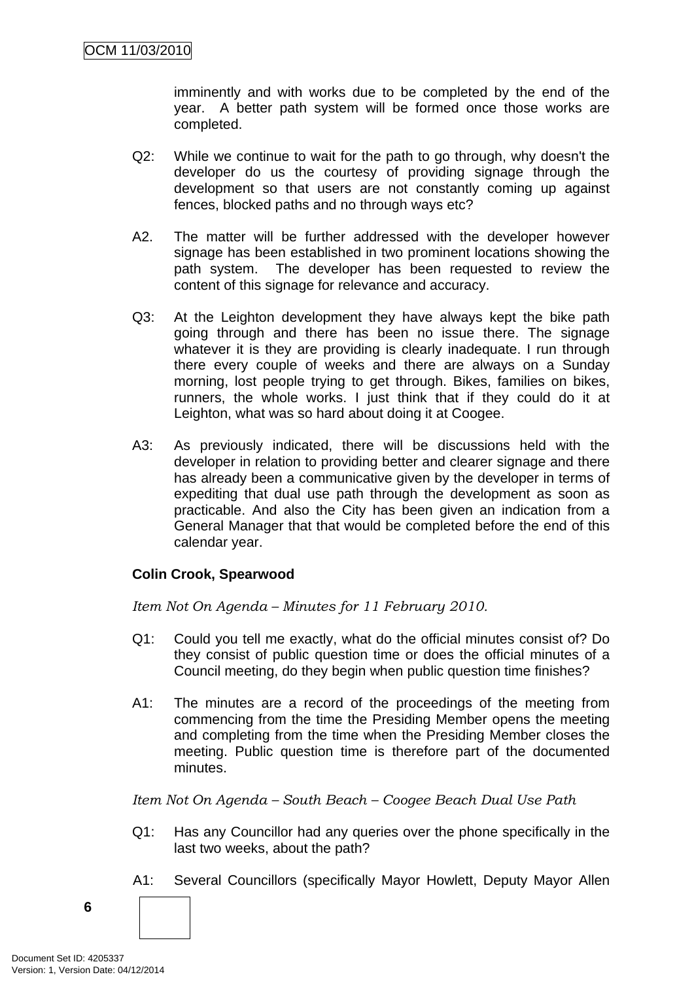imminently and with works due to be completed by the end of the year. A better path system will be formed once those works are completed.

- Q2: While we continue to wait for the path to go through, why doesn't the developer do us the courtesy of providing signage through the development so that users are not constantly coming up against fences, blocked paths and no through ways etc?
- A2. The matter will be further addressed with the developer however signage has been established in two prominent locations showing the path system. The developer has been requested to review the content of this signage for relevance and accuracy.
- Q3: At the Leighton development they have always kept the bike path going through and there has been no issue there. The signage whatever it is they are providing is clearly inadequate. I run through there every couple of weeks and there are always on a Sunday morning, lost people trying to get through. Bikes, families on bikes, runners, the whole works. I just think that if they could do it at Leighton, what was so hard about doing it at Coogee.
- A3: As previously indicated, there will be discussions held with the developer in relation to providing better and clearer signage and there has already been a communicative given by the developer in terms of expediting that dual use path through the development as soon as practicable. And also the City has been given an indication from a General Manager that that would be completed before the end of this calendar year.

## **Colin Crook, Spearwood**

*Item Not On Agenda – Minutes for 11 February 2010.* 

- Q1: Could you tell me exactly, what do the official minutes consist of? Do they consist of public question time or does the official minutes of a Council meeting, do they begin when public question time finishes?
- A1: The minutes are a record of the proceedings of the meeting from commencing from the time the Presiding Member opens the meeting and completing from the time when the Presiding Member closes the meeting. Public question time is therefore part of the documented minutes.

*Item Not On Agenda – South Beach – Coogee Beach Dual Use Path* 

- Q1: Has any Councillor had any queries over the phone specifically in the last two weeks, about the path?
- A1: Several Councillors (specifically Mayor Howlett, Deputy Mayor Allen

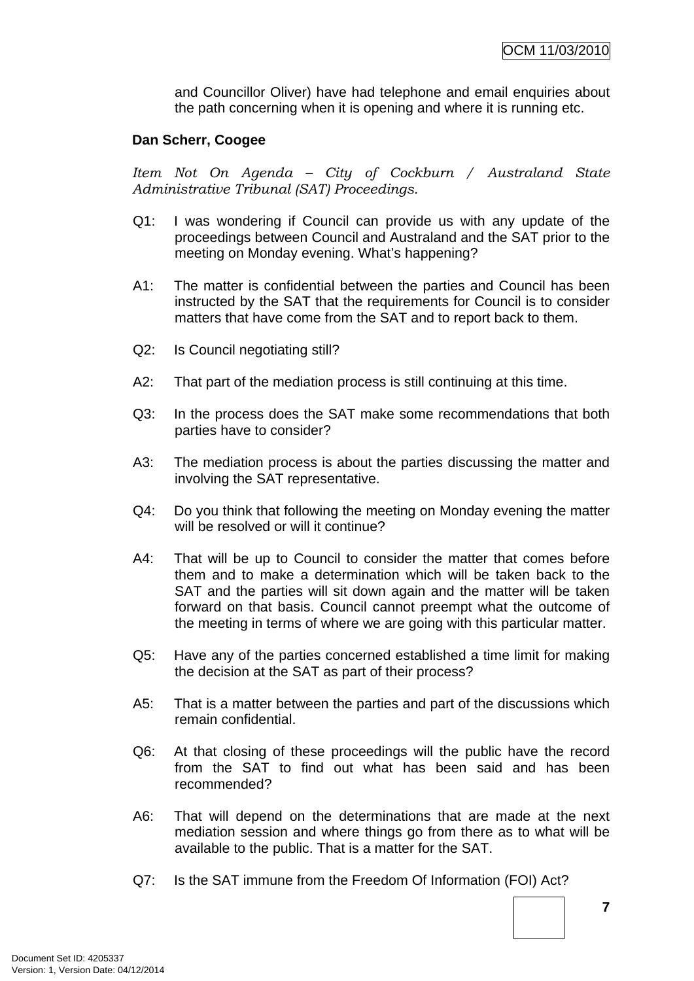and Councillor Oliver) have had telephone and email enquiries about the path concerning when it is opening and where it is running etc.

#### **Dan Scherr, Coogee**

*Item Not On Agenda – City of Cockburn / Australand State Administrative Tribunal (SAT) Proceedings.* 

- Q1: I was wondering if Council can provide us with any update of the proceedings between Council and Australand and the SAT prior to the meeting on Monday evening. What's happening?
- A1: The matter is confidential between the parties and Council has been instructed by the SAT that the requirements for Council is to consider matters that have come from the SAT and to report back to them.
- Q2: Is Council negotiating still?
- A2: That part of the mediation process is still continuing at this time.
- Q3: In the process does the SAT make some recommendations that both parties have to consider?
- A3: The mediation process is about the parties discussing the matter and involving the SAT representative.
- Q4: Do you think that following the meeting on Monday evening the matter will be resolved or will it continue?
- A4: That will be up to Council to consider the matter that comes before them and to make a determination which will be taken back to the SAT and the parties will sit down again and the matter will be taken forward on that basis. Council cannot preempt what the outcome of the meeting in terms of where we are going with this particular matter.
- Q5: Have any of the parties concerned established a time limit for making the decision at the SAT as part of their process?
- A5: That is a matter between the parties and part of the discussions which remain confidential.
- Q6: At that closing of these proceedings will the public have the record from the SAT to find out what has been said and has been recommended?
- A6: That will depend on the determinations that are made at the next mediation session and where things go from there as to what will be available to the public. That is a matter for the SAT.
- Q7: Is the SAT immune from the Freedom Of Information (FOI) Act?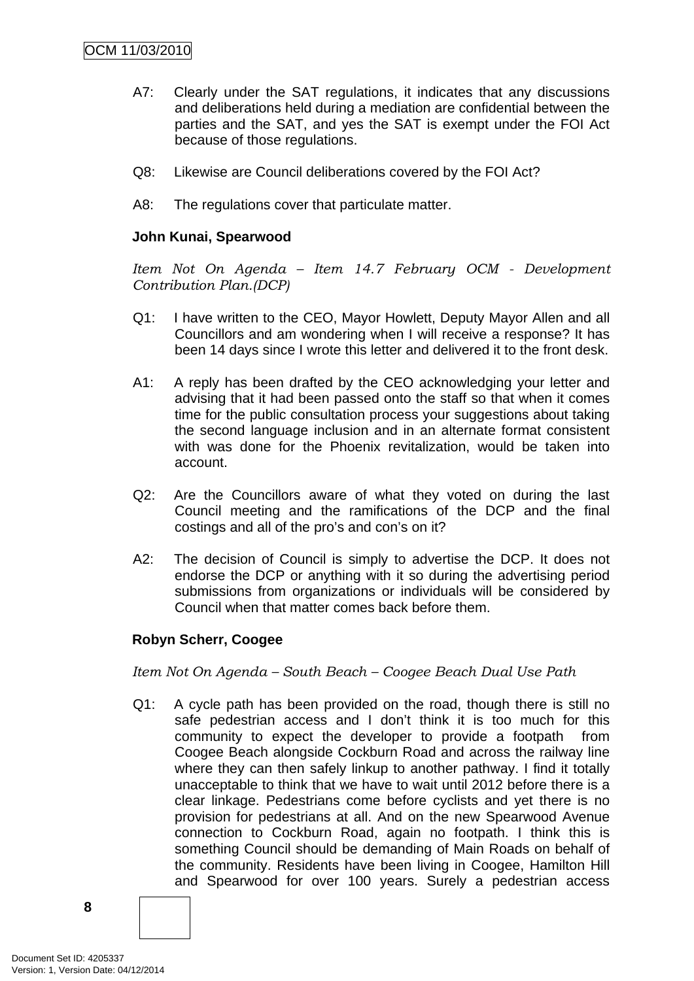- <span id="page-11-0"></span>A7: Clearly under the SAT regulations, it indicates that any discussions and deliberations held during a mediation are confidential between the parties and the SAT, and yes the SAT is exempt under the FOI Act because of those regulations.
- Q8: Likewise are Council deliberations covered by the FOI Act?
- A8: The regulations cover that particulate matter.

## **John Kunai, Spearwood**

*Item Not On Agenda – Item 14.7 February OCM - Development Contribution Plan.(DCP)* 

- Q1: I have written to the CEO, Mayor Howlett, Deputy Mayor Allen and all Councillors and am wondering when I will receive a response? It has been 14 days since I wrote this letter and delivered it to the front desk.
- A1: A reply has been drafted by the CEO acknowledging your letter and advising that it had been passed onto the staff so that when it comes time for the public consultation process your suggestions about taking the second language inclusion and in an alternate format consistent with was done for the Phoenix revitalization, would be taken into account.
- Q2: Are the Councillors aware of what they voted on during the last Council meeting and the ramifications of the DCP and the final costings and all of the pro's and con's on it?
- A2: The decision of Council is simply to advertise the DCP. It does not endorse the DCP or anything with it so during the advertising period submissions from organizations or individuals will be considered by Council when that matter comes back before them.

#### **Robyn Scherr, Coogee**

*Item Not On Agenda – South Beach – Coogee Beach Dual Use Path* 

Q1: A cycle path has been provided on the road, though there is still no safe pedestrian access and I don't think it is too much for this community to expect the developer to provide a footpath from Coogee Beach alongside Cockburn Road and across the railway line where they can then safely linkup to another pathway. I find it totally unacceptable to think that we have to wait until 2012 before there is a clear linkage. Pedestrians come before cyclists and yet there is no provision for pedestrians at all. And on the new Spearwood Avenue connection to Cockburn Road, again no footpath. I think this is something Council should be demanding of Main Roads on behalf of the community. Residents have been living in Coogee, Hamilton Hill and Spearwood for over 100 years. Surely a pedestrian access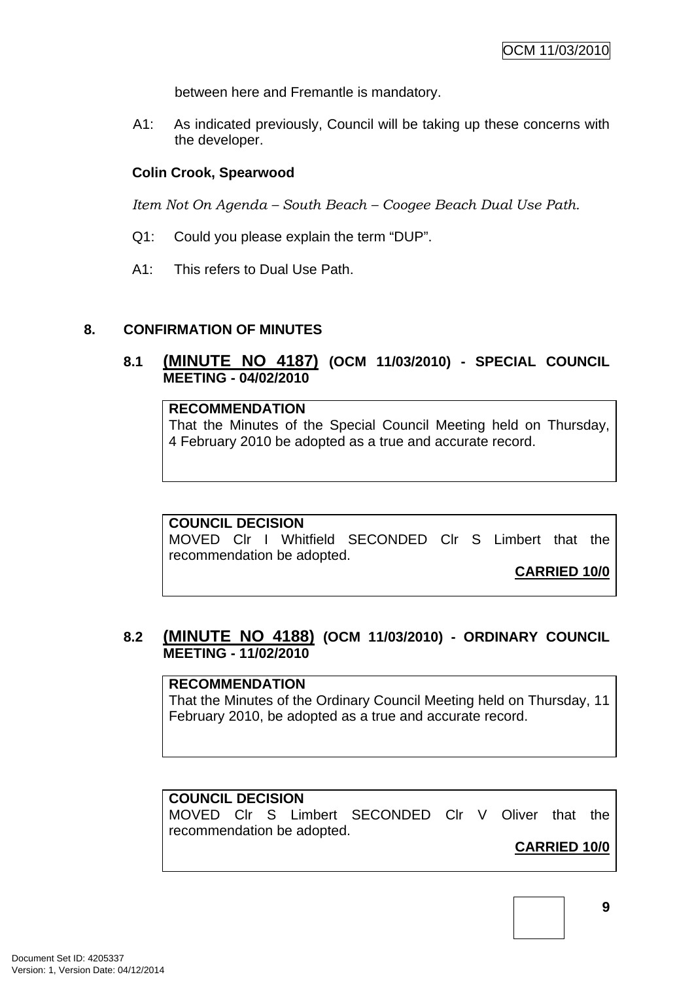between here and Fremantle is mandatory.

A1: As indicated previously, Council will be taking up these concerns with the developer.

## **Colin Crook, Spearwood**

*Item Not On Agenda – South Beach – Coogee Beach Dual Use Path.* 

- Q1: Could you please explain the term "DUP".
- A1: This refers to Dual Use Path.

## **8. CONFIRMATION OF MINUTES**

### **8.1 (MINUTE NO 4187) (OCM 11/03/2010) - SPECIAL COUNCIL MEETING - 04/02/2010**

## **RECOMMENDATION**

That the Minutes of the Special Council Meeting held on Thursday, 4 February 2010 be adopted as a true and accurate record.

#### **COUNCIL DECISION**

MOVED Clr I Whitfield SECONDED Clr S Limbert that the recommendation be adopted.

**CARRIED 10/0**

# **8.2 (MINUTE NO 4188) (OCM 11/03/2010) - ORDINARY COUNCIL MEETING - 11/02/2010**

#### **RECOMMENDATION**

That the Minutes of the Ordinary Council Meeting held on Thursday, 11 February 2010, be adopted as a true and accurate record.

## **COUNCIL DECISION**

MOVED Clr S Limbert SECONDED Clr V Oliver that the recommendation be adopted.

## **CARRIED 10/0**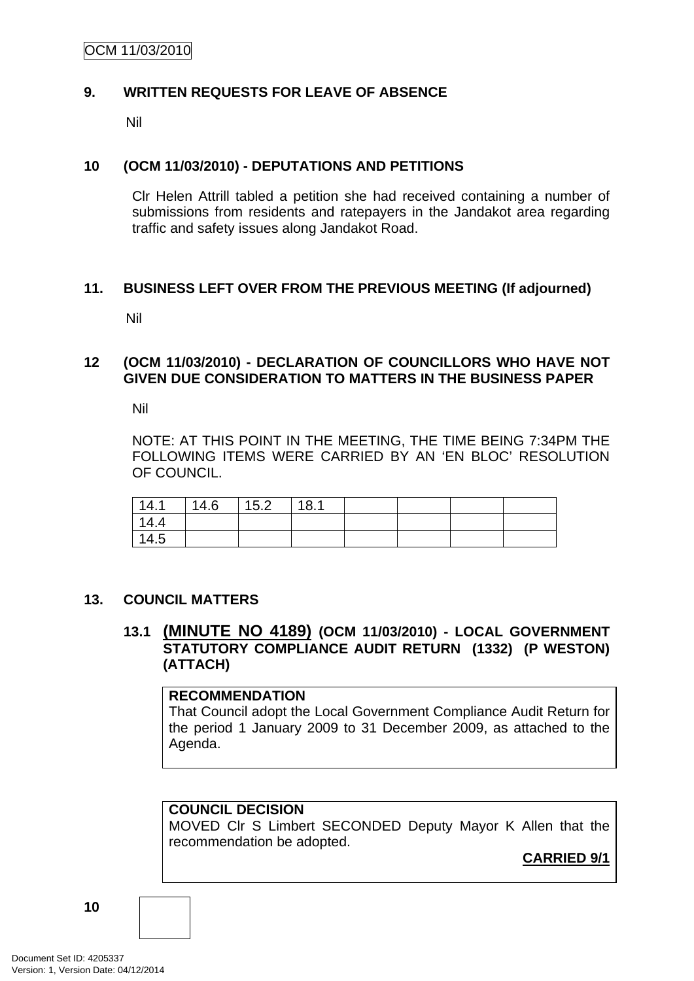## <span id="page-13-0"></span>**9. WRITTEN REQUESTS FOR LEAVE OF ABSENCE**

Nil

#### **10 (OCM 11/03/2010) - DEPUTATIONS AND PETITIONS**

Clr Helen Attrill tabled a petition she had received containing a number of submissions from residents and ratepayers in the Jandakot area regarding traffic and safety issues along Jandakot Road.

#### **11. BUSINESS LEFT OVER FROM THE PREVIOUS MEETING (If adjourned)**

Nil

#### **12 (OCM 11/03/2010) - DECLARATION OF COUNCILLORS WHO HAVE NOT GIVEN DUE CONSIDERATION TO MATTERS IN THE BUSINESS PAPER**

Nil

NOTE: AT THIS POINT IN THE MEETING, THE TIME BEING 7:34PM THE FOLLOWING ITEMS WERE CARRIED BY AN 'EN BLOC' RESOLUTION OF COUNCIL.

| $14.1$   14.6 | $15.2$   18.1 |  |  |  |
|---------------|---------------|--|--|--|
| 14.4          |               |  |  |  |
| 14.5          |               |  |  |  |

#### **13. COUNCIL MATTERS**

## **13.1 (MINUTE NO 4189) (OCM 11/03/2010) - LOCAL GOVERNMENT STATUTORY COMPLIANCE AUDIT RETURN (1332) (P WESTON) (ATTACH)**

#### **RECOMMENDATION**

That Council adopt the Local Government Compliance Audit Return for the period 1 January 2009 to 31 December 2009, as attached to the Agenda.

# **COUNCIL DECISION**

MOVED Clr S Limbert SECONDED Deputy Mayor K Allen that the recommendation be adopted.

**CARRIED 9/1**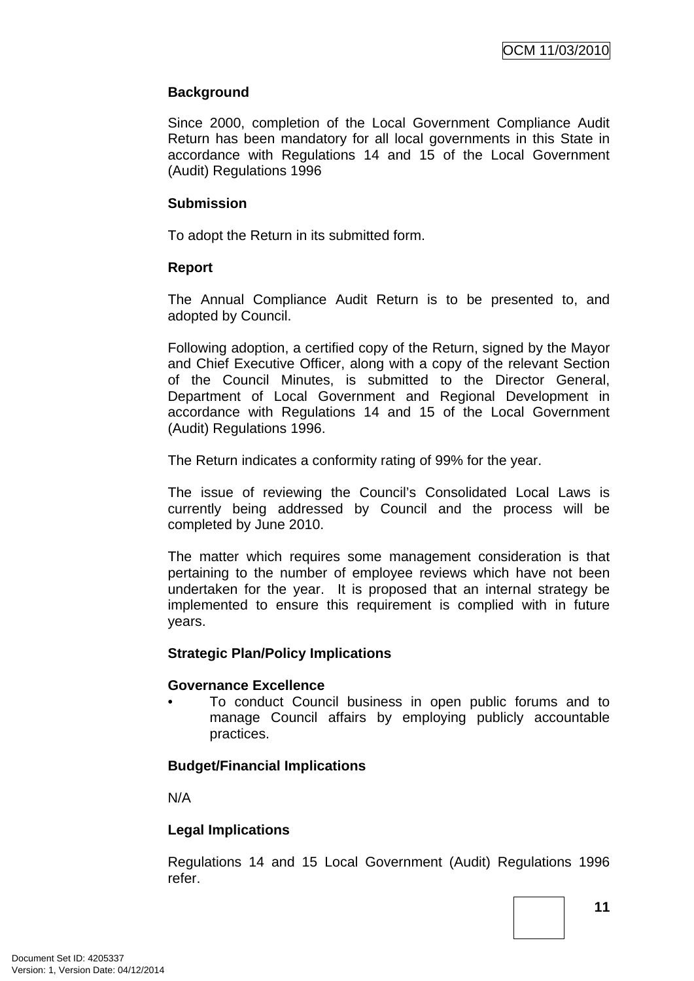## **Background**

Since 2000, completion of the Local Government Compliance Audit Return has been mandatory for all local governments in this State in accordance with Regulations 14 and 15 of the Local Government (Audit) Regulations 1996

#### **Submission**

To adopt the Return in its submitted form.

#### **Report**

The Annual Compliance Audit Return is to be presented to, and adopted by Council.

Following adoption, a certified copy of the Return, signed by the Mayor and Chief Executive Officer, along with a copy of the relevant Section of the Council Minutes, is submitted to the Director General, Department of Local Government and Regional Development in accordance with Regulations 14 and 15 of the Local Government (Audit) Regulations 1996.

The Return indicates a conformity rating of 99% for the year.

The issue of reviewing the Council's Consolidated Local Laws is currently being addressed by Council and the process will be completed by June 2010.

The matter which requires some management consideration is that pertaining to the number of employee reviews which have not been undertaken for the year. It is proposed that an internal strategy be implemented to ensure this requirement is complied with in future years.

#### **Strategic Plan/Policy Implications**

#### **Governance Excellence**

• To conduct Council business in open public forums and to manage Council affairs by employing publicly accountable practices.

#### **Budget/Financial Implications**

N/A

#### **Legal Implications**

Regulations 14 and 15 Local Government (Audit) Regulations 1996 refer.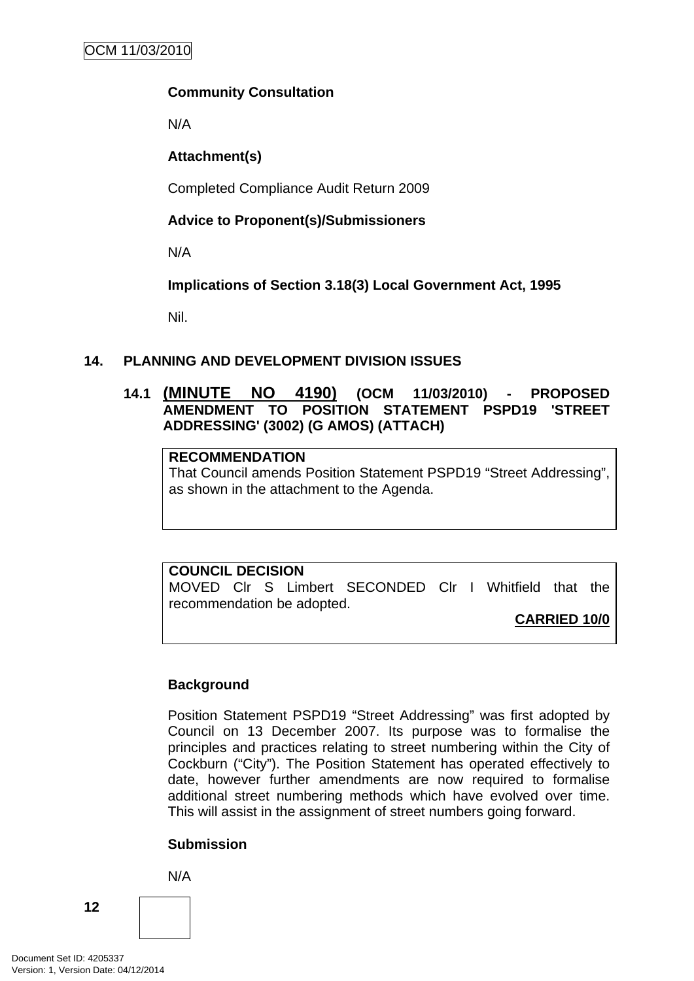## <span id="page-15-0"></span>**Community Consultation**

N/A

## **Attachment(s)**

Completed Compliance Audit Return 2009

## **Advice to Proponent(s)/Submissioners**

N/A

**Implications of Section 3.18(3) Local Government Act, 1995**

Nil.

## **14. PLANNING AND DEVELOPMENT DIVISION ISSUES**

## **14.1 (MINUTE NO 4190) (OCM 11/03/2010) - PROPOSED AMENDMENT TO POSITION STATEMENT PSPD19 'STREET ADDRESSING' (3002) (G AMOS) (ATTACH)**

## **RECOMMENDATION**

That Council amends Position Statement PSPD19 "Street Addressing", as shown in the attachment to the Agenda.

**COUNCIL DECISION**  MOVED Clr S Limbert SECONDED Clr I Whitfield that the recommendation be adopted.

**CARRIED 10/0**

## **Background**

Position Statement PSPD19 "Street Addressing" was first adopted by Council on 13 December 2007. Its purpose was to formalise the principles and practices relating to street numbering within the City of Cockburn ("City"). The Position Statement has operated effectively to date, however further amendments are now required to formalise additional street numbering methods which have evolved over time. This will assist in the assignment of street numbers going forward.

#### **Submission**

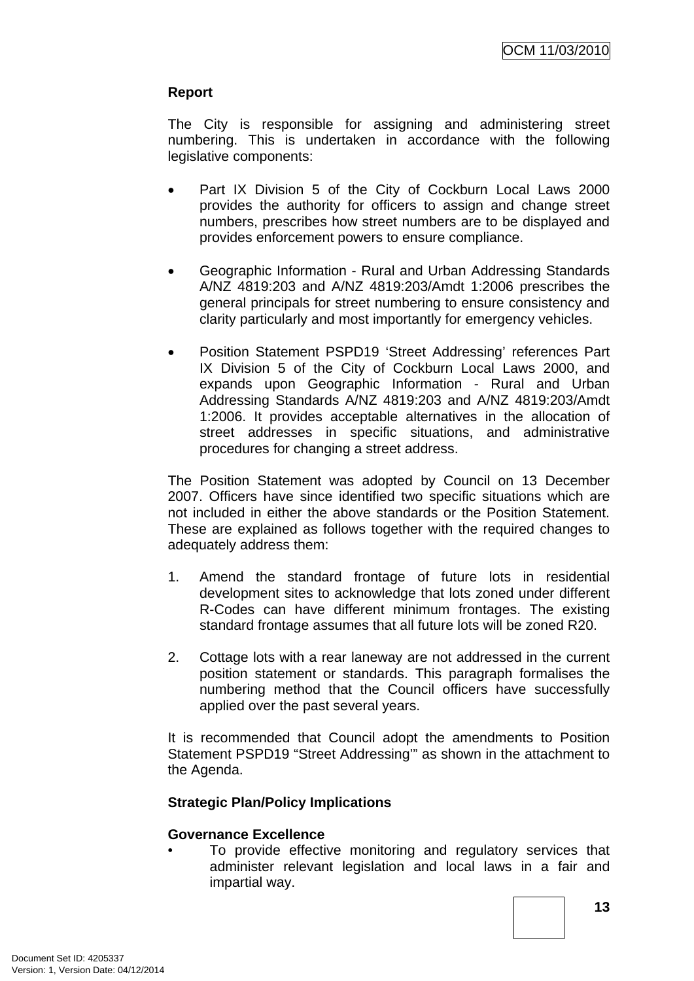## **Report**

The City is responsible for assigning and administering street numbering. This is undertaken in accordance with the following legislative components:

- Part IX Division 5 of the City of Cockburn Local Laws 2000 provides the authority for officers to assign and change street numbers, prescribes how street numbers are to be displayed and provides enforcement powers to ensure compliance.
- Geographic Information Rural and Urban Addressing Standards A/NZ 4819:203 and A/NZ 4819:203/Amdt 1:2006 prescribes the general principals for street numbering to ensure consistency and clarity particularly and most importantly for emergency vehicles.
- Position Statement PSPD19 'Street Addressing' references Part IX Division 5 of the City of Cockburn Local Laws 2000, and expands upon Geographic Information - Rural and Urban Addressing Standards A/NZ 4819:203 and A/NZ 4819:203/Amdt 1:2006. It provides acceptable alternatives in the allocation of street addresses in specific situations, and administrative procedures for changing a street address.

The Position Statement was adopted by Council on 13 December 2007. Officers have since identified two specific situations which are not included in either the above standards or the Position Statement. These are explained as follows together with the required changes to adequately address them:

- 1. Amend the standard frontage of future lots in residential development sites to acknowledge that lots zoned under different R-Codes can have different minimum frontages. The existing standard frontage assumes that all future lots will be zoned R20.
- 2. Cottage lots with a rear laneway are not addressed in the current position statement or standards. This paragraph formalises the numbering method that the Council officers have successfully applied over the past several years.

It is recommended that Council adopt the amendments to Position Statement PSPD19 "Street Addressing'" as shown in the attachment to the Agenda.

## **Strategic Plan/Policy Implications**

#### **Governance Excellence**

To provide effective monitoring and regulatory services that administer relevant legislation and local laws in a fair and impartial way.

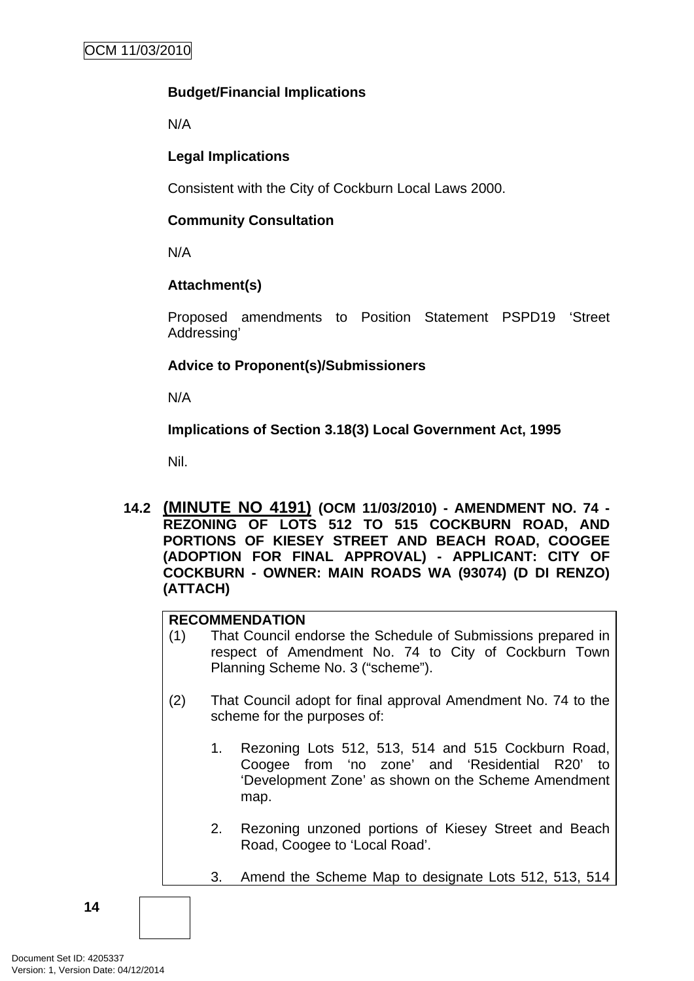# <span id="page-17-0"></span>**Budget/Financial Implications**

N/A

# **Legal Implications**

Consistent with the City of Cockburn Local Laws 2000.

# **Community Consultation**

N/A

# **Attachment(s)**

Proposed amendments to Position Statement PSPD19 'Street Addressing'

# **Advice to Proponent(s)/Submissioners**

N/A

**Implications of Section 3.18(3) Local Government Act, 1995**

Nil.

**14.2 (MINUTE NO 4191) (OCM 11/03/2010) - AMENDMENT NO. 74 - REZONING OF LOTS 512 TO 515 COCKBURN ROAD, AND PORTIONS OF KIESEY STREET AND BEACH ROAD, COOGEE (ADOPTION FOR FINAL APPROVAL) - APPLICANT: CITY OF COCKBURN - OWNER: MAIN ROADS WA (93074) (D DI RENZO) (ATTACH)** 

# **RECOMMENDATION**

- (1) That Council endorse the Schedule of Submissions prepared in respect of Amendment No. 74 to City of Cockburn Town Planning Scheme No. 3 ("scheme").
- (2) That Council adopt for final approval Amendment No. 74 to the scheme for the purposes of:
	- 1. Rezoning Lots 512, 513, 514 and 515 Cockburn Road, Coogee from 'no zone' and 'Residential R20' to 'Development Zone' as shown on the Scheme Amendment map.
	- 2. Rezoning unzoned portions of Kiesey Street and Beach Road, Coogee to 'Local Road'.
	- 3. Amend the Scheme Map to designate Lots 512, 513, 514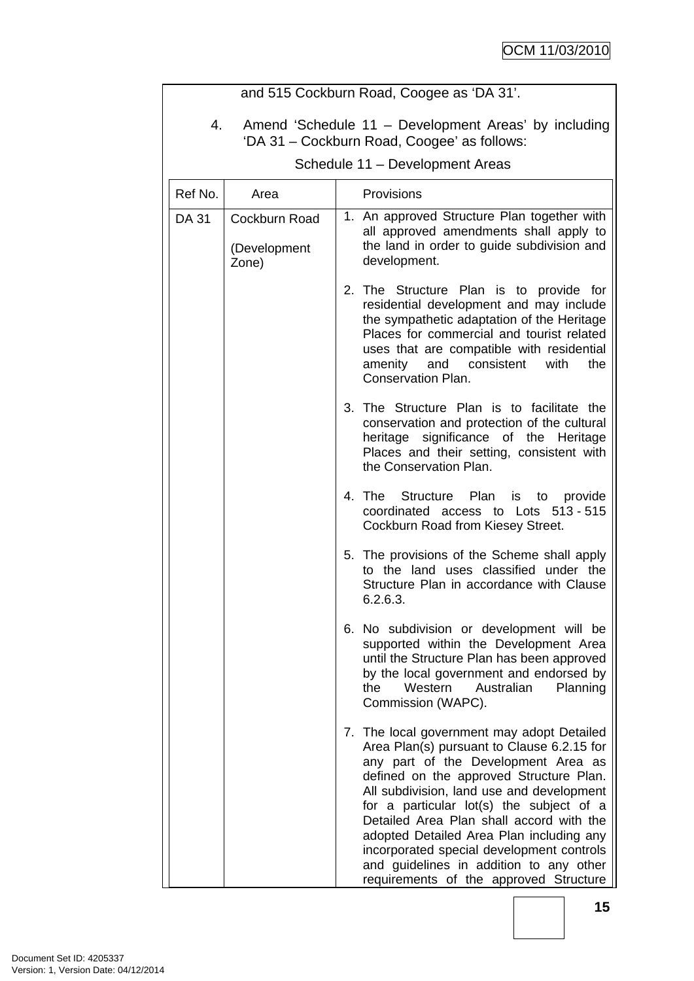| and 515 Cockburn Road, Coogee as 'DA 31'. |                                                                                                           |  |                                                                                                                                                                                                                                                                                                                                                                                                                                                                                               |  |  |
|-------------------------------------------|-----------------------------------------------------------------------------------------------------------|--|-----------------------------------------------------------------------------------------------------------------------------------------------------------------------------------------------------------------------------------------------------------------------------------------------------------------------------------------------------------------------------------------------------------------------------------------------------------------------------------------------|--|--|
|                                           | Amend 'Schedule 11 - Development Areas' by including<br>4.<br>'DA 31 - Cockburn Road, Coogee' as follows: |  |                                                                                                                                                                                                                                                                                                                                                                                                                                                                                               |  |  |
|                                           | Schedule 11 - Development Areas                                                                           |  |                                                                                                                                                                                                                                                                                                                                                                                                                                                                                               |  |  |
| Ref No.                                   | Area                                                                                                      |  | Provisions                                                                                                                                                                                                                                                                                                                                                                                                                                                                                    |  |  |
| <b>DA 31</b>                              | Cockburn Road<br>(Development<br>Zone)                                                                    |  | 1. An approved Structure Plan together with<br>all approved amendments shall apply to<br>the land in order to guide subdivision and<br>development.                                                                                                                                                                                                                                                                                                                                           |  |  |
|                                           |                                                                                                           |  | 2. The Structure Plan is to provide for<br>residential development and may include<br>the sympathetic adaptation of the Heritage<br>Places for commercial and tourist related<br>uses that are compatible with residential<br>and consistent<br>with<br>the<br>amenity<br>Conservation Plan.                                                                                                                                                                                                  |  |  |
|                                           |                                                                                                           |  | 3. The Structure Plan is to facilitate the<br>conservation and protection of the cultural<br>heritage significance of the Heritage<br>Places and their setting, consistent with<br>the Conservation Plan.                                                                                                                                                                                                                                                                                     |  |  |
|                                           |                                                                                                           |  | 4. The<br>Structure<br>Plan<br>is to provide<br>coordinated access to Lots 513 - 515<br>Cockburn Road from Kiesey Street.                                                                                                                                                                                                                                                                                                                                                                     |  |  |
|                                           |                                                                                                           |  | 5. The provisions of the Scheme shall apply<br>to the land uses classified under the<br>Structure Plan in accordance with Clause<br>6.2.6.3.                                                                                                                                                                                                                                                                                                                                                  |  |  |
|                                           |                                                                                                           |  | 6. No subdivision or development will be<br>supported within the Development Area<br>until the Structure Plan has been approved<br>by the local government and endorsed by<br>the<br>Western<br>Australian<br>Planning<br>Commission (WAPC).                                                                                                                                                                                                                                                  |  |  |
|                                           |                                                                                                           |  | 7. The local government may adopt Detailed<br>Area Plan(s) pursuant to Clause 6.2.15 for<br>any part of the Development Area as<br>defined on the approved Structure Plan.<br>All subdivision, land use and development<br>for a particular lot(s) the subject of a<br>Detailed Area Plan shall accord with the<br>adopted Detailed Area Plan including any<br>incorporated special development controls<br>and guidelines in addition to any other<br>requirements of the approved Structure |  |  |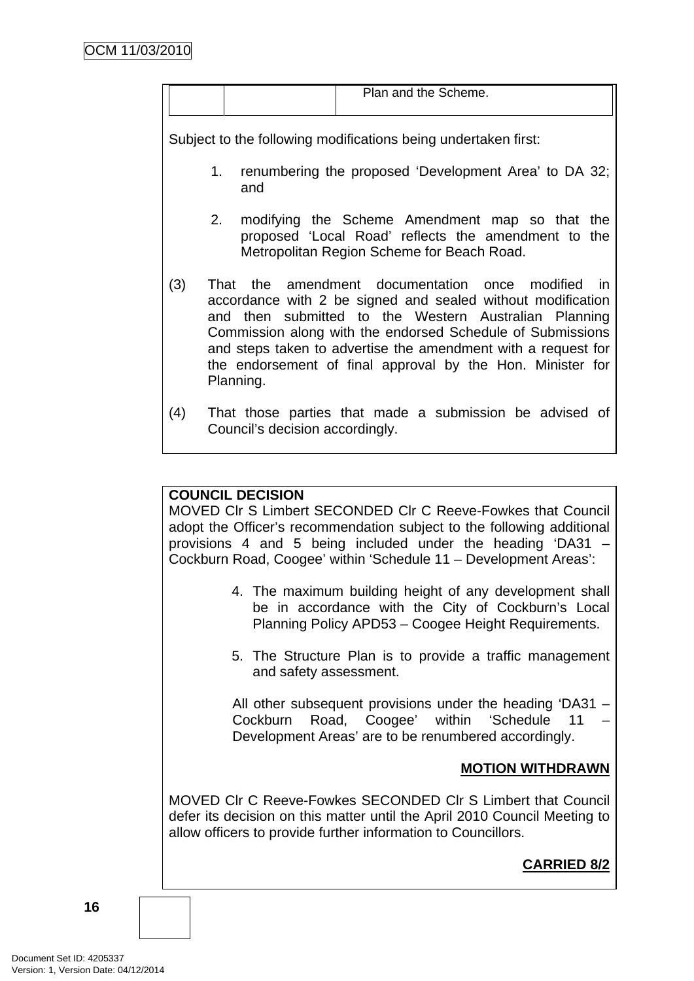|  | Plan and the Scheme. |  |
|--|----------------------|--|
|  |                      |  |

Subject to the following modifications being undertaken first:

- 1. renumbering the proposed 'Development Area' to DA 32; and
- 2. modifying the Scheme Amendment map so that the proposed 'Local Road' reflects the amendment to the Metropolitan Region Scheme for Beach Road.
- (3) That the amendment documentation once modified in accordance with 2 be signed and sealed without modification and then submitted to the Western Australian Planning Commission along with the endorsed Schedule of Submissions and steps taken to advertise the amendment with a request for the endorsement of final approval by the Hon. Minister for Planning.
- (4) That those parties that made a submission be advised of Council's decision accordingly.

# **COUNCIL DECISION**

MOVED Clr S Limbert SECONDED Clr C Reeve-Fowkes that Council adopt the Officer's recommendation subject to the following additional provisions 4 and 5 being included under the heading 'DA31 – Cockburn Road, Coogee' within 'Schedule 11 – Development Areas':

- 4. The maximum building height of any development shall be in accordance with the City of Cockburn's Local Planning Policy APD53 – Coogee Height Requirements.
- 5. The Structure Plan is to provide a traffic management and safety assessment.

 All other subsequent provisions under the heading 'DA31 – Cockburn Road, Coogee' within 'Schedule 11 – Development Areas' are to be renumbered accordingly.

## **MOTION WITHDRAWN**

MOVED Clr C Reeve-Fowkes SECONDED Clr S Limbert that Council defer its decision on this matter until the April 2010 Council Meeting to allow officers to provide further information to Councillors.

## **CARRIED 8/2**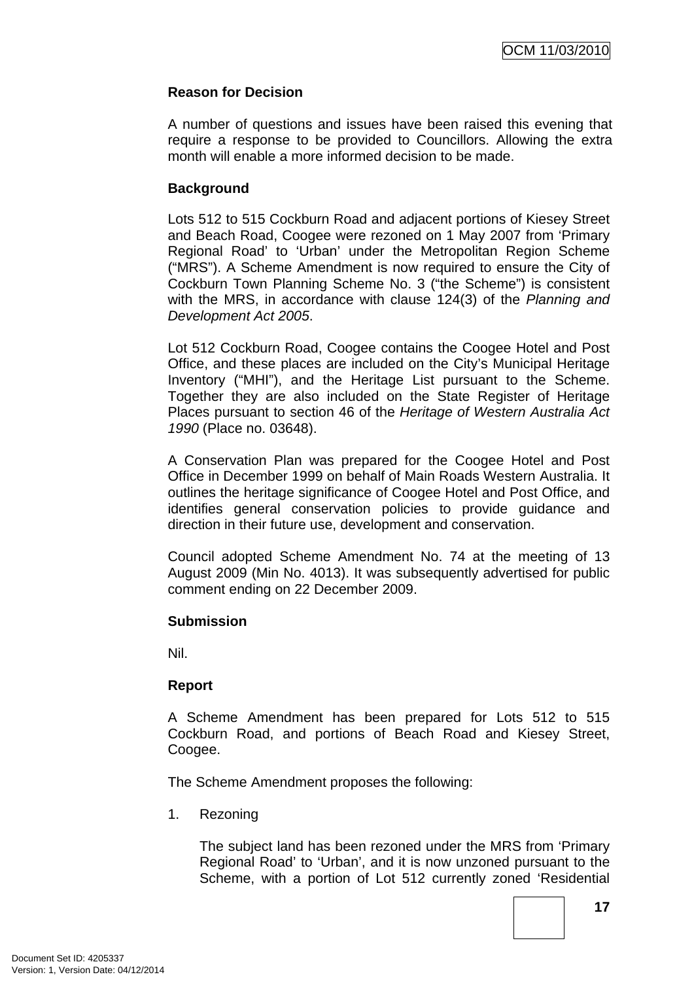OCM 11/03/2010

#### **Reason for Decision**

A number of questions and issues have been raised this evening that require a response to be provided to Councillors. Allowing the extra month will enable a more informed decision to be made.

#### **Background**

Lots 512 to 515 Cockburn Road and adjacent portions of Kiesey Street and Beach Road, Coogee were rezoned on 1 May 2007 from 'Primary Regional Road' to 'Urban' under the Metropolitan Region Scheme ("MRS"). A Scheme Amendment is now required to ensure the City of Cockburn Town Planning Scheme No. 3 ("the Scheme") is consistent with the MRS, in accordance with clause 124(3) of the *Planning and Development Act 2005*.

Lot 512 Cockburn Road, Coogee contains the Coogee Hotel and Post Office, and these places are included on the City's Municipal Heritage Inventory ("MHI"), and the Heritage List pursuant to the Scheme. Together they are also included on the State Register of Heritage Places pursuant to section 46 of the *Heritage of Western Australia Act 1990* (Place no. 03648).

A Conservation Plan was prepared for the Coogee Hotel and Post Office in December 1999 on behalf of Main Roads Western Australia. It outlines the heritage significance of Coogee Hotel and Post Office, and identifies general conservation policies to provide guidance and direction in their future use, development and conservation.

Council adopted Scheme Amendment No. 74 at the meeting of 13 August 2009 (Min No. 4013). It was subsequently advertised for public comment ending on 22 December 2009.

#### **Submission**

Nil.

#### **Report**

A Scheme Amendment has been prepared for Lots 512 to 515 Cockburn Road, and portions of Beach Road and Kiesey Street, Coogee.

The Scheme Amendment proposes the following:

1. Rezoning

The subject land has been rezoned under the MRS from 'Primary Regional Road' to 'Urban', and it is now unzoned pursuant to the Scheme, with a portion of Lot 512 currently zoned 'Residential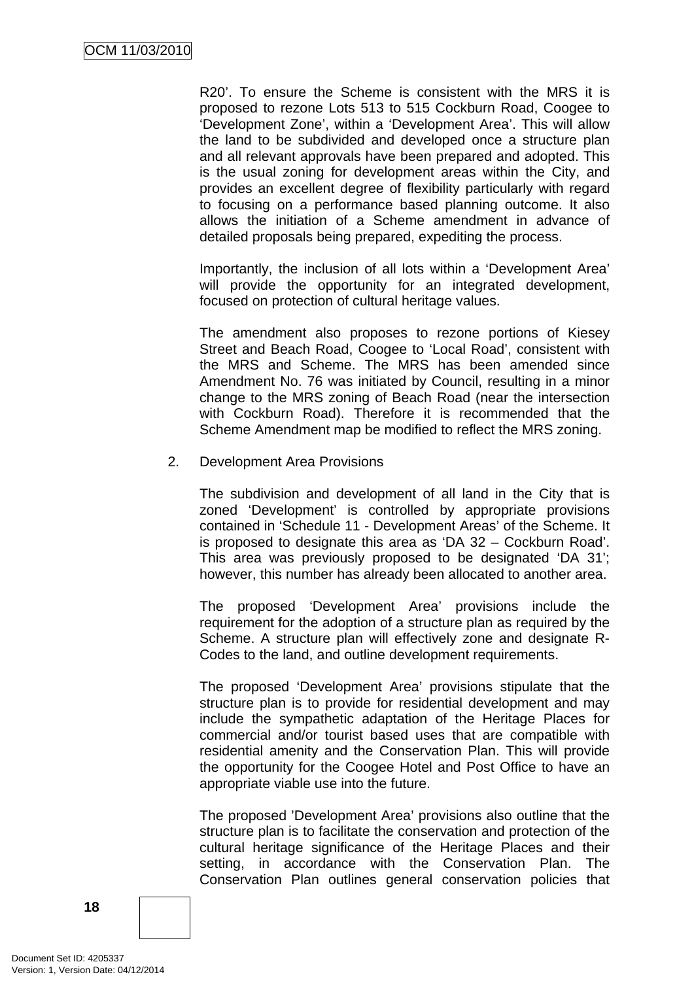R20'. To ensure the Scheme is consistent with the MRS it is proposed to rezone Lots 513 to 515 Cockburn Road, Coogee to 'Development Zone', within a 'Development Area'. This will allow the land to be subdivided and developed once a structure plan and all relevant approvals have been prepared and adopted. This is the usual zoning for development areas within the City, and provides an excellent degree of flexibility particularly with regard to focusing on a performance based planning outcome. It also allows the initiation of a Scheme amendment in advance of detailed proposals being prepared, expediting the process.

Importantly, the inclusion of all lots within a 'Development Area' will provide the opportunity for an integrated development, focused on protection of cultural heritage values.

The amendment also proposes to rezone portions of Kiesey Street and Beach Road, Coogee to 'Local Road', consistent with the MRS and Scheme. The MRS has been amended since Amendment No. 76 was initiated by Council, resulting in a minor change to the MRS zoning of Beach Road (near the intersection with Cockburn Road). Therefore it is recommended that the Scheme Amendment map be modified to reflect the MRS zoning.

2. Development Area Provisions

The subdivision and development of all land in the City that is zoned 'Development' is controlled by appropriate provisions contained in 'Schedule 11 - Development Areas' of the Scheme. It is proposed to designate this area as 'DA 32 – Cockburn Road'. This area was previously proposed to be designated 'DA 31'; however, this number has already been allocated to another area.

The proposed 'Development Area' provisions include the requirement for the adoption of a structure plan as required by the Scheme. A structure plan will effectively zone and designate R-Codes to the land, and outline development requirements.

The proposed 'Development Area' provisions stipulate that the structure plan is to provide for residential development and may include the sympathetic adaptation of the Heritage Places for commercial and/or tourist based uses that are compatible with residential amenity and the Conservation Plan. This will provide the opportunity for the Coogee Hotel and Post Office to have an appropriate viable use into the future.

The proposed 'Development Area' provisions also outline that the structure plan is to facilitate the conservation and protection of the cultural heritage significance of the Heritage Places and their setting, in accordance with the Conservation Plan. The Conservation Plan outlines general conservation policies that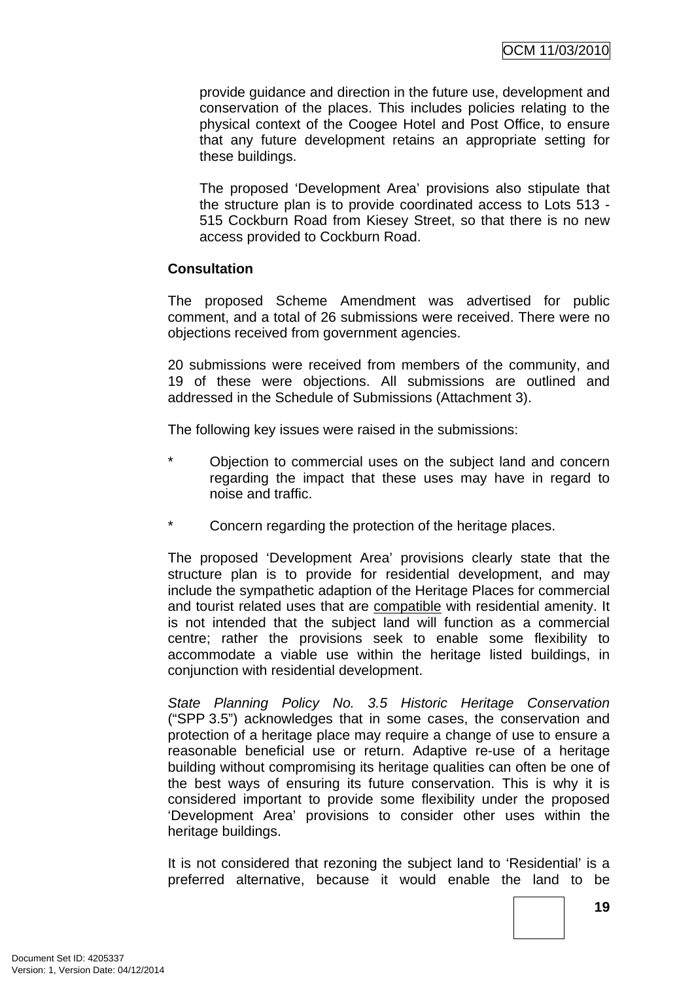provide guidance and direction in the future use, development and conservation of the places. This includes policies relating to the physical context of the Coogee Hotel and Post Office, to ensure that any future development retains an appropriate setting for these buildings.

The proposed 'Development Area' provisions also stipulate that the structure plan is to provide coordinated access to Lots 513 - 515 Cockburn Road from Kiesey Street, so that there is no new access provided to Cockburn Road.

#### **Consultation**

The proposed Scheme Amendment was advertised for public comment, and a total of 26 submissions were received. There were no objections received from government agencies.

20 submissions were received from members of the community, and 19 of these were objections. All submissions are outlined and addressed in the Schedule of Submissions (Attachment 3).

The following key issues were raised in the submissions:

- Objection to commercial uses on the subject land and concern regarding the impact that these uses may have in regard to noise and traffic.
- Concern regarding the protection of the heritage places.

The proposed 'Development Area' provisions clearly state that the structure plan is to provide for residential development, and may include the sympathetic adaption of the Heritage Places for commercial and tourist related uses that are compatible with residential amenity. It is not intended that the subject land will function as a commercial centre; rather the provisions seek to enable some flexibility to accommodate a viable use within the heritage listed buildings, in conjunction with residential development.

*State Planning Policy No. 3.5 Historic Heritage Conservation* ("SPP 3.5") acknowledges that in some cases, the conservation and protection of a heritage place may require a change of use to ensure a reasonable beneficial use or return. Adaptive re-use of a heritage building without compromising its heritage qualities can often be one of the best ways of ensuring its future conservation. This is why it is considered important to provide some flexibility under the proposed 'Development Area' provisions to consider other uses within the heritage buildings.

It is not considered that rezoning the subject land to 'Residential' is a preferred alternative, because it would enable the land to be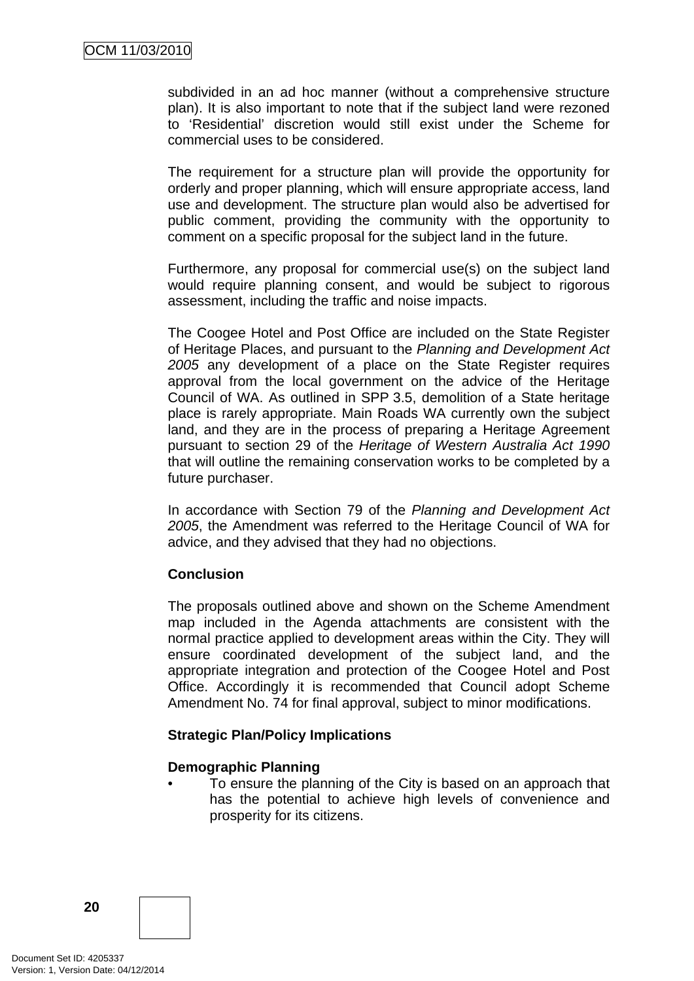subdivided in an ad hoc manner (without a comprehensive structure plan). It is also important to note that if the subject land were rezoned to 'Residential' discretion would still exist under the Scheme for commercial uses to be considered.

The requirement for a structure plan will provide the opportunity for orderly and proper planning, which will ensure appropriate access, land use and development. The structure plan would also be advertised for public comment, providing the community with the opportunity to comment on a specific proposal for the subject land in the future.

Furthermore, any proposal for commercial use(s) on the subject land would require planning consent, and would be subject to rigorous assessment, including the traffic and noise impacts.

The Coogee Hotel and Post Office are included on the State Register of Heritage Places, and pursuant to the *Planning and Development Act 2005* any development of a place on the State Register requires approval from the local government on the advice of the Heritage Council of WA. As outlined in SPP 3.5, demolition of a State heritage place is rarely appropriate. Main Roads WA currently own the subject land, and they are in the process of preparing a Heritage Agreement pursuant to section 29 of the *Heritage of Western Australia Act 1990* that will outline the remaining conservation works to be completed by a future purchaser.

In accordance with Section 79 of the *Planning and Development Act 2005*, the Amendment was referred to the Heritage Council of WA for advice, and they advised that they had no objections.

#### **Conclusion**

The proposals outlined above and shown on the Scheme Amendment map included in the Agenda attachments are consistent with the normal practice applied to development areas within the City. They will ensure coordinated development of the subject land, and the appropriate integration and protection of the Coogee Hotel and Post Office. Accordingly it is recommended that Council adopt Scheme Amendment No. 74 for final approval, subject to minor modifications.

#### **Strategic Plan/Policy Implications**

#### **Demographic Planning**

• To ensure the planning of the City is based on an approach that has the potential to achieve high levels of convenience and prosperity for its citizens.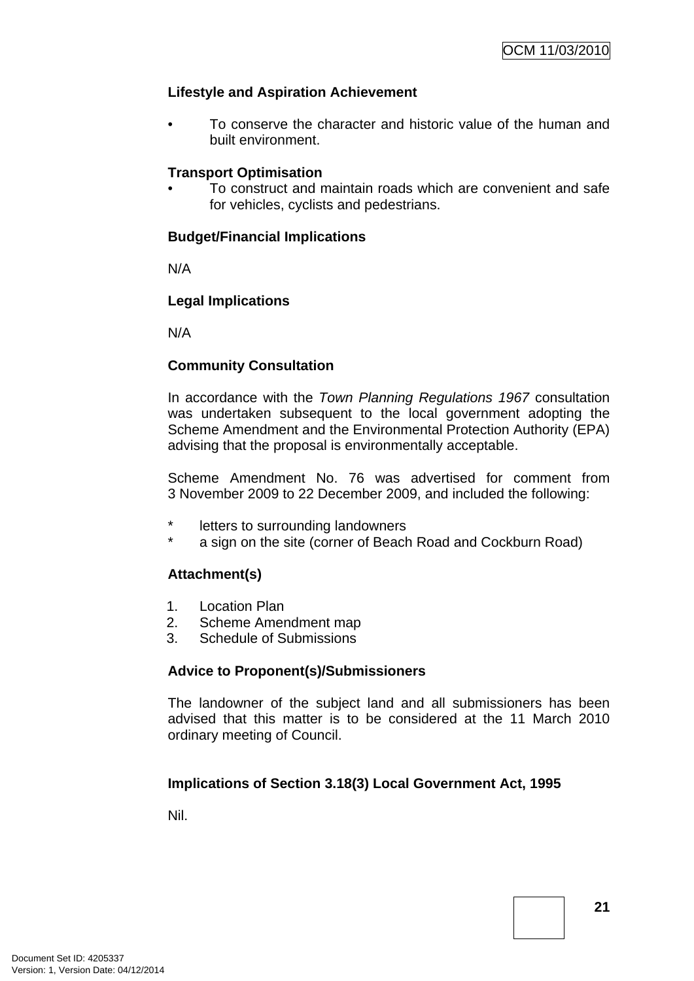## **Lifestyle and Aspiration Achievement**

• To conserve the character and historic value of the human and built environment.

#### **Transport Optimisation**

• To construct and maintain roads which are convenient and safe for vehicles, cyclists and pedestrians.

#### **Budget/Financial Implications**

N/A

#### **Legal Implications**

N/A

## **Community Consultation**

In accordance with the *Town Planning Regulations 1967* consultation was undertaken subsequent to the local government adopting the Scheme Amendment and the Environmental Protection Authority (EPA) advising that the proposal is environmentally acceptable.

Scheme Amendment No. 76 was advertised for comment from 3 November 2009 to 22 December 2009, and included the following:

- letters to surrounding landowners
- \* a sign on the site (corner of Beach Road and Cockburn Road)

#### **Attachment(s)**

- 1. Location Plan
- 2. Scheme Amendment map
- 3. Schedule of Submissions

#### **Advice to Proponent(s)/Submissioners**

The landowner of the subject land and all submissioners has been advised that this matter is to be considered at the 11 March 2010 ordinary meeting of Council.

#### **Implications of Section 3.18(3) Local Government Act, 1995**

Nil.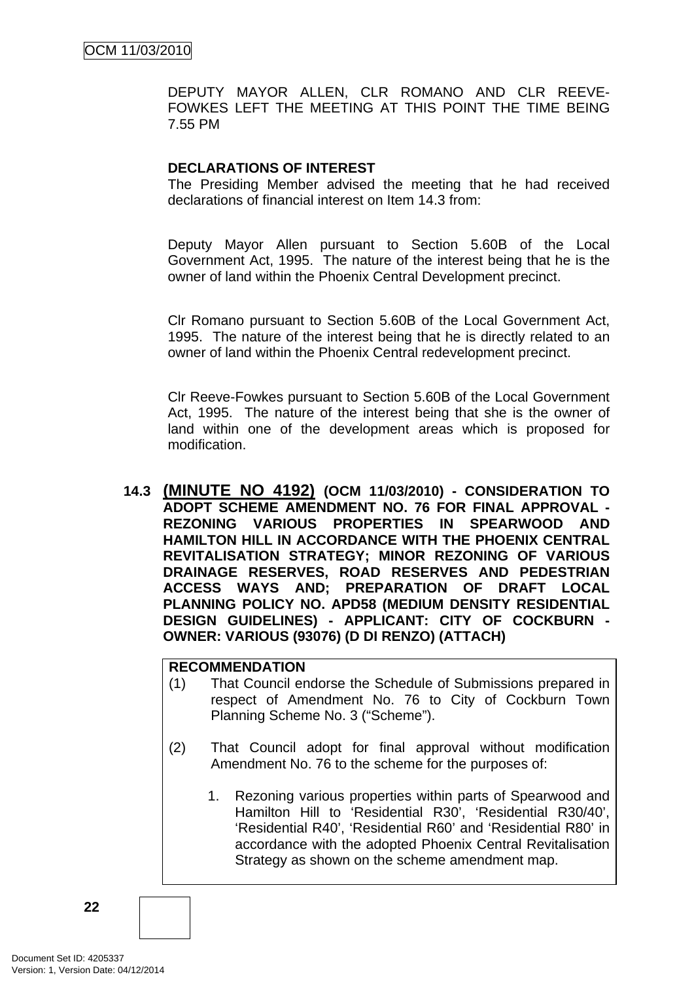<span id="page-25-0"></span>DEPUTY MAYOR ALLEN, CLR ROMANO AND CLR REEVE-FOWKES LEFT THE MEETING AT THIS POINT THE TIME BEING 7.55 PM

#### **DECLARATIONS OF INTEREST**

The Presiding Member advised the meeting that he had received declarations of financial interest on Item 14.3 from:

Deputy Mayor Allen pursuant to Section 5.60B of the Local Government Act, 1995. The nature of the interest being that he is the owner of land within the Phoenix Central Development precinct.

Clr Romano pursuant to Section 5.60B of the Local Government Act, 1995. The nature of the interest being that he is directly related to an owner of land within the Phoenix Central redevelopment precinct.

Clr Reeve-Fowkes pursuant to Section 5.60B of the Local Government Act, 1995. The nature of the interest being that she is the owner of land within one of the development areas which is proposed for modification.

**14.3 (MINUTE NO 4192) (OCM 11/03/2010) - CONSIDERATION TO ADOPT SCHEME AMENDMENT NO. 76 FOR FINAL APPROVAL - REZONING VARIOUS PROPERTIES IN SPEARWOOD AND HAMILTON HILL IN ACCORDANCE WITH THE PHOENIX CENTRAL REVITALISATION STRATEGY; MINOR REZONING OF VARIOUS DRAINAGE RESERVES, ROAD RESERVES AND PEDESTRIAN ACCESS WAYS AND; PREPARATION OF DRAFT LOCAL PLANNING POLICY NO. APD58 (MEDIUM DENSITY RESIDENTIAL DESIGN GUIDELINES) - APPLICANT: CITY OF COCKBURN - OWNER: VARIOUS (93076) (D DI RENZO) (ATTACH)** 

#### **RECOMMENDATION**

- (1) That Council endorse the Schedule of Submissions prepared in respect of Amendment No. 76 to City of Cockburn Town Planning Scheme No. 3 ("Scheme").
- (2) That Council adopt for final approval without modification Amendment No. 76 to the scheme for the purposes of:
	- 1. Rezoning various properties within parts of Spearwood and Hamilton Hill to 'Residential R30', 'Residential R30/40', 'Residential R40', 'Residential R60' and 'Residential R80' in accordance with the adopted Phoenix Central Revitalisation Strategy as shown on the scheme amendment map.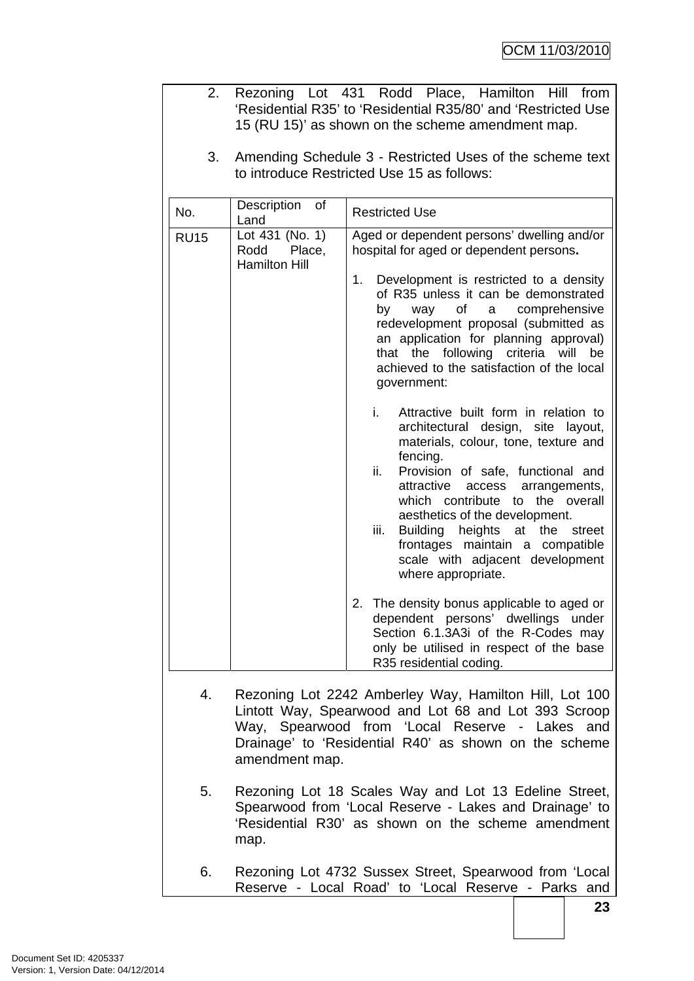| 2.          | Rezoning Lot 431 Rodd Place, Hamilton Hill from<br>'Residential R35' to 'Residential R35/80' and 'Restricted Use<br>15 (RU 15)' as shown on the scheme amendment map. |                                                                                                                                                                                                                                                                                                                                                                                                                                                                                                                                                                                                                                                                                                                                                                                                                                                                                                                                        |  |
|-------------|-----------------------------------------------------------------------------------------------------------------------------------------------------------------------|----------------------------------------------------------------------------------------------------------------------------------------------------------------------------------------------------------------------------------------------------------------------------------------------------------------------------------------------------------------------------------------------------------------------------------------------------------------------------------------------------------------------------------------------------------------------------------------------------------------------------------------------------------------------------------------------------------------------------------------------------------------------------------------------------------------------------------------------------------------------------------------------------------------------------------------|--|
| 3.          |                                                                                                                                                                       | Amending Schedule 3 - Restricted Uses of the scheme text<br>to introduce Restricted Use 15 as follows:                                                                                                                                                                                                                                                                                                                                                                                                                                                                                                                                                                                                                                                                                                                                                                                                                                 |  |
| No.         | Description<br>0f<br>Land                                                                                                                                             | <b>Restricted Use</b>                                                                                                                                                                                                                                                                                                                                                                                                                                                                                                                                                                                                                                                                                                                                                                                                                                                                                                                  |  |
| <b>RU15</b> | Lot 431 (No. 1)<br>Rodd<br>Place,<br><b>Hamilton Hill</b>                                                                                                             | Aged or dependent persons' dwelling and/or<br>hospital for aged or dependent persons.<br>1.<br>Development is restricted to a density<br>of R35 unless it can be demonstrated<br>way of a comprehensive<br>by<br>redevelopment proposal (submitted as<br>an application for planning approval)<br>that the following criteria will<br>be<br>achieved to the satisfaction of the local<br>government:<br>i.<br>Attractive built form in relation to<br>architectural design, site layout,<br>materials, colour, tone, texture and<br>fencing.<br>ii.<br>Provision of safe, functional and<br>attractive<br>access arrangements,<br>which contribute to<br>the overall<br>aesthetics of the development.<br>iii.<br>Building heights at the<br>street<br>frontages maintain a compatible<br>scale with adjacent development<br>where appropriate.<br>The density bonus applicable to aged or<br>2.<br>dependent persons' dwellings under |  |
|             |                                                                                                                                                                       | Section 6.1.3A3i of the R-Codes may<br>only be utilised in respect of the base<br>R35 residential coding.                                                                                                                                                                                                                                                                                                                                                                                                                                                                                                                                                                                                                                                                                                                                                                                                                              |  |
| 4.          | amendment map.                                                                                                                                                        | Rezoning Lot 2242 Amberley Way, Hamilton Hill, Lot 100<br>Lintott Way, Spearwood and Lot 68 and Lot 393 Scroop<br>Way, Spearwood from 'Local Reserve - Lakes<br>and<br>Drainage' to 'Residential R40' as shown on the scheme                                                                                                                                                                                                                                                                                                                                                                                                                                                                                                                                                                                                                                                                                                           |  |

- 5. Rezoning Lot 18 Scales Way and Lot 13 Edeline Street, Spearwood from 'Local Reserve - Lakes and Drainage' to 'Residential R30' as shown on the scheme amendment map.
- 6. Rezoning Lot 4732 Sussex Street, Spearwood from 'Local Reserve - Local Road' to 'Local Reserve - Parks and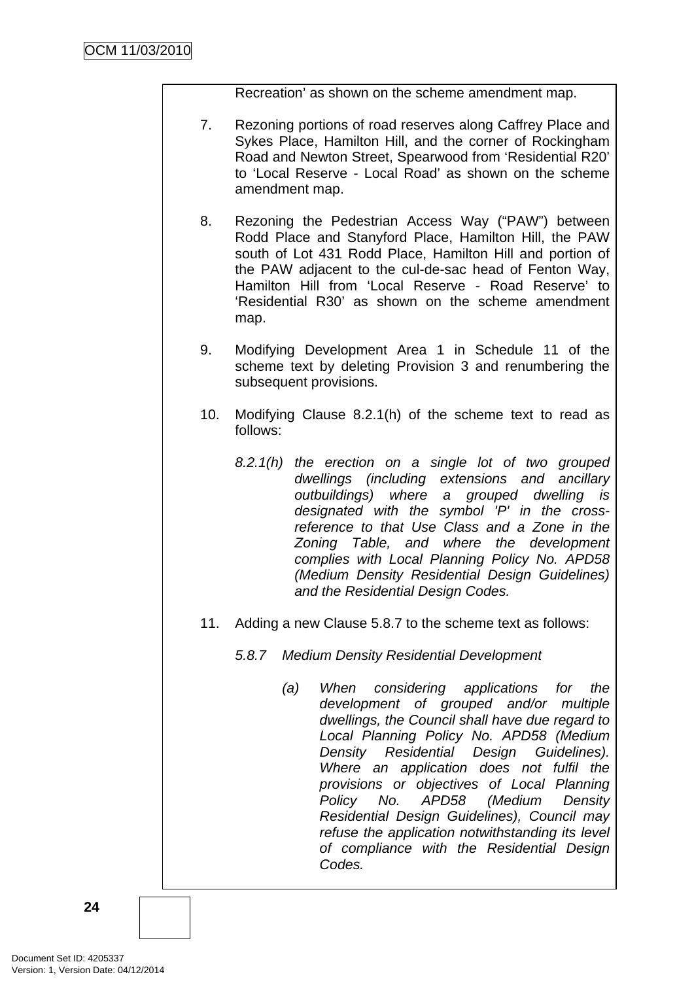Recreation' as shown on the scheme amendment map.

- 7. Rezoning portions of road reserves along Caffrey Place and Sykes Place, Hamilton Hill, and the corner of Rockingham Road and Newton Street, Spearwood from 'Residential R20' to 'Local Reserve - Local Road' as shown on the scheme amendment map.
- 8. Rezoning the Pedestrian Access Way ("PAW") between Rodd Place and Stanyford Place, Hamilton Hill, the PAW south of Lot 431 Rodd Place, Hamilton Hill and portion of the PAW adjacent to the cul-de-sac head of Fenton Way, Hamilton Hill from 'Local Reserve - Road Reserve' to 'Residential R30' as shown on the scheme amendment map.
- 9. Modifying Development Area 1 in Schedule 11 of the scheme text by deleting Provision 3 and renumbering the subsequent provisions.
- 10. Modifying Clause 8.2.1(h) of the scheme text to read as follows:
	- *8.2.1(h) the erection on a single lot of two grouped dwellings (including extensions and ancillary outbuildings) where a grouped dwelling is designated with the symbol 'P' in the crossreference to that Use Class and a Zone in the Zoning Table, and where the development complies with Local Planning Policy No. APD58 (Medium Density Residential Design Guidelines) and the Residential Design Codes.*
- 11. Adding a new Clause 5.8.7 to the scheme text as follows:
	- *5.8.7 Medium Density Residential Development* 
		- *(a) When considering applications for the development of grouped and/or multiple dwellings, the Council shall have due regard to Local Planning Policy No. APD58 (Medium Density Residential Design Guidelines). Where an application does not fulfil the provisions or objectives of Local Planning Policy No. APD58 (Medium Density Residential Design Guidelines), Council may refuse the application notwithstanding its level of compliance with the Residential Design Codes.*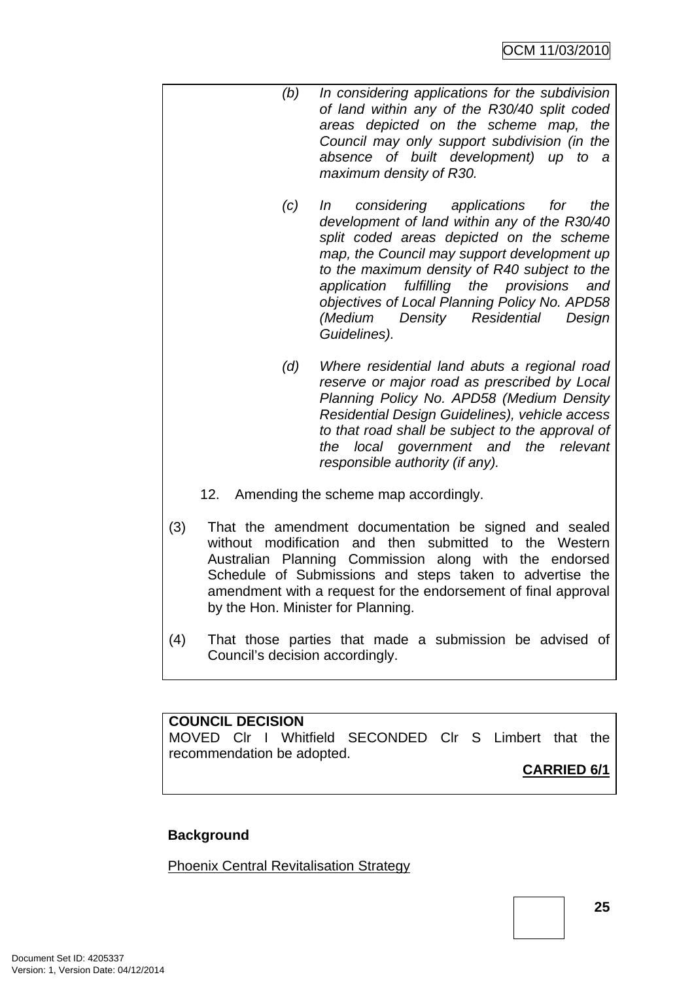- *(b) In considering applications for the subdivision of land within any of the R30/40 split coded areas depicted on the scheme map, the Council may only support subdivision (in the absence of built development) up to a maximum density of R30.* 
	- *(c) In considering applications for the development of land within any of the R30/40 split coded areas depicted on the scheme map, the Council may support development up to the maximum density of R40 subject to the application fulfilling the provisions and objectives of Local Planning Policy No. APD58 (Medium Density Residential Design Guidelines).*
	- *(d) Where residential land abuts a regional road reserve or major road as prescribed by Local Planning Policy No. APD58 (Medium Density Residential Design Guidelines), vehicle access to that road shall be subject to the approval of the local government and the relevant responsible authority (if any).*
- 12. Amending the scheme map accordingly.
- (3) That the amendment documentation be signed and sealed without modification and then submitted to the Western Australian Planning Commission along with the endorsed Schedule of Submissions and steps taken to advertise the amendment with a request for the endorsement of final approval by the Hon. Minister for Planning.
- (4) That those parties that made a submission be advised of Council's decision accordingly.

## **COUNCIL DECISION**

MOVED Clr I Whitfield SECONDED Clr S Limbert that the recommendation be adopted.

**CARRIED 6/1**

## **Background**

Phoenix Central Revitalisation Strategy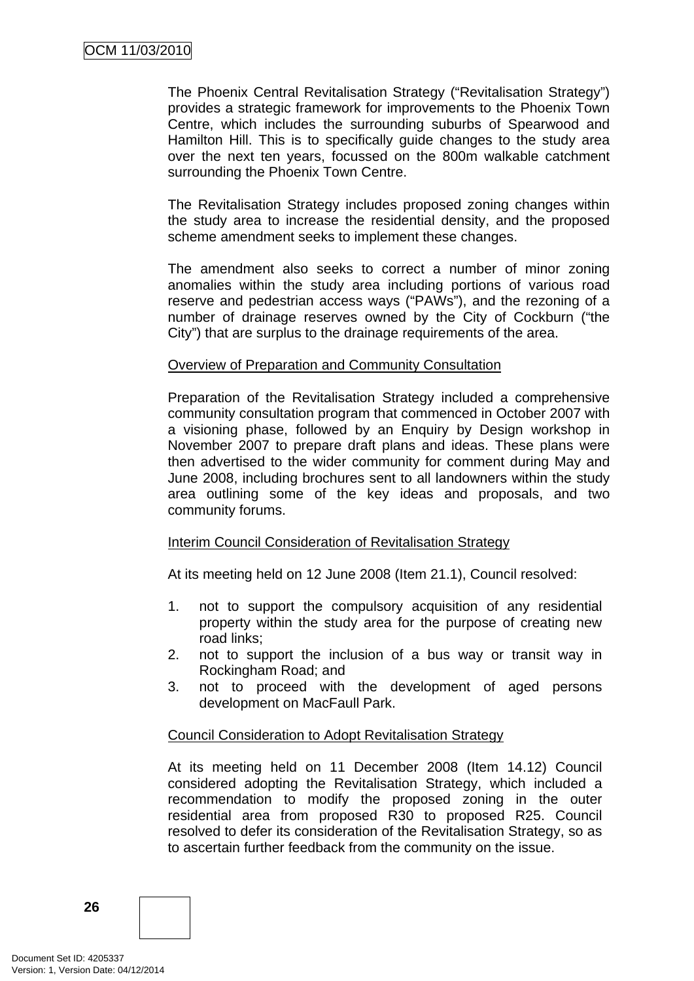The Phoenix Central Revitalisation Strategy ("Revitalisation Strategy") provides a strategic framework for improvements to the Phoenix Town Centre, which includes the surrounding suburbs of Spearwood and Hamilton Hill. This is to specifically guide changes to the study area over the next ten years, focussed on the 800m walkable catchment surrounding the Phoenix Town Centre.

The Revitalisation Strategy includes proposed zoning changes within the study area to increase the residential density, and the proposed scheme amendment seeks to implement these changes.

The amendment also seeks to correct a number of minor zoning anomalies within the study area including portions of various road reserve and pedestrian access ways ("PAWs"), and the rezoning of a number of drainage reserves owned by the City of Cockburn ("the City") that are surplus to the drainage requirements of the area.

#### Overview of Preparation and Community Consultation

Preparation of the Revitalisation Strategy included a comprehensive community consultation program that commenced in October 2007 with a visioning phase, followed by an Enquiry by Design workshop in November 2007 to prepare draft plans and ideas. These plans were then advertised to the wider community for comment during May and June 2008, including brochures sent to all landowners within the study area outlining some of the key ideas and proposals, and two community forums.

#### Interim Council Consideration of Revitalisation Strategy

At its meeting held on 12 June 2008 (Item 21.1), Council resolved:

- 1. not to support the compulsory acquisition of any residential property within the study area for the purpose of creating new road links;
- 2. not to support the inclusion of a bus way or transit way in Rockingham Road; and
- 3. not to proceed with the development of aged persons development on MacFaull Park.

#### Council Consideration to Adopt Revitalisation Strategy

At its meeting held on 11 December 2008 (Item 14.12) Council considered adopting the Revitalisation Strategy, which included a recommendation to modify the proposed zoning in the outer residential area from proposed R30 to proposed R25. Council resolved to defer its consideration of the Revitalisation Strategy, so as to ascertain further feedback from the community on the issue.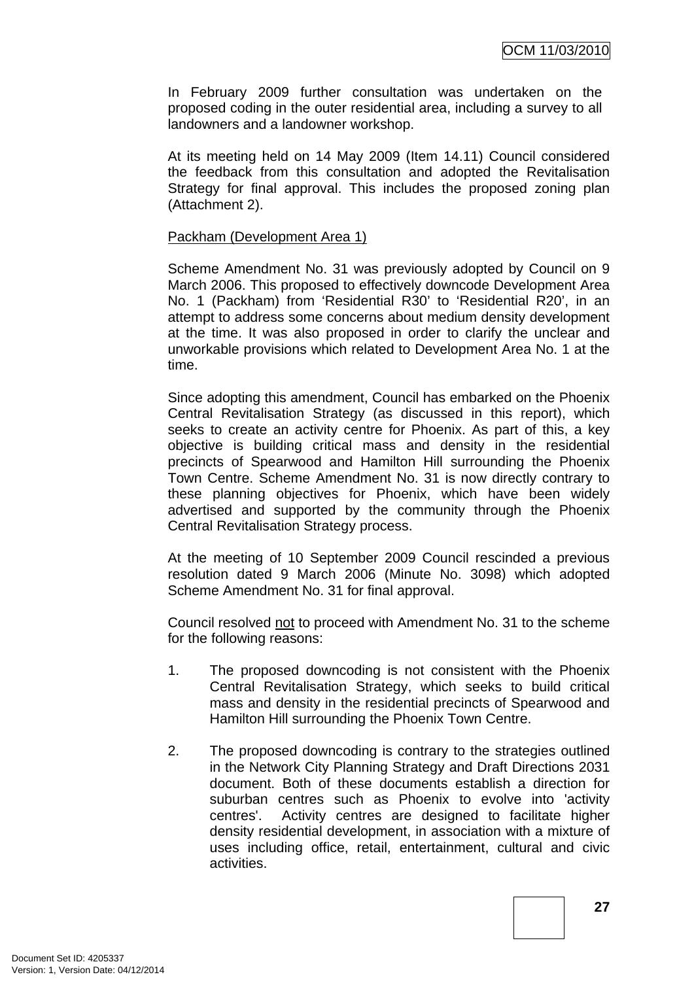In February 2009 further consultation was undertaken on the proposed coding in the outer residential area, including a survey to all landowners and a landowner workshop.

At its meeting held on 14 May 2009 (Item 14.11) Council considered the feedback from this consultation and adopted the Revitalisation Strategy for final approval. This includes the proposed zoning plan (Attachment 2).

#### Packham (Development Area 1)

Scheme Amendment No. 31 was previously adopted by Council on 9 March 2006. This proposed to effectively downcode Development Area No. 1 (Packham) from 'Residential R30' to 'Residential R20', in an attempt to address some concerns about medium density development at the time. It was also proposed in order to clarify the unclear and unworkable provisions which related to Development Area No. 1 at the time.

Since adopting this amendment, Council has embarked on the Phoenix Central Revitalisation Strategy (as discussed in this report), which seeks to create an activity centre for Phoenix. As part of this, a key objective is building critical mass and density in the residential precincts of Spearwood and Hamilton Hill surrounding the Phoenix Town Centre. Scheme Amendment No. 31 is now directly contrary to these planning objectives for Phoenix, which have been widely advertised and supported by the community through the Phoenix Central Revitalisation Strategy process.

At the meeting of 10 September 2009 Council rescinded a previous resolution dated 9 March 2006 (Minute No. 3098) which adopted Scheme Amendment No. 31 for final approval.

Council resolved not to proceed with Amendment No. 31 to the scheme for the following reasons:

- 1. The proposed downcoding is not consistent with the Phoenix Central Revitalisation Strategy, which seeks to build critical mass and density in the residential precincts of Spearwood and Hamilton Hill surrounding the Phoenix Town Centre.
- 2. The proposed downcoding is contrary to the strategies outlined in the Network City Planning Strategy and Draft Directions 2031 document. Both of these documents establish a direction for suburban centres such as Phoenix to evolve into 'activity centres'. Activity centres are designed to facilitate higher density residential development, in association with a mixture of uses including office, retail, entertainment, cultural and civic activities.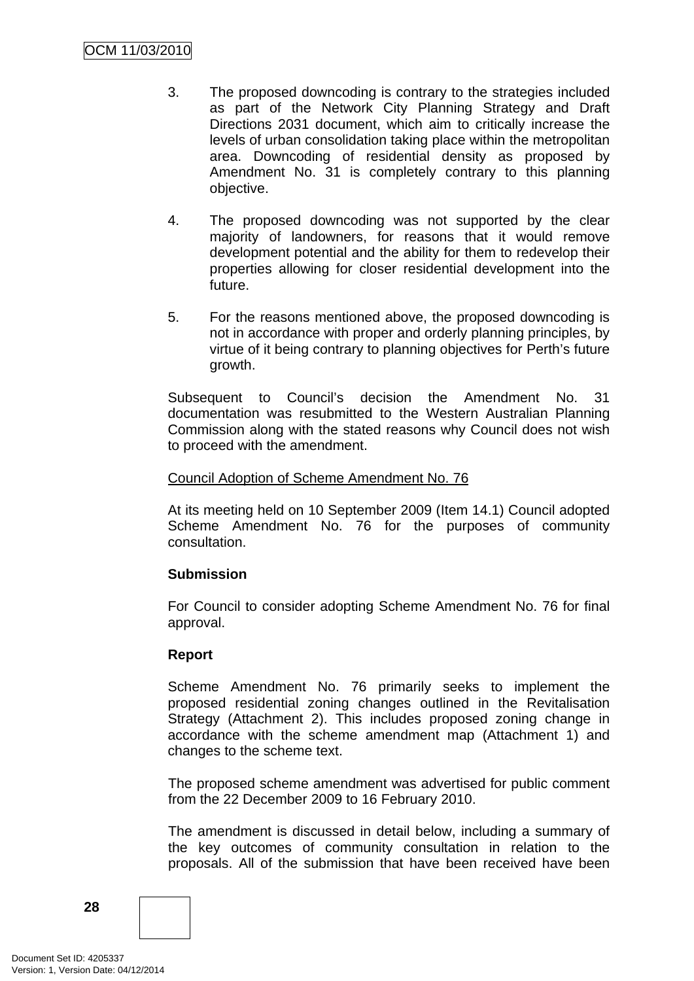- 3. The proposed downcoding is contrary to the strategies included as part of the Network City Planning Strategy and Draft Directions 2031 document, which aim to critically increase the levels of urban consolidation taking place within the metropolitan area. Downcoding of residential density as proposed by Amendment No. 31 is completely contrary to this planning objective.
- 4. The proposed downcoding was not supported by the clear majority of landowners, for reasons that it would remove development potential and the ability for them to redevelop their properties allowing for closer residential development into the future.
- 5. For the reasons mentioned above, the proposed downcoding is not in accordance with proper and orderly planning principles, by virtue of it being contrary to planning objectives for Perth's future growth.

Subsequent to Council's decision the Amendment No. 31 documentation was resubmitted to the Western Australian Planning Commission along with the stated reasons why Council does not wish to proceed with the amendment.

#### Council Adoption of Scheme Amendment No. 76

At its meeting held on 10 September 2009 (Item 14.1) Council adopted Scheme Amendment No. 76 for the purposes of community consultation.

## **Submission**

For Council to consider adopting Scheme Amendment No. 76 for final approval.

#### **Report**

Scheme Amendment No. 76 primarily seeks to implement the proposed residential zoning changes outlined in the Revitalisation Strategy (Attachment 2). This includes proposed zoning change in accordance with the scheme amendment map (Attachment 1) and changes to the scheme text.

The proposed scheme amendment was advertised for public comment from the 22 December 2009 to 16 February 2010.

The amendment is discussed in detail below, including a summary of the key outcomes of community consultation in relation to the proposals. All of the submission that have been received have been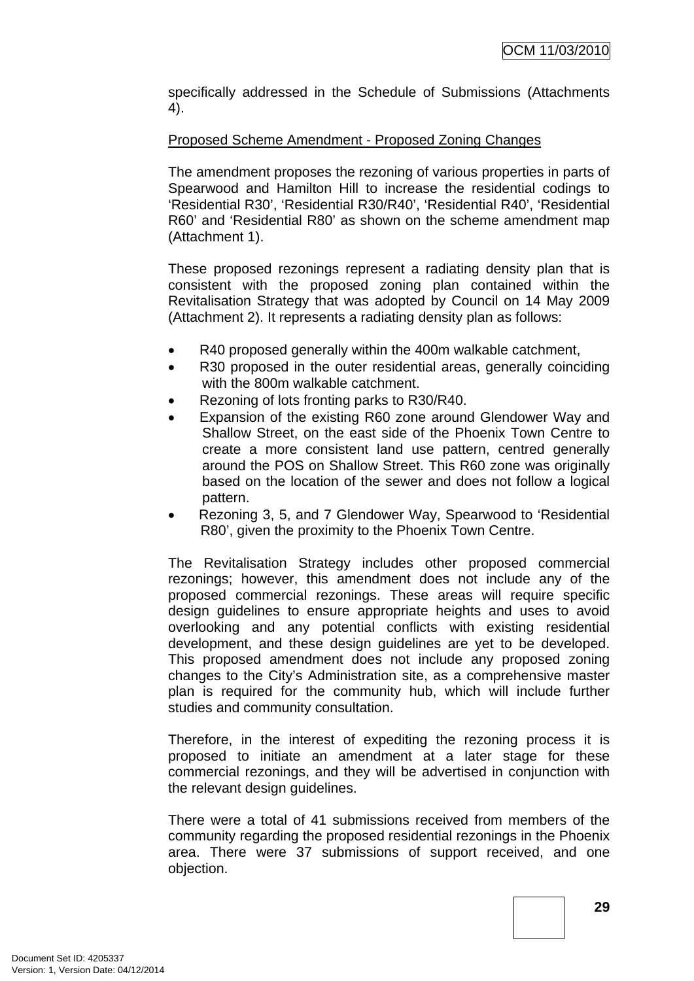specifically addressed in the Schedule of Submissions (Attachments 4).

## Proposed Scheme Amendment - Proposed Zoning Changes

The amendment proposes the rezoning of various properties in parts of Spearwood and Hamilton Hill to increase the residential codings to 'Residential R30', 'Residential R30/R40', 'Residential R40', 'Residential R60' and 'Residential R80' as shown on the scheme amendment map (Attachment 1).

These proposed rezonings represent a radiating density plan that is consistent with the proposed zoning plan contained within the Revitalisation Strategy that was adopted by Council on 14 May 2009 (Attachment 2). It represents a radiating density plan as follows:

- R40 proposed generally within the 400m walkable catchment,
- R30 proposed in the outer residential areas, generally coinciding with the 800m walkable catchment.
- Rezoning of lots fronting parks to R30/R40.
- Expansion of the existing R60 zone around Glendower Way and Shallow Street, on the east side of the Phoenix Town Centre to create a more consistent land use pattern, centred generally around the POS on Shallow Street. This R60 zone was originally based on the location of the sewer and does not follow a logical pattern.
- Rezoning 3, 5, and 7 Glendower Way, Spearwood to 'Residential R80', given the proximity to the Phoenix Town Centre.

The Revitalisation Strategy includes other proposed commercial rezonings; however, this amendment does not include any of the proposed commercial rezonings. These areas will require specific design guidelines to ensure appropriate heights and uses to avoid overlooking and any potential conflicts with existing residential development, and these design guidelines are yet to be developed. This proposed amendment does not include any proposed zoning changes to the City's Administration site, as a comprehensive master plan is required for the community hub, which will include further studies and community consultation.

Therefore, in the interest of expediting the rezoning process it is proposed to initiate an amendment at a later stage for these commercial rezonings, and they will be advertised in conjunction with the relevant design guidelines.

There were a total of 41 submissions received from members of the community regarding the proposed residential rezonings in the Phoenix area. There were 37 submissions of support received, and one objection.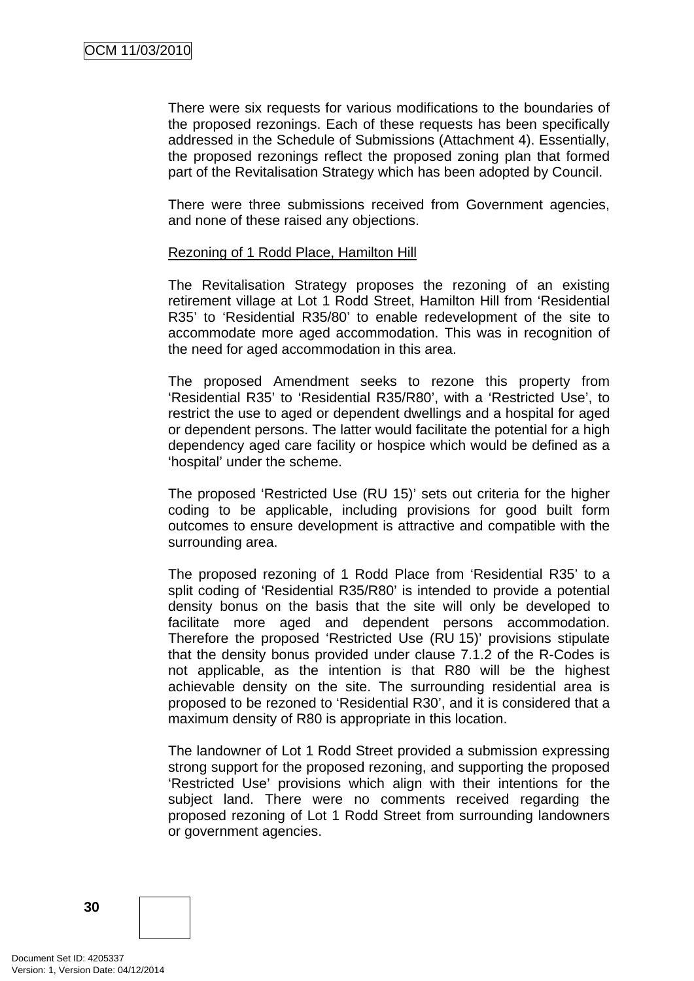There were six requests for various modifications to the boundaries of the proposed rezonings. Each of these requests has been specifically addressed in the Schedule of Submissions (Attachment 4). Essentially, the proposed rezonings reflect the proposed zoning plan that formed part of the Revitalisation Strategy which has been adopted by Council.

There were three submissions received from Government agencies, and none of these raised any objections.

#### Rezoning of 1 Rodd Place, Hamilton Hill

The Revitalisation Strategy proposes the rezoning of an existing retirement village at Lot 1 Rodd Street, Hamilton Hill from 'Residential R35' to 'Residential R35/80' to enable redevelopment of the site to accommodate more aged accommodation. This was in recognition of the need for aged accommodation in this area.

The proposed Amendment seeks to rezone this property from 'Residential R35' to 'Residential R35/R80', with a 'Restricted Use', to restrict the use to aged or dependent dwellings and a hospital for aged or dependent persons. The latter would facilitate the potential for a high dependency aged care facility or hospice which would be defined as a 'hospital' under the scheme.

The proposed 'Restricted Use (RU 15)' sets out criteria for the higher coding to be applicable, including provisions for good built form outcomes to ensure development is attractive and compatible with the surrounding area.

The proposed rezoning of 1 Rodd Place from 'Residential R35' to a split coding of 'Residential R35/R80' is intended to provide a potential density bonus on the basis that the site will only be developed to facilitate more aged and dependent persons accommodation. Therefore the proposed 'Restricted Use (RU 15)' provisions stipulate that the density bonus provided under clause 7.1.2 of the R-Codes is not applicable, as the intention is that R80 will be the highest achievable density on the site. The surrounding residential area is proposed to be rezoned to 'Residential R30', and it is considered that a maximum density of R80 is appropriate in this location.

The landowner of Lot 1 Rodd Street provided a submission expressing strong support for the proposed rezoning, and supporting the proposed 'Restricted Use' provisions which align with their intentions for the subject land. There were no comments received regarding the proposed rezoning of Lot 1 Rodd Street from surrounding landowners or government agencies.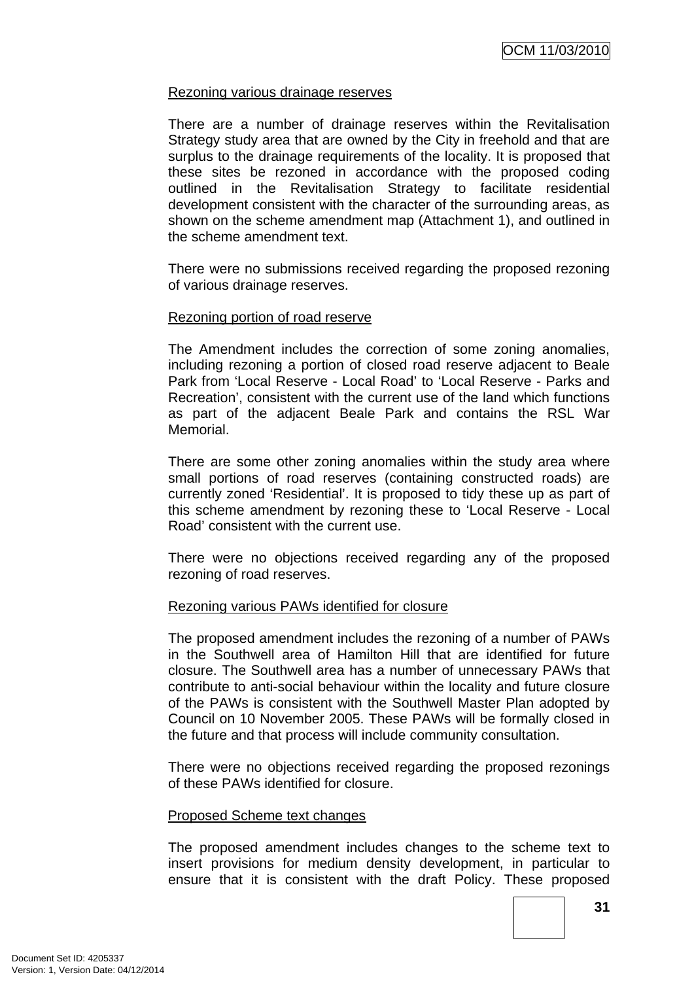#### Rezoning various drainage reserves

There are a number of drainage reserves within the Revitalisation Strategy study area that are owned by the City in freehold and that are surplus to the drainage requirements of the locality. It is proposed that these sites be rezoned in accordance with the proposed coding outlined in the Revitalisation Strategy to facilitate residential development consistent with the character of the surrounding areas, as shown on the scheme amendment map (Attachment 1), and outlined in the scheme amendment text.

There were no submissions received regarding the proposed rezoning of various drainage reserves.

#### Rezoning portion of road reserve

The Amendment includes the correction of some zoning anomalies, including rezoning a portion of closed road reserve adjacent to Beale Park from 'Local Reserve - Local Road' to 'Local Reserve - Parks and Recreation', consistent with the current use of the land which functions as part of the adjacent Beale Park and contains the RSL War Memorial.

There are some other zoning anomalies within the study area where small portions of road reserves (containing constructed roads) are currently zoned 'Residential'. It is proposed to tidy these up as part of this scheme amendment by rezoning these to 'Local Reserve - Local Road' consistent with the current use.

There were no objections received regarding any of the proposed rezoning of road reserves.

#### Rezoning various PAWs identified for closure

The proposed amendment includes the rezoning of a number of PAWs in the Southwell area of Hamilton Hill that are identified for future closure. The Southwell area has a number of unnecessary PAWs that contribute to anti-social behaviour within the locality and future closure of the PAWs is consistent with the Southwell Master Plan adopted by Council on 10 November 2005. These PAWs will be formally closed in the future and that process will include community consultation.

There were no objections received regarding the proposed rezonings of these PAWs identified for closure.

#### Proposed Scheme text changes

The proposed amendment includes changes to the scheme text to insert provisions for medium density development, in particular to ensure that it is consistent with the draft Policy. These proposed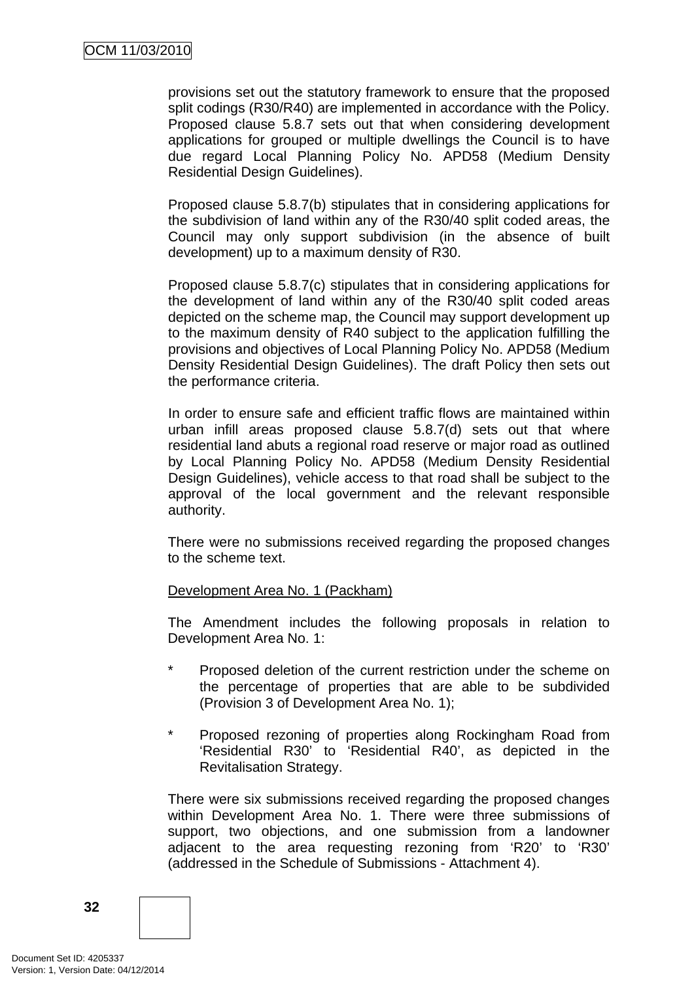provisions set out the statutory framework to ensure that the proposed split codings (R30/R40) are implemented in accordance with the Policy. Proposed clause 5.8.7 sets out that when considering development applications for grouped or multiple dwellings the Council is to have due regard Local Planning Policy No. APD58 (Medium Density Residential Design Guidelines).

Proposed clause 5.8.7(b) stipulates that in considering applications for the subdivision of land within any of the R30/40 split coded areas, the Council may only support subdivision (in the absence of built development) up to a maximum density of R30.

Proposed clause 5.8.7(c) stipulates that in considering applications for the development of land within any of the R30/40 split coded areas depicted on the scheme map, the Council may support development up to the maximum density of R40 subject to the application fulfilling the provisions and objectives of Local Planning Policy No. APD58 (Medium Density Residential Design Guidelines). The draft Policy then sets out the performance criteria.

In order to ensure safe and efficient traffic flows are maintained within urban infill areas proposed clause 5.8.7(d) sets out that where residential land abuts a regional road reserve or major road as outlined by Local Planning Policy No. APD58 (Medium Density Residential Design Guidelines), vehicle access to that road shall be subject to the approval of the local government and the relevant responsible authority.

There were no submissions received regarding the proposed changes to the scheme text.

#### Development Area No. 1 (Packham)

The Amendment includes the following proposals in relation to Development Area No. 1:

- Proposed deletion of the current restriction under the scheme on the percentage of properties that are able to be subdivided (Provision 3 of Development Area No. 1);
- \* Proposed rezoning of properties along Rockingham Road from 'Residential R30' to 'Residential R40', as depicted in the Revitalisation Strategy.

There were six submissions received regarding the proposed changes within Development Area No. 1. There were three submissions of support, two objections, and one submission from a landowner adjacent to the area requesting rezoning from 'R20' to 'R30' (addressed in the Schedule of Submissions - Attachment 4).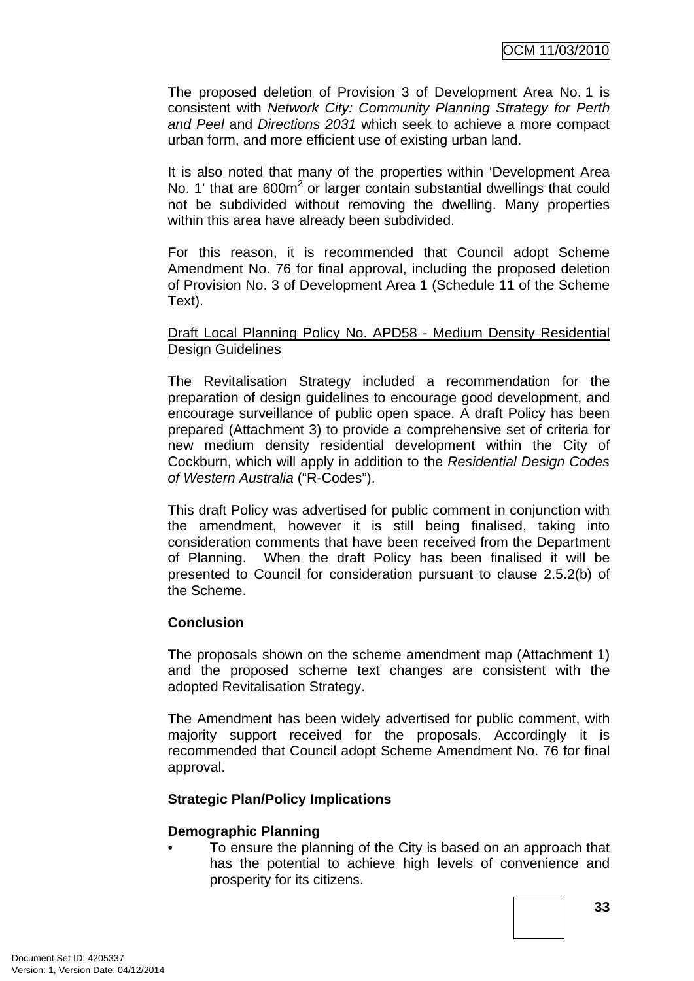The proposed deletion of Provision 3 of Development Area No. 1 is consistent with *Network City: Community Planning Strategy for Perth and Peel* and *Directions 2031* which seek to achieve a more compact urban form, and more efficient use of existing urban land.

It is also noted that many of the properties within 'Development Area No. 1' that are 600m<sup>2</sup> or larger contain substantial dwellings that could not be subdivided without removing the dwelling. Many properties within this area have already been subdivided.

For this reason, it is recommended that Council adopt Scheme Amendment No. 76 for final approval, including the proposed deletion of Provision No. 3 of Development Area 1 (Schedule 11 of the Scheme Text).

### Draft Local Planning Policy No. APD58 - Medium Density Residential Design Guidelines

The Revitalisation Strategy included a recommendation for the preparation of design guidelines to encourage good development, and encourage surveillance of public open space. A draft Policy has been prepared (Attachment 3) to provide a comprehensive set of criteria for new medium density residential development within the City of Cockburn, which will apply in addition to the *Residential Design Codes of Western Australia* ("R-Codes").

This draft Policy was advertised for public comment in conjunction with the amendment, however it is still being finalised, taking into consideration comments that have been received from the Department of Planning. When the draft Policy has been finalised it will be presented to Council for consideration pursuant to clause 2.5.2(b) of the Scheme.

# **Conclusion**

The proposals shown on the scheme amendment map (Attachment 1) and the proposed scheme text changes are consistent with the adopted Revitalisation Strategy.

The Amendment has been widely advertised for public comment, with majority support received for the proposals. Accordingly it is recommended that Council adopt Scheme Amendment No. 76 for final approval.

### **Strategic Plan/Policy Implications**

### **Demographic Planning**

• To ensure the planning of the City is based on an approach that has the potential to achieve high levels of convenience and prosperity for its citizens.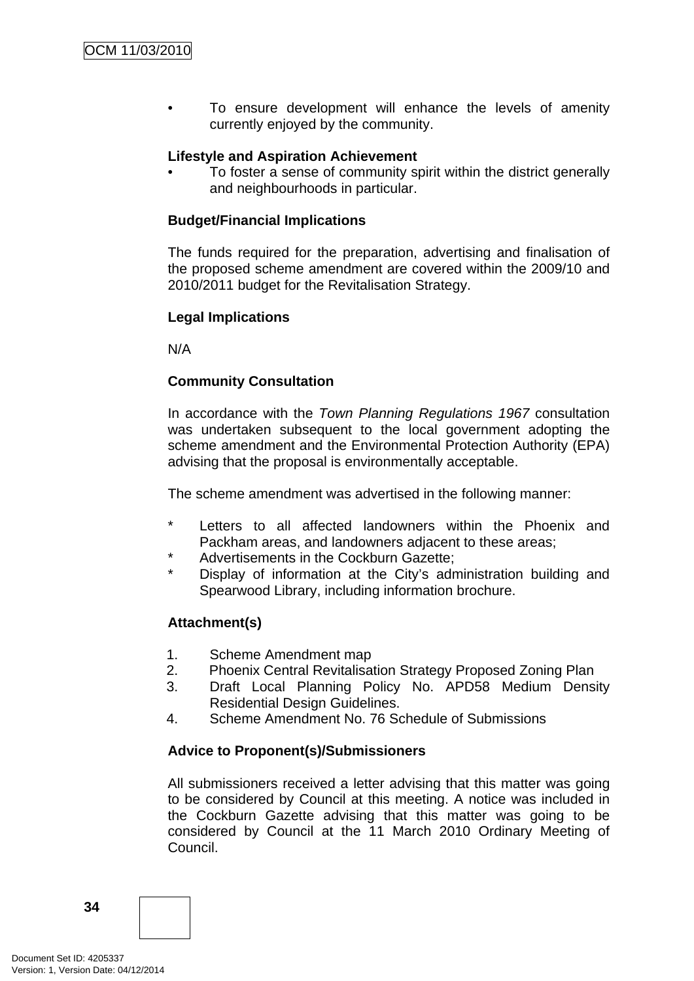To ensure development will enhance the levels of amenity currently enjoyed by the community.

# **Lifestyle and Aspiration Achievement**

• To foster a sense of community spirit within the district generally and neighbourhoods in particular.

### **Budget/Financial Implications**

The funds required for the preparation, advertising and finalisation of the proposed scheme amendment are covered within the 2009/10 and 2010/2011 budget for the Revitalisation Strategy.

#### **Legal Implications**

N/A

### **Community Consultation**

In accordance with the *Town Planning Regulations 1967* consultation was undertaken subsequent to the local government adopting the scheme amendment and the Environmental Protection Authority (EPA) advising that the proposal is environmentally acceptable.

The scheme amendment was advertised in the following manner:

- Letters to all affected landowners within the Phoenix and Packham areas, and landowners adjacent to these areas;
- \* Advertisements in the Cockburn Gazette;
- Display of information at the City's administration building and Spearwood Library, including information brochure.

### **Attachment(s)**

- 1. Scheme Amendment map
- 2. Phoenix Central Revitalisation Strategy Proposed Zoning Plan
- 3. Draft Local Planning Policy No. APD58 Medium Density Residential Design Guidelines.
- 4. Scheme Amendment No. 76 Schedule of Submissions

### **Advice to Proponent(s)/Submissioners**

All submissioners received a letter advising that this matter was going to be considered by Council at this meeting. A notice was included in the Cockburn Gazette advising that this matter was going to be considered by Council at the 11 March 2010 Ordinary Meeting of Council.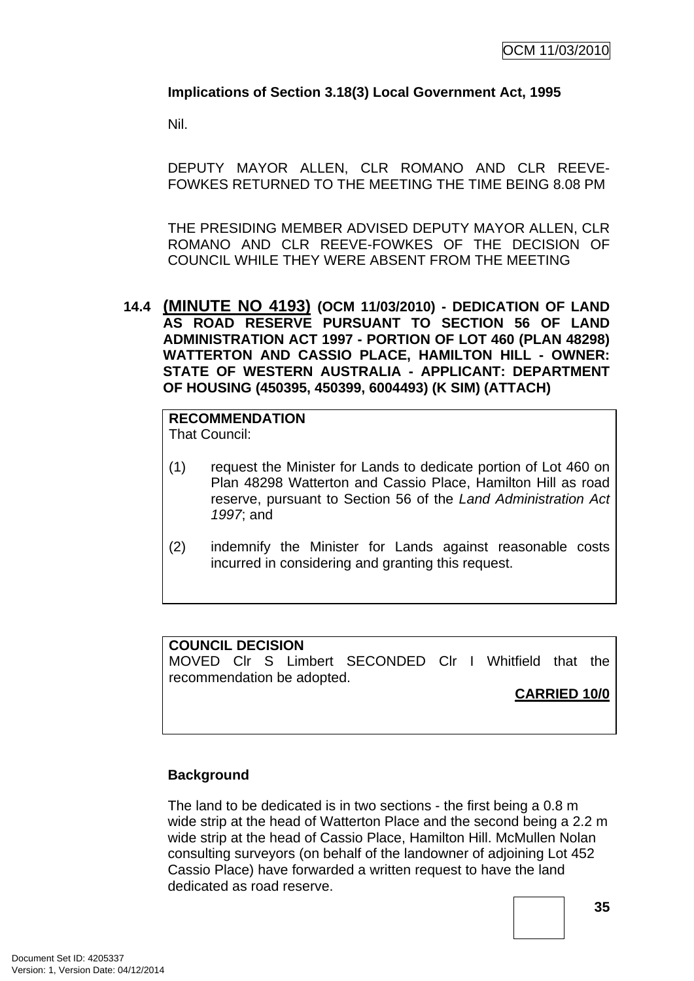# **Implications of Section 3.18(3) Local Government Act, 1995**

Nil.

DEPUTY MAYOR ALLEN, CLR ROMANO AND CLR REEVE-FOWKES RETURNED TO THE MEETING THE TIME BEING 8.08 PM

THE PRESIDING MEMBER ADVISED DEPUTY MAYOR ALLEN, CLR ROMANO AND CLR REEVE-FOWKES OF THE DECISION OF COUNCIL WHILE THEY WERE ABSENT FROM THE MEETING

**14.4 (MINUTE NO 4193) (OCM 11/03/2010) - DEDICATION OF LAND AS ROAD RESERVE PURSUANT TO SECTION 56 OF LAND ADMINISTRATION ACT 1997 - PORTION OF LOT 460 (PLAN 48298) WATTERTON AND CASSIO PLACE, HAMILTON HILL - OWNER: STATE OF WESTERN AUSTRALIA - APPLICANT: DEPARTMENT OF HOUSING (450395, 450399, 6004493) (K SIM) (ATTACH)** 

# **RECOMMENDATION**

That Council:

- (1) request the Minister for Lands to dedicate portion of Lot 460 on Plan 48298 Watterton and Cassio Place, Hamilton Hill as road reserve, pursuant to Section 56 of the *Land Administration Act 1997*; and
- (2) indemnify the Minister for Lands against reasonable costs incurred in considering and granting this request.

### **COUNCIL DECISION**

MOVED Clr S Limbert SECONDED Clr I Whitfield that the recommendation be adopted.

### **CARRIED 10/0**

# **Background**

The land to be dedicated is in two sections - the first being a 0.8 m wide strip at the head of Watterton Place and the second being a 2.2 m wide strip at the head of Cassio Place, Hamilton Hill. McMullen Nolan consulting surveyors (on behalf of the landowner of adjoining Lot 452 Cassio Place) have forwarded a written request to have the land dedicated as road reserve.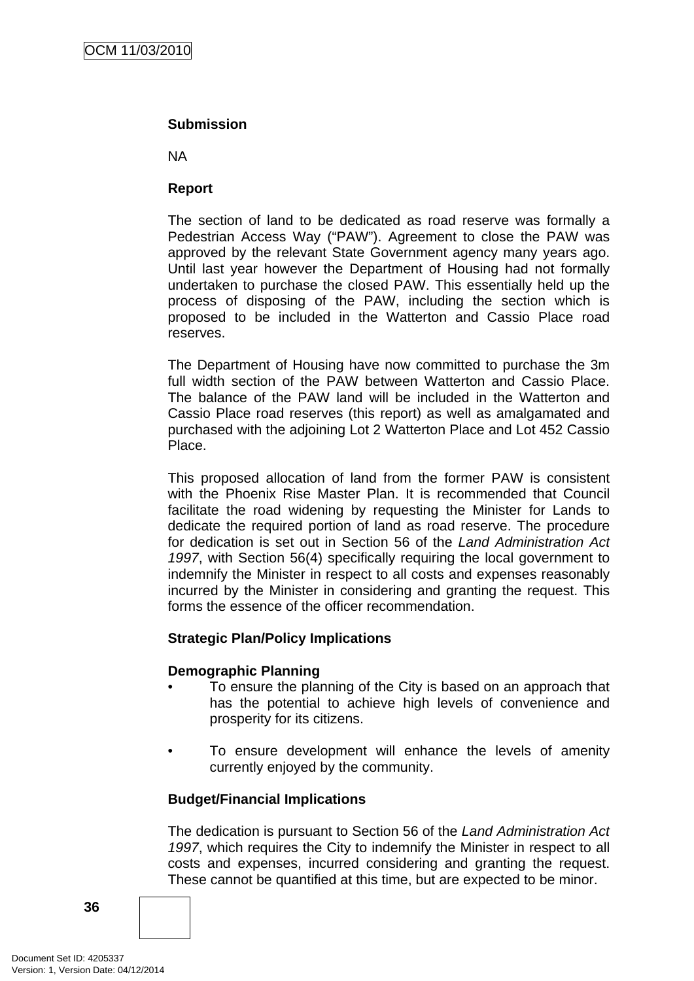# **Submission**

NA

# **Report**

The section of land to be dedicated as road reserve was formally a Pedestrian Access Way ("PAW"). Agreement to close the PAW was approved by the relevant State Government agency many years ago. Until last year however the Department of Housing had not formally undertaken to purchase the closed PAW. This essentially held up the process of disposing of the PAW, including the section which is proposed to be included in the Watterton and Cassio Place road reserves.

The Department of Housing have now committed to purchase the 3m full width section of the PAW between Watterton and Cassio Place. The balance of the PAW land will be included in the Watterton and Cassio Place road reserves (this report) as well as amalgamated and purchased with the adjoining Lot 2 Watterton Place and Lot 452 Cassio Place.

This proposed allocation of land from the former PAW is consistent with the Phoenix Rise Master Plan. It is recommended that Council facilitate the road widening by requesting the Minister for Lands to dedicate the required portion of land as road reserve. The procedure for dedication is set out in Section 56 of the *Land Administration Act 1997*, with Section 56(4) specifically requiring the local government to indemnify the Minister in respect to all costs and expenses reasonably incurred by the Minister in considering and granting the request. This forms the essence of the officer recommendation.

### **Strategic Plan/Policy Implications**

### **Demographic Planning**

- To ensure the planning of the City is based on an approach that has the potential to achieve high levels of convenience and prosperity for its citizens.
- To ensure development will enhance the levels of amenity currently enjoyed by the community.

### **Budget/Financial Implications**

The dedication is pursuant to Section 56 of the *Land Administration Act 1997*, which requires the City to indemnify the Minister in respect to all costs and expenses, incurred considering and granting the request. These cannot be quantified at this time, but are expected to be minor.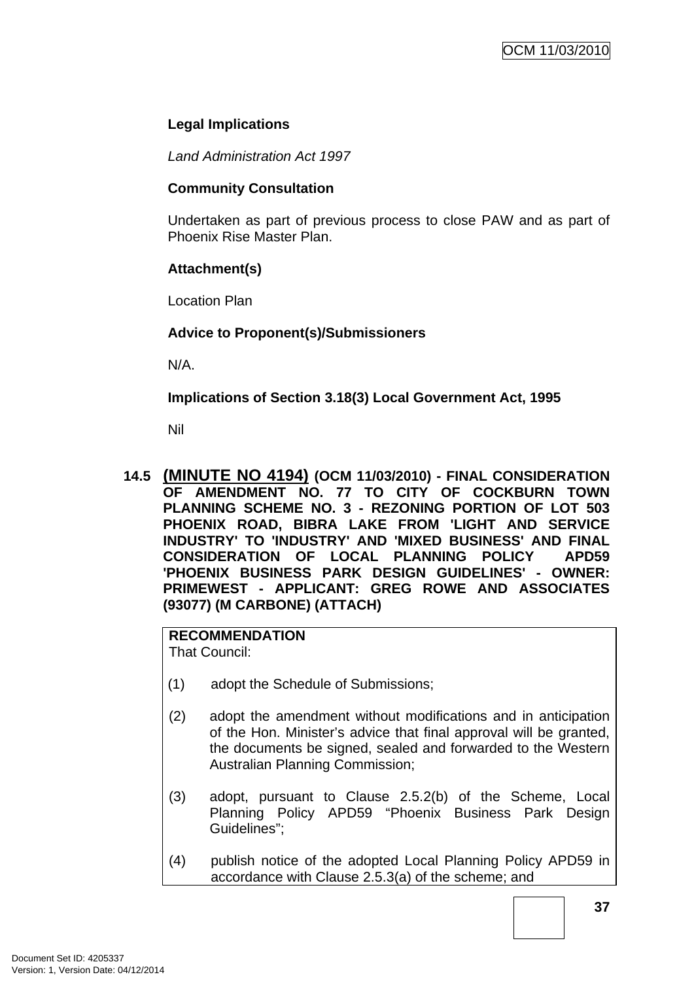# **Legal Implications**

*Land Administration Act 1997* 

# **Community Consultation**

Undertaken as part of previous process to close PAW and as part of Phoenix Rise Master Plan.

# **Attachment(s)**

Location Plan

# **Advice to Proponent(s)/Submissioners**

N/A.

**Implications of Section 3.18(3) Local Government Act, 1995**

Nil

**14.5 (MINUTE NO 4194) (OCM 11/03/2010) - FINAL CONSIDERATION OF AMENDMENT NO. 77 TO CITY OF COCKBURN TOWN PLANNING SCHEME NO. 3 - REZONING PORTION OF LOT 503 PHOENIX ROAD, BIBRA LAKE FROM 'LIGHT AND SERVICE INDUSTRY' TO 'INDUSTRY' AND 'MIXED BUSINESS' AND FINAL CONSIDERATION OF LOCAL PLANNING POLICY APD59 'PHOENIX BUSINESS PARK DESIGN GUIDELINES' - OWNER: PRIMEWEST - APPLICANT: GREG ROWE AND ASSOCIATES (93077) (M CARBONE) (ATTACH)** 

**RECOMMENDATION** That Council:

- (1) adopt the Schedule of Submissions;
- (2) adopt the amendment without modifications and in anticipation of the Hon. Minister's advice that final approval will be granted, the documents be signed, sealed and forwarded to the Western Australian Planning Commission;
- (3) adopt, pursuant to Clause 2.5.2(b) of the Scheme, Local Planning Policy APD59 "Phoenix Business Park Design Guidelines";
- (4) publish notice of the adopted Local Planning Policy APD59 in accordance with Clause 2.5.3(a) of the scheme; and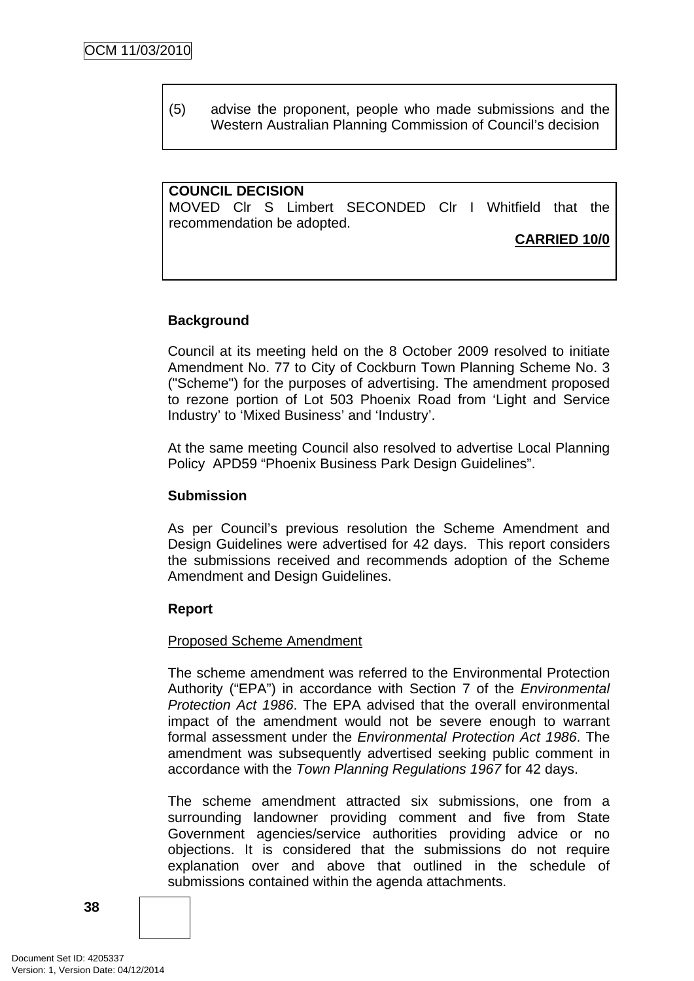(5) advise the proponent, people who made submissions and the Western Australian Planning Commission of Council's decision

# **COUNCIL DECISION**

MOVED Clr S Limbert SECONDED Clr I Whitfield that the recommendation be adopted.

**CARRIED 10/0**

### **Background**

Council at its meeting held on the 8 October 2009 resolved to initiate Amendment No. 77 to City of Cockburn Town Planning Scheme No. 3 ("Scheme") for the purposes of advertising. The amendment proposed to rezone portion of Lot 503 Phoenix Road from 'Light and Service Industry' to 'Mixed Business' and 'Industry'.

At the same meeting Council also resolved to advertise Local Planning Policy APD59 "Phoenix Business Park Design Guidelines".

### **Submission**

As per Council's previous resolution the Scheme Amendment and Design Guidelines were advertised for 42 days. This report considers the submissions received and recommends adoption of the Scheme Amendment and Design Guidelines.

### **Report**

#### Proposed Scheme Amendment

The scheme amendment was referred to the Environmental Protection Authority ("EPA") in accordance with Section 7 of the *Environmental Protection Act 1986*. The EPA advised that the overall environmental impact of the amendment would not be severe enough to warrant formal assessment under the *Environmental Protection Act 1986*. The amendment was subsequently advertised seeking public comment in accordance with the *Town Planning Regulations 1967* for 42 days.

The scheme amendment attracted six submissions, one from a surrounding landowner providing comment and five from State Government agencies/service authorities providing advice or no objections. It is considered that the submissions do not require explanation over and above that outlined in the schedule of submissions contained within the agenda attachments.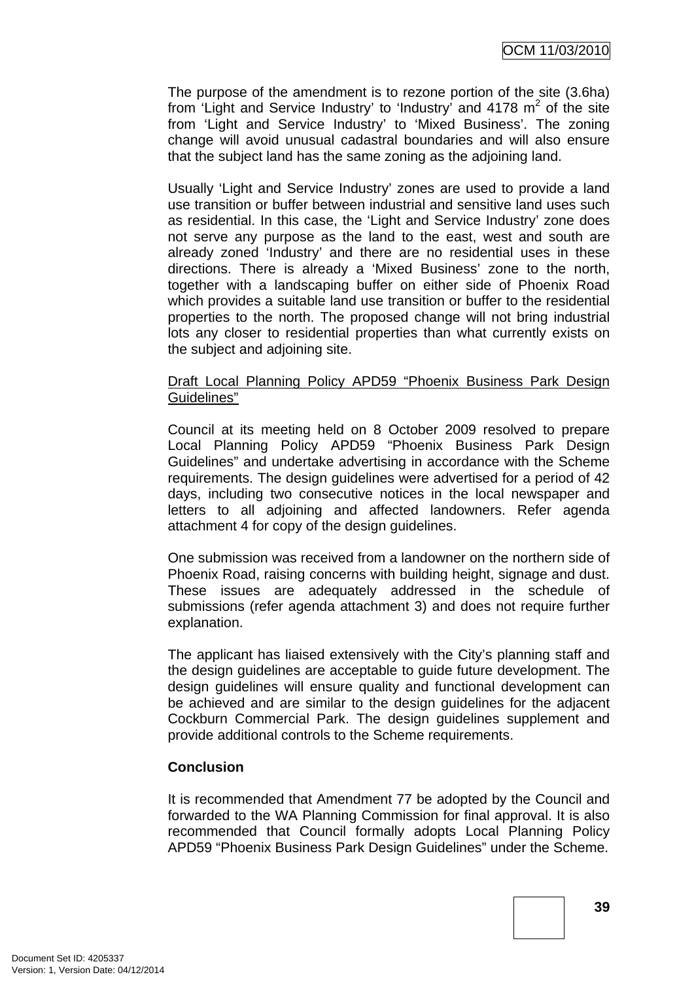The purpose of the amendment is to rezone portion of the site (3.6ha) from 'Light and Service Industry' to 'Industry' and 4178  $m^2$  of the site from 'Light and Service Industry' to 'Mixed Business'. The zoning change will avoid unusual cadastral boundaries and will also ensure that the subject land has the same zoning as the adjoining land.

Usually 'Light and Service Industry' zones are used to provide a land use transition or buffer between industrial and sensitive land uses such as residential. In this case, the 'Light and Service Industry' zone does not serve any purpose as the land to the east, west and south are already zoned 'Industry' and there are no residential uses in these directions. There is already a 'Mixed Business' zone to the north, together with a landscaping buffer on either side of Phoenix Road which provides a suitable land use transition or buffer to the residential properties to the north. The proposed change will not bring industrial lots any closer to residential properties than what currently exists on the subject and adjoining site.

# Draft Local Planning Policy APD59 "Phoenix Business Park Design Guidelines"

Council at its meeting held on 8 October 2009 resolved to prepare Local Planning Policy APD59 "Phoenix Business Park Design Guidelines" and undertake advertising in accordance with the Scheme requirements. The design guidelines were advertised for a period of 42 days, including two consecutive notices in the local newspaper and letters to all adjoining and affected landowners. Refer agenda attachment 4 for copy of the design guidelines.

One submission was received from a landowner on the northern side of Phoenix Road, raising concerns with building height, signage and dust. These issues are adequately addressed in the schedule of submissions (refer agenda attachment 3) and does not require further explanation.

The applicant has liaised extensively with the City's planning staff and the design guidelines are acceptable to guide future development. The design guidelines will ensure quality and functional development can be achieved and are similar to the design guidelines for the adjacent Cockburn Commercial Park. The design guidelines supplement and provide additional controls to the Scheme requirements.

### **Conclusion**

It is recommended that Amendment 77 be adopted by the Council and forwarded to the WA Planning Commission for final approval. It is also recommended that Council formally adopts Local Planning Policy APD59 "Phoenix Business Park Design Guidelines" under the Scheme.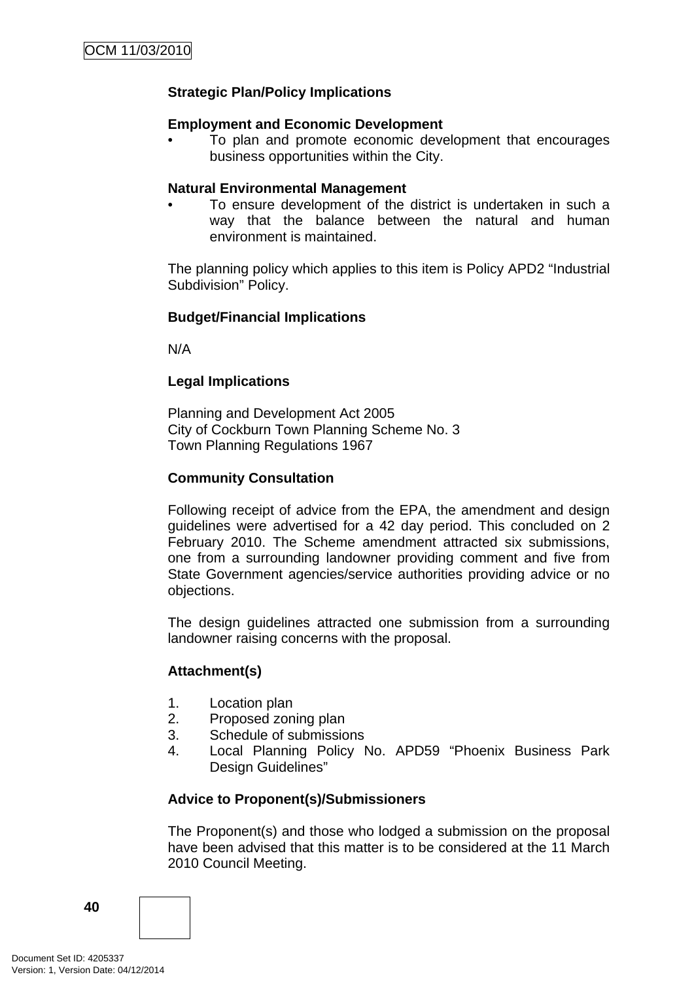# **Strategic Plan/Policy Implications**

### **Employment and Economic Development**

• To plan and promote economic development that encourages business opportunities within the City.

### **Natural Environmental Management**

• To ensure development of the district is undertaken in such a way that the balance between the natural and human environment is maintained.

The planning policy which applies to this item is Policy APD2 "Industrial Subdivision" Policy.

### **Budget/Financial Implications**

N/A

### **Legal Implications**

Planning and Development Act 2005 City of Cockburn Town Planning Scheme No. 3 Town Planning Regulations 1967

### **Community Consultation**

Following receipt of advice from the EPA, the amendment and design guidelines were advertised for a 42 day period. This concluded on 2 February 2010. The Scheme amendment attracted six submissions, one from a surrounding landowner providing comment and five from State Government agencies/service authorities providing advice or no objections.

The design guidelines attracted one submission from a surrounding landowner raising concerns with the proposal.

### **Attachment(s)**

- 1. Location plan
- 2. Proposed zoning plan
- 3. Schedule of submissions
- 4. Local Planning Policy No. APD59 "Phoenix Business Park Design Guidelines"

### **Advice to Proponent(s)/Submissioners**

The Proponent(s) and those who lodged a submission on the proposal have been advised that this matter is to be considered at the 11 March 2010 Council Meeting.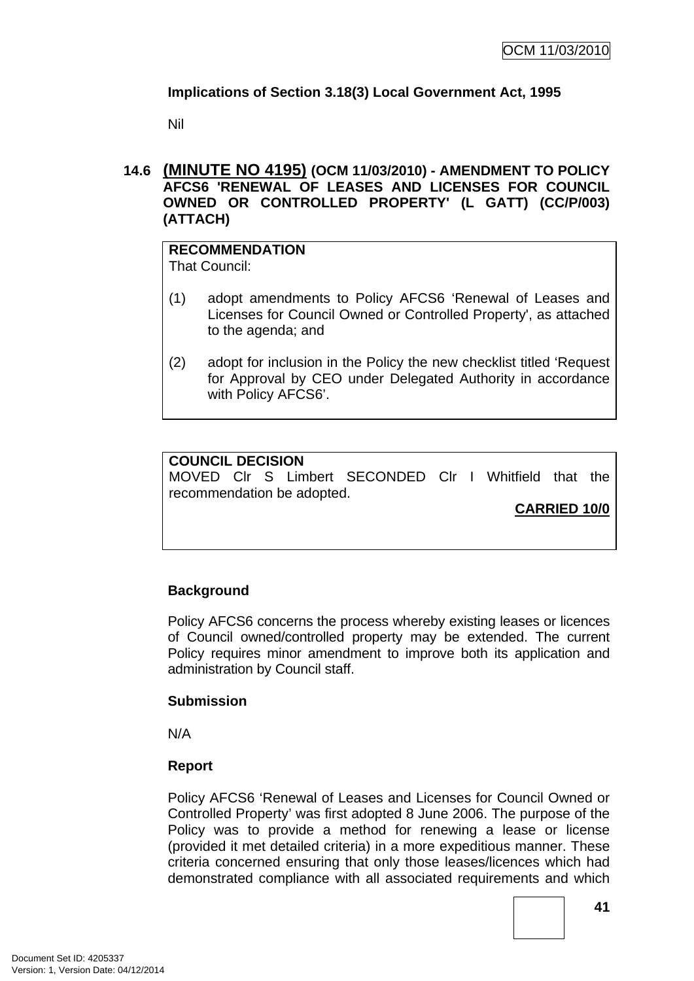# **Implications of Section 3.18(3) Local Government Act, 1995**

Nil

# **14.6 (MINUTE NO 4195) (OCM 11/03/2010) - AMENDMENT TO POLICY AFCS6 'RENEWAL OF LEASES AND LICENSES FOR COUNCIL OWNED OR CONTROLLED PROPERTY' (L GATT) (CC/P/003) (ATTACH)**

#### **RECOMMENDATION** That Council:

- (1) adopt amendments to Policy AFCS6 'Renewal of Leases and Licenses for Council Owned or Controlled Property', as attached to the agenda; and
- (2) adopt for inclusion in the Policy the new checklist titled 'Request for Approval by CEO under Delegated Authority in accordance with Policy AFCS6'.

# **COUNCIL DECISION**

MOVED Clr S Limbert SECONDED Clr I Whitfield that the recommendation be adopted.

**CARRIED 10/0**

# **Background**

Policy AFCS6 concerns the process whereby existing leases or licences of Council owned/controlled property may be extended. The current Policy requires minor amendment to improve both its application and administration by Council staff.

# **Submission**

N/A

# **Report**

Policy AFCS6 'Renewal of Leases and Licenses for Council Owned or Controlled Property' was first adopted 8 June 2006. The purpose of the Policy was to provide a method for renewing a lease or license (provided it met detailed criteria) in a more expeditious manner. These criteria concerned ensuring that only those leases/licences which had demonstrated compliance with all associated requirements and which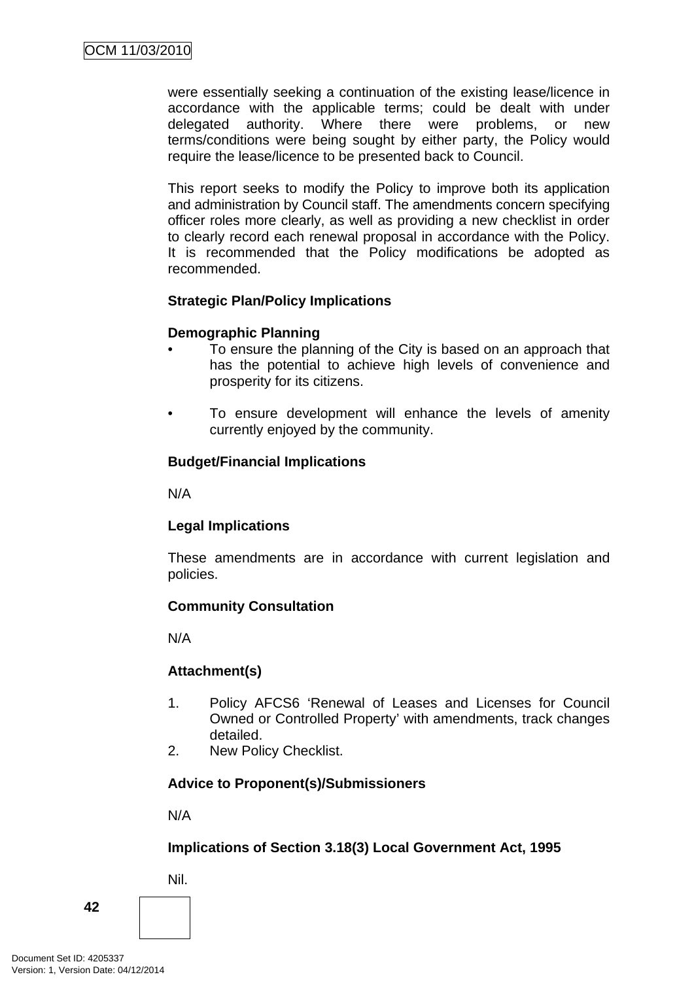were essentially seeking a continuation of the existing lease/licence in accordance with the applicable terms; could be dealt with under delegated authority. Where there were problems, or new terms/conditions were being sought by either party, the Policy would require the lease/licence to be presented back to Council.

This report seeks to modify the Policy to improve both its application and administration by Council staff. The amendments concern specifying officer roles more clearly, as well as providing a new checklist in order to clearly record each renewal proposal in accordance with the Policy. It is recommended that the Policy modifications be adopted as recommended.

# **Strategic Plan/Policy Implications**

### **Demographic Planning**

- To ensure the planning of the City is based on an approach that has the potential to achieve high levels of convenience and prosperity for its citizens.
- To ensure development will enhance the levels of amenity currently enjoyed by the community.

# **Budget/Financial Implications**

N/A

# **Legal Implications**

These amendments are in accordance with current legislation and policies.

### **Community Consultation**

N/A

### **Attachment(s)**

- 1. Policy AFCS6 'Renewal of Leases and Licenses for Council Owned or Controlled Property' with amendments, track changes detailed.
- 2. New Policy Checklist.

### **Advice to Proponent(s)/Submissioners**

N/A

# **Implications of Section 3.18(3) Local Government Act, 1995**

Nil.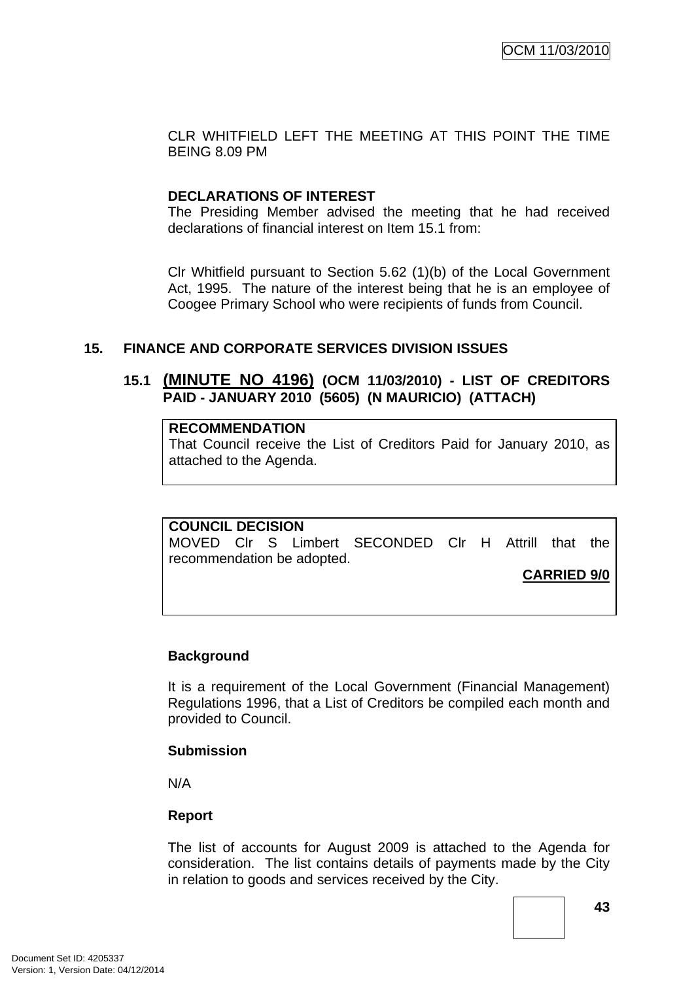# CLR WHITFIELD LEFT THE MEETING AT THIS POINT THE TIME BEING 8.09 PM

### **DECLARATIONS OF INTEREST**

The Presiding Member advised the meeting that he had received declarations of financial interest on Item 15.1 from:

Clr Whitfield pursuant to Section 5.62 (1)(b) of the Local Government Act, 1995. The nature of the interest being that he is an employee of Coogee Primary School who were recipients of funds from Council.

### **15. FINANCE AND CORPORATE SERVICES DIVISION ISSUES**

### **15.1 (MINUTE NO 4196) (OCM 11/03/2010) - LIST OF CREDITORS PAID - JANUARY 2010 (5605) (N MAURICIO) (ATTACH)**

# **RECOMMENDATION**

That Council receive the List of Creditors Paid for January 2010, as attached to the Agenda.

#### **COUNCIL DECISION**

MOVED Clr S Limbert SECONDED Clr H Attrill that the recommendation be adopted.

**CARRIED 9/0**

### **Background**

It is a requirement of the Local Government (Financial Management) Regulations 1996, that a List of Creditors be compiled each month and provided to Council.

#### **Submission**

N/A

#### **Report**

The list of accounts for August 2009 is attached to the Agenda for consideration. The list contains details of payments made by the City in relation to goods and services received by the City.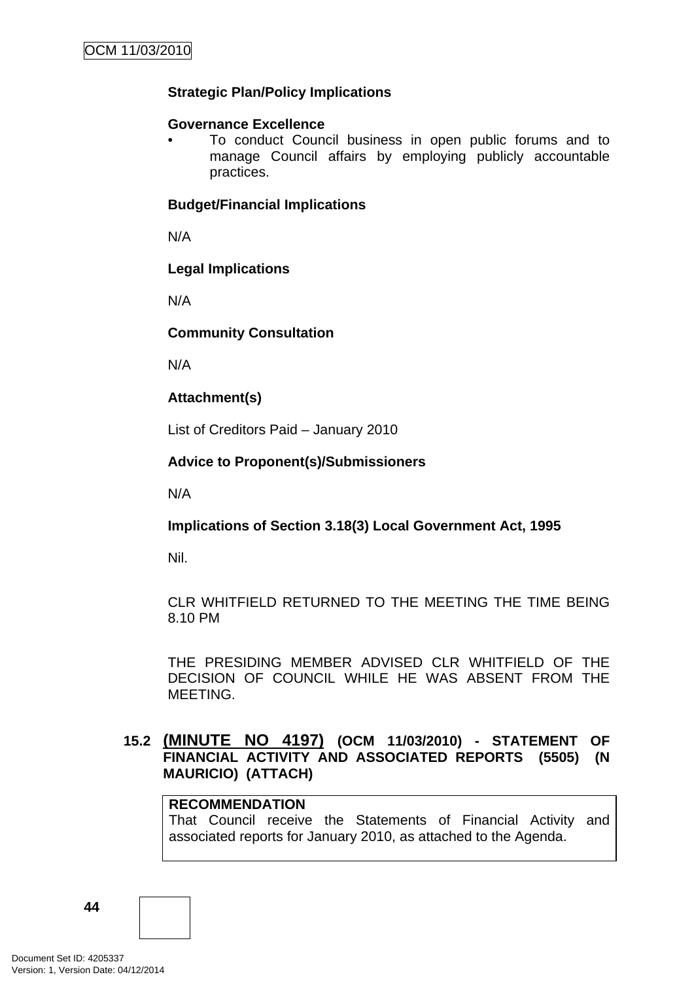# **Strategic Plan/Policy Implications**

### **Governance Excellence**

• To conduct Council business in open public forums and to manage Council affairs by employing publicly accountable practices.

### **Budget/Financial Implications**

N/A

### **Legal Implications**

N/A

### **Community Consultation**

N/A

# **Attachment(s)**

List of Creditors Paid – January 2010

# **Advice to Proponent(s)/Submissioners**

N/A

# **Implications of Section 3.18(3) Local Government Act, 1995**

Nil.

# CLR WHITFIELD RETURNED TO THE MEETING THE TIME BEING 8.10 PM

THE PRESIDING MEMBER ADVISED CLR WHITFIELD OF THE DECISION OF COUNCIL WHILE HE WAS ABSENT FROM THE MEETING.

# **15.2 (MINUTE NO 4197) (OCM 11/03/2010) - STATEMENT OF FINANCIAL ACTIVITY AND ASSOCIATED REPORTS (5505) (N MAURICIO) (ATTACH)**

# **RECOMMENDATION**

That Council receive the Statements of Financial Activity and associated reports for January 2010, as attached to the Agenda.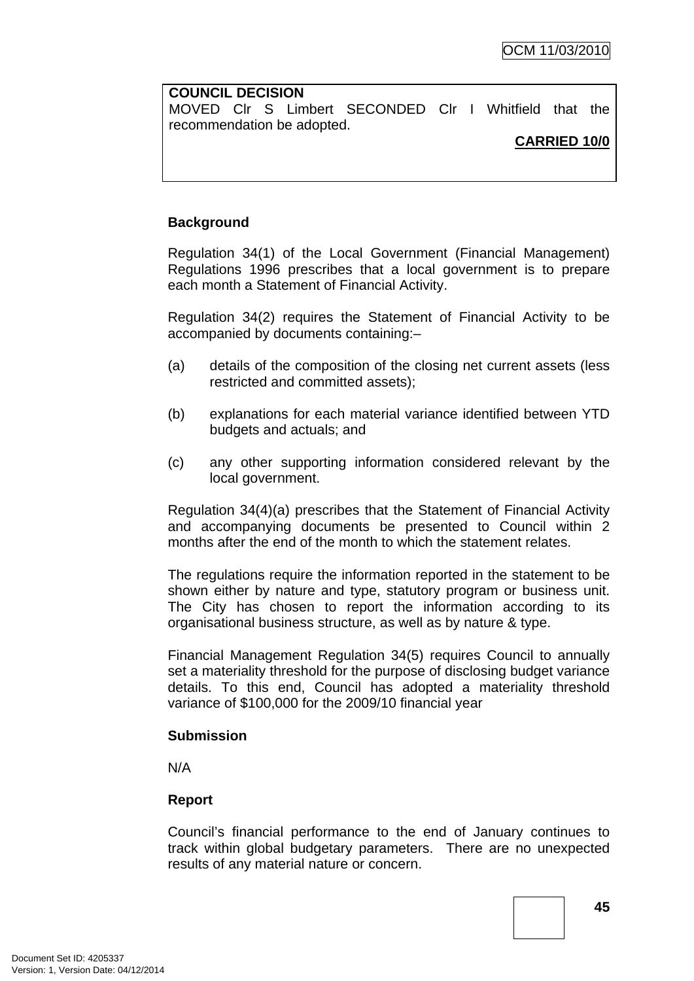#### **COUNCIL DECISION**

MOVED Clr S Limbert SECONDED Clr I Whitfield that the recommendation be adopted.

#### **CARRIED 10/0**

# **Background**

Regulation 34(1) of the Local Government (Financial Management) Regulations 1996 prescribes that a local government is to prepare each month a Statement of Financial Activity.

Regulation 34(2) requires the Statement of Financial Activity to be accompanied by documents containing:–

- (a) details of the composition of the closing net current assets (less restricted and committed assets);
- (b) explanations for each material variance identified between YTD budgets and actuals; and
- (c) any other supporting information considered relevant by the local government.

Regulation 34(4)(a) prescribes that the Statement of Financial Activity and accompanying documents be presented to Council within 2 months after the end of the month to which the statement relates.

The regulations require the information reported in the statement to be shown either by nature and type, statutory program or business unit. The City has chosen to report the information according to its organisational business structure, as well as by nature & type.

Financial Management Regulation 34(5) requires Council to annually set a materiality threshold for the purpose of disclosing budget variance details. To this end, Council has adopted a materiality threshold variance of \$100,000 for the 2009/10 financial year

#### **Submission**

N/A

### **Report**

Council's financial performance to the end of January continues to track within global budgetary parameters. There are no unexpected results of any material nature or concern.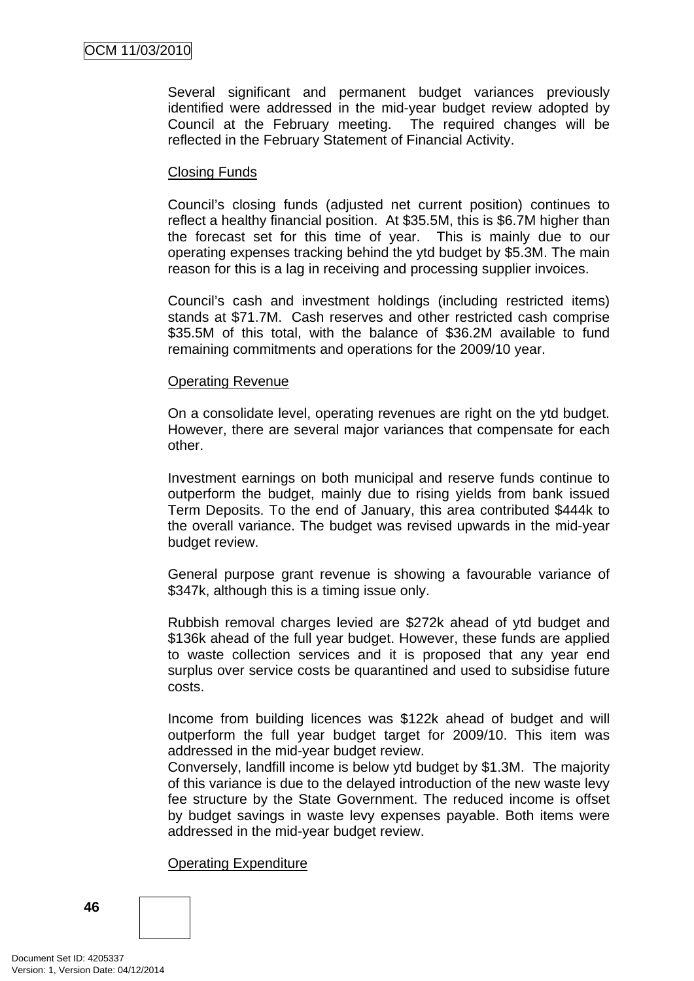Several significant and permanent budget variances previously identified were addressed in the mid-year budget review adopted by Council at the February meeting. The required changes will be reflected in the February Statement of Financial Activity.

# Closing Funds

Council's closing funds (adjusted net current position) continues to reflect a healthy financial position. At \$35.5M, this is \$6.7M higher than the forecast set for this time of year. This is mainly due to our operating expenses tracking behind the ytd budget by \$5.3M. The main reason for this is a lag in receiving and processing supplier invoices.

Council's cash and investment holdings (including restricted items) stands at \$71.7M. Cash reserves and other restricted cash comprise \$35.5M of this total, with the balance of \$36.2M available to fund remaining commitments and operations for the 2009/10 year.

### Operating Revenue

On a consolidate level, operating revenues are right on the ytd budget. However, there are several major variances that compensate for each other.

Investment earnings on both municipal and reserve funds continue to outperform the budget, mainly due to rising yields from bank issued Term Deposits. To the end of January, this area contributed \$444k to the overall variance. The budget was revised upwards in the mid-year budget review.

General purpose grant revenue is showing a favourable variance of \$347k, although this is a timing issue only.

Rubbish removal charges levied are \$272k ahead of ytd budget and \$136k ahead of the full year budget. However, these funds are applied to waste collection services and it is proposed that any year end surplus over service costs be quarantined and used to subsidise future costs.

Income from building licences was \$122k ahead of budget and will outperform the full year budget target for 2009/10. This item was addressed in the mid-year budget review.

Conversely, landfill income is below ytd budget by \$1.3M. The majority of this variance is due to the delayed introduction of the new waste levy fee structure by the State Government. The reduced income is offset by budget savings in waste levy expenses payable. Both items were addressed in the mid-year budget review.

### Operating Expenditure

**46**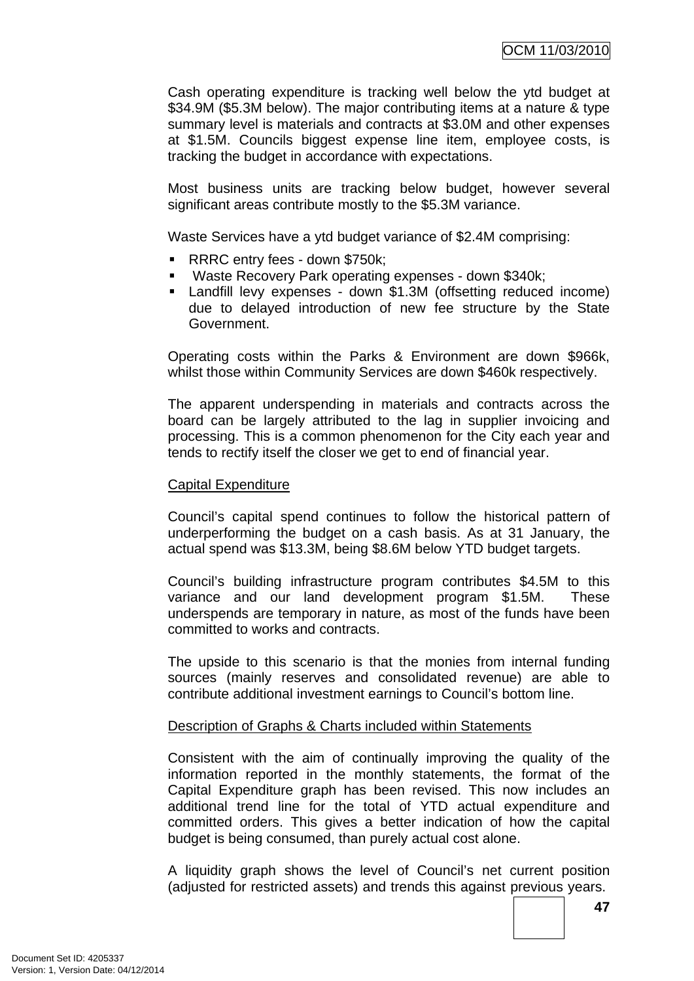Cash operating expenditure is tracking well below the ytd budget at \$34.9M (\$5.3M below). The major contributing items at a nature & type summary level is materials and contracts at \$3.0M and other expenses at \$1.5M. Councils biggest expense line item, employee costs, is tracking the budget in accordance with expectations.

Most business units are tracking below budget, however several significant areas contribute mostly to the \$5.3M variance.

Waste Services have a ytd budget variance of \$2.4M comprising:

- RRRC entry fees down \$750k;
- Waste Recovery Park operating expenses down \$340k;
- Landfill levy expenses down \$1.3M (offsetting reduced income) due to delayed introduction of new fee structure by the State Government.

Operating costs within the Parks & Environment are down \$966k, whilst those within Community Services are down \$460k respectively.

The apparent underspending in materials and contracts across the board can be largely attributed to the lag in supplier invoicing and processing. This is a common phenomenon for the City each year and tends to rectify itself the closer we get to end of financial year.

#### Capital Expenditure

Council's capital spend continues to follow the historical pattern of underperforming the budget on a cash basis. As at 31 January, the actual spend was \$13.3M, being \$8.6M below YTD budget targets.

Council's building infrastructure program contributes \$4.5M to this variance and our land development program \$1.5M. These underspends are temporary in nature, as most of the funds have been committed to works and contracts.

The upside to this scenario is that the monies from internal funding sources (mainly reserves and consolidated revenue) are able to contribute additional investment earnings to Council's bottom line.

#### Description of Graphs & Charts included within Statements

Consistent with the aim of continually improving the quality of the information reported in the monthly statements, the format of the Capital Expenditure graph has been revised. This now includes an additional trend line for the total of YTD actual expenditure and committed orders. This gives a better indication of how the capital budget is being consumed, than purely actual cost alone.

A liquidity graph shows the level of Council's net current position (adjusted for restricted assets) and trends this against previous years.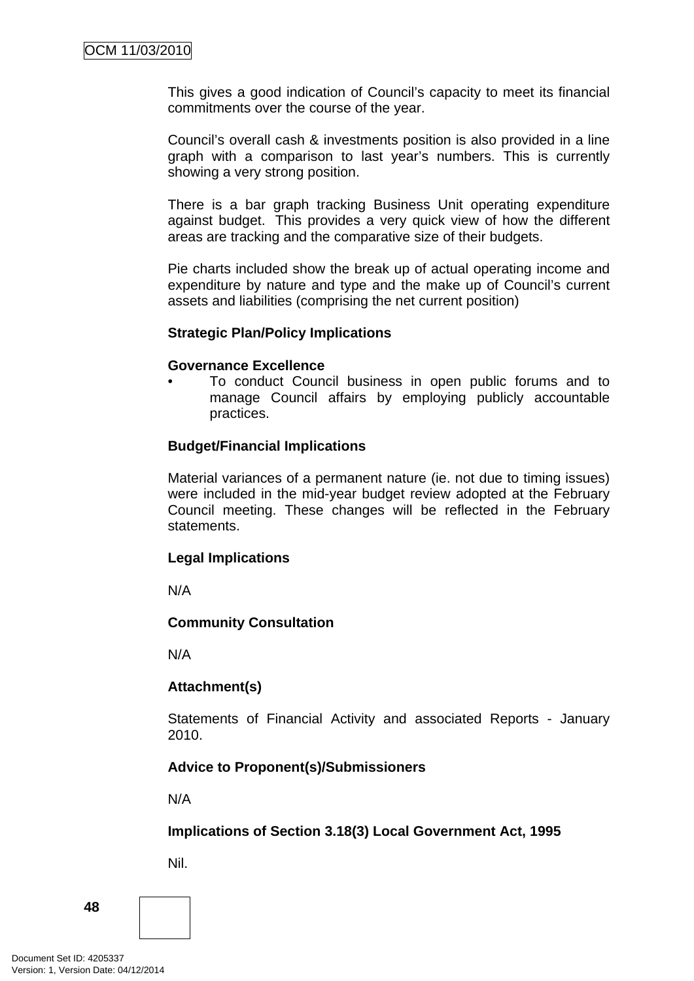This gives a good indication of Council's capacity to meet its financial commitments over the course of the year.

Council's overall cash & investments position is also provided in a line graph with a comparison to last year's numbers. This is currently showing a very strong position.

There is a bar graph tracking Business Unit operating expenditure against budget. This provides a very quick view of how the different areas are tracking and the comparative size of their budgets.

Pie charts included show the break up of actual operating income and expenditure by nature and type and the make up of Council's current assets and liabilities (comprising the net current position)

#### **Strategic Plan/Policy Implications**

#### **Governance Excellence**

• To conduct Council business in open public forums and to manage Council affairs by employing publicly accountable practices.

#### **Budget/Financial Implications**

Material variances of a permanent nature (ie. not due to timing issues) were included in the mid-year budget review adopted at the February Council meeting. These changes will be reflected in the February statements.

#### **Legal Implications**

N/A

### **Community Consultation**

N/A

### **Attachment(s)**

Statements of Financial Activity and associated Reports - January 2010.

### **Advice to Proponent(s)/Submissioners**

N/A

### **Implications of Section 3.18(3) Local Government Act, 1995**

Nil.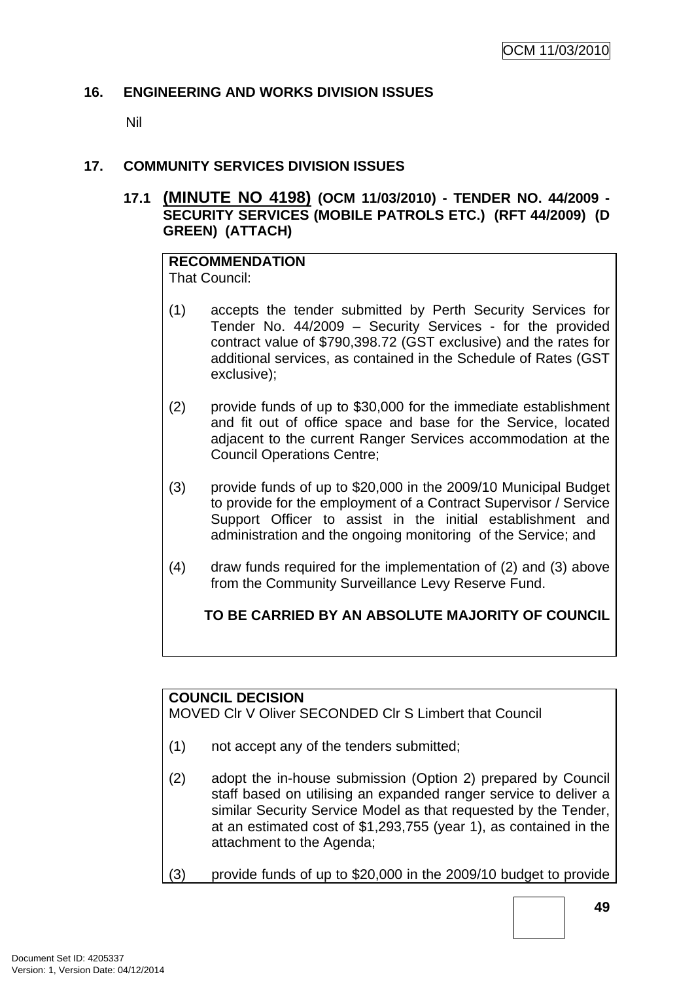# **16. ENGINEERING AND WORKS DIVISION ISSUES**

Nil

# **17. COMMUNITY SERVICES DIVISION ISSUES**

# **17.1 (MINUTE NO 4198) (OCM 11/03/2010) - TENDER NO. 44/2009 - SECURITY SERVICES (MOBILE PATROLS ETC.) (RFT 44/2009) (D GREEN) (ATTACH)**

# **RECOMMENDATION**

That Council:

- (1) accepts the tender submitted by Perth Security Services for Tender No. 44/2009 – Security Services - for the provided contract value of \$790,398.72 (GST exclusive) and the rates for additional services, as contained in the Schedule of Rates (GST exclusive);
- (2) provide funds of up to \$30,000 for the immediate establishment and fit out of office space and base for the Service, located adjacent to the current Ranger Services accommodation at the Council Operations Centre;
- (3) provide funds of up to \$20,000 in the 2009/10 Municipal Budget to provide for the employment of a Contract Supervisor / Service Support Officer to assist in the initial establishment and administration and the ongoing monitoring of the Service; and
- (4) draw funds required for the implementation of (2) and (3) above from the Community Surveillance Levy Reserve Fund.

**TO BE CARRIED BY AN ABSOLUTE MAJORITY OF COUNCIL**

# **COUNCIL DECISION**

MOVED Clr V Oliver SECONDED Clr S Limbert that Council

- (1) not accept any of the tenders submitted;
- (2) adopt the in-house submission (Option 2) prepared by Council staff based on utilising an expanded ranger service to deliver a similar Security Service Model as that requested by the Tender, at an estimated cost of \$1,293,755 (year 1), as contained in the attachment to the Agenda;
- (3) provide funds of up to \$20,000 in the 2009/10 budget to provide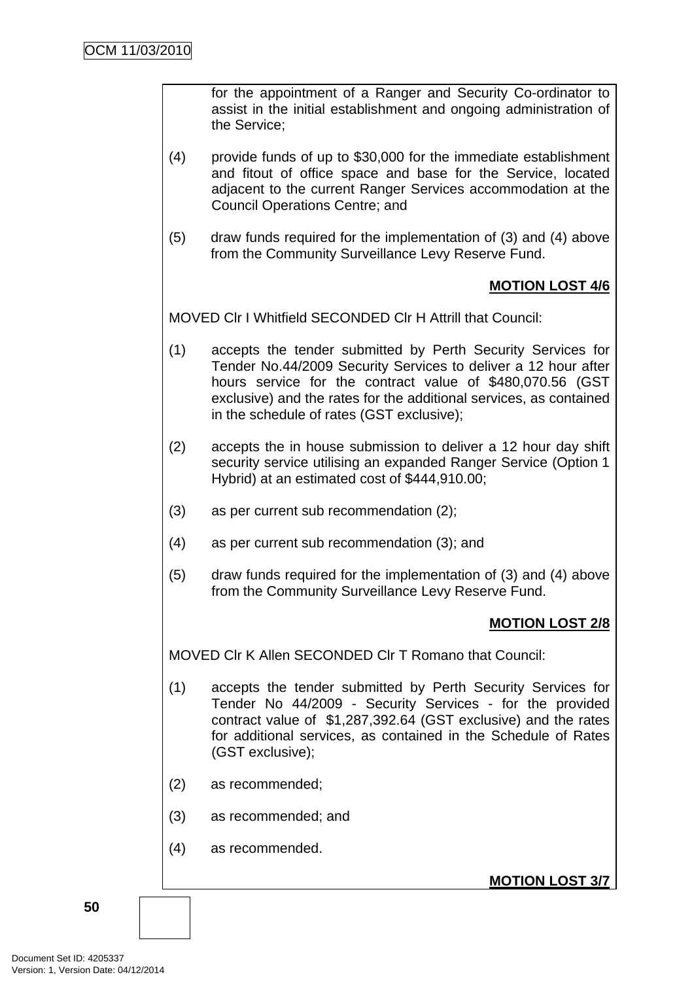for the appointment of a Ranger and Security Co-ordinator to assist in the initial establishment and ongoing administration of the Service;

- (4) provide funds of up to \$30,000 for the immediate establishment and fitout of office space and base for the Service, located adjacent to the current Ranger Services accommodation at the Council Operations Centre; and
- (5) draw funds required for the implementation of (3) and (4) above from the Community Surveillance Levy Reserve Fund.

# **MOTION LOST 4/6**

MOVED Clr I Whitfield SECONDED Clr H Attrill that Council:

- (1) accepts the tender submitted by Perth Security Services for Tender No.44/2009 Security Services to deliver a 12 hour after hours service for the contract value of \$480,070.56 (GST exclusive) and the rates for the additional services, as contained in the schedule of rates (GST exclusive);
- (2) accepts the in house submission to deliver a 12 hour day shift security service utilising an expanded Ranger Service (Option 1 Hybrid) at an estimated cost of \$444,910.00;
- (3) as per current sub recommendation (2);
- (4) as per current sub recommendation (3); and
- (5) draw funds required for the implementation of (3) and (4) above from the Community Surveillance Levy Reserve Fund.

# **MOTION LOST 2/8**

MOVED Clr K Allen SECONDED Clr T Romano that Council:

- (1) accepts the tender submitted by Perth Security Services for Tender No 44/2009 - Security Services - for the provided contract value of \$1,287,392.64 (GST exclusive) and the rates for additional services, as contained in the Schedule of Rates (GST exclusive);
- (2) as recommended;
- (3) as recommended; and
- (4) as recommended.

**MOTION LOST 3/7**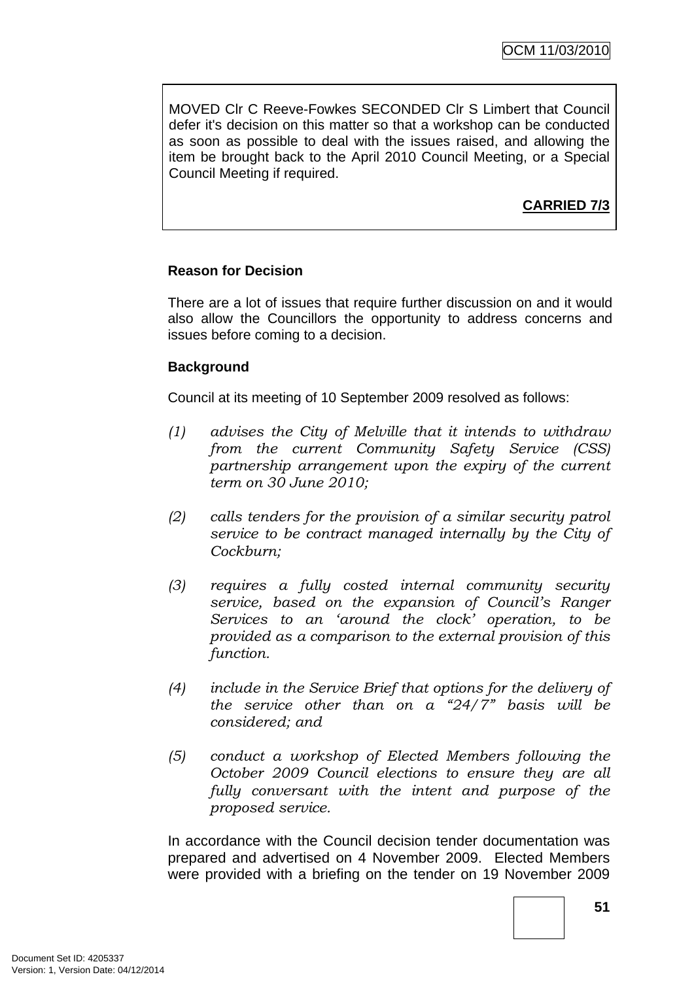MOVED Clr C Reeve-Fowkes SECONDED Clr S Limbert that Council defer it's decision on this matter so that a workshop can be conducted as soon as possible to deal with the issues raised, and allowing the item be brought back to the April 2010 Council Meeting, or a Special Council Meeting if required.

# **CARRIED 7/3**

# **Reason for Decision**

There are a lot of issues that require further discussion on and it would also allow the Councillors the opportunity to address concerns and issues before coming to a decision.

# **Background**

Council at its meeting of 10 September 2009 resolved as follows:

- *(1) advises the City of Melville that it intends to withdraw from the current Community Safety Service (CSS) partnership arrangement upon the expiry of the current term on 30 June 2010;*
- *(2) calls tenders for the provision of a similar security patrol service to be contract managed internally by the City of Cockburn;*
- *(3) requires a fully costed internal community security service, based on the expansion of Council's Ranger Services to an 'around the clock' operation, to be provided as a comparison to the external provision of this function.*
- *(4) include in the Service Brief that options for the delivery of the service other than on a "24/7" basis will be considered; and*
- *(5) conduct a workshop of Elected Members following the October 2009 Council elections to ensure they are all fully conversant with the intent and purpose of the proposed service.*

In accordance with the Council decision tender documentation was prepared and advertised on 4 November 2009. Elected Members were provided with a briefing on the tender on 19 November 2009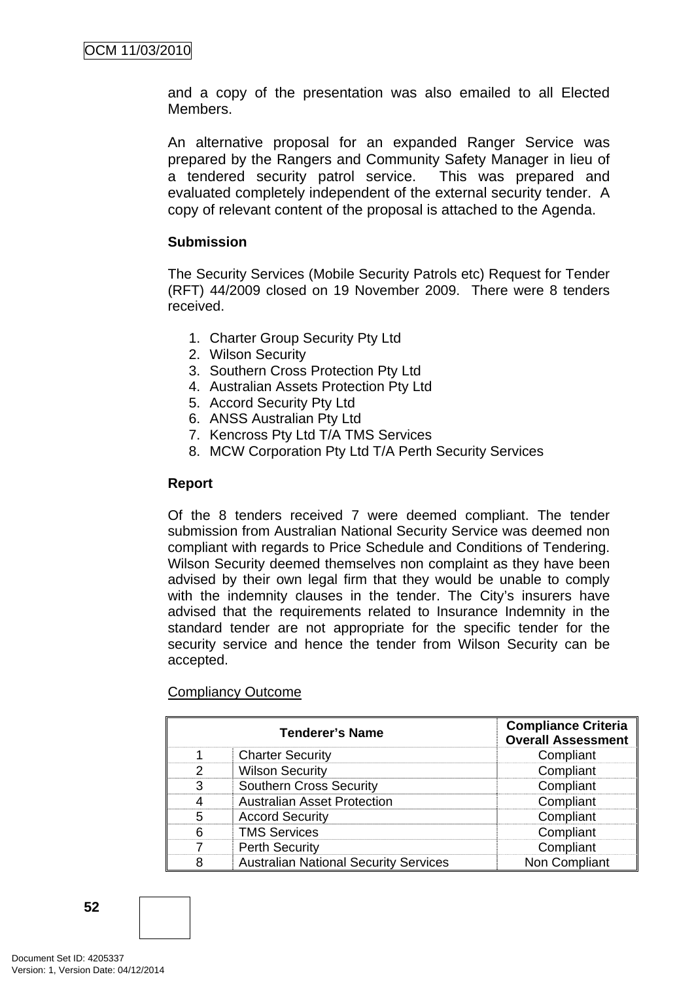and a copy of the presentation was also emailed to all Elected Members.

An alternative proposal for an expanded Ranger Service was prepared by the Rangers and Community Safety Manager in lieu of a tendered security patrol service. This was prepared and evaluated completely independent of the external security tender. A copy of relevant content of the proposal is attached to the Agenda.

# **Submission**

The Security Services (Mobile Security Patrols etc) Request for Tender (RFT) 44/2009 closed on 19 November 2009. There were 8 tenders received.

- 1. Charter Group Security Pty Ltd
- 2. Wilson Security
- 3. Southern Cross Protection Pty Ltd
- 4. Australian Assets Protection Pty Ltd
- 5. Accord Security Pty Ltd
- 6. ANSS Australian Pty Ltd
- 7. Kencross Pty Ltd T/A TMS Services
- 8. MCW Corporation Pty Ltd T/A Perth Security Services

#### **Report**

Of the 8 tenders received 7 were deemed compliant. The tender submission from Australian National Security Service was deemed non compliant with regards to Price Schedule and Conditions of Tendering. Wilson Security deemed themselves non complaint as they have been advised by their own legal firm that they would be unable to comply with the indemnity clauses in the tender. The City's insurers have advised that the requirements related to Insurance Indemnity in the standard tender are not appropriate for the specific tender for the security service and hence the tender from Wilson Security can be accepted.

### Compliancy Outcome

| <b>Tenderer's Name</b> |                                              | <b>Compliance Criteria</b><br><b>Overall Assessment</b> |
|------------------------|----------------------------------------------|---------------------------------------------------------|
|                        | <b>Charter Security</b>                      | Compliant                                               |
| ົ                      | <b>Wilson Security</b>                       | Compliant                                               |
| વ                      | <b>Southern Cross Security</b>               | Compliant                                               |
|                        | <b>Australian Asset Protection</b>           | Compliant                                               |
|                        | <b>Accord Security</b>                       | Compliant                                               |
| 6                      | <b>TMS Services</b>                          | Compliant                                               |
|                        | <b>Perth Security</b>                        | Compliant                                               |
|                        | <b>Australian National Security Services</b> | Non Compliant                                           |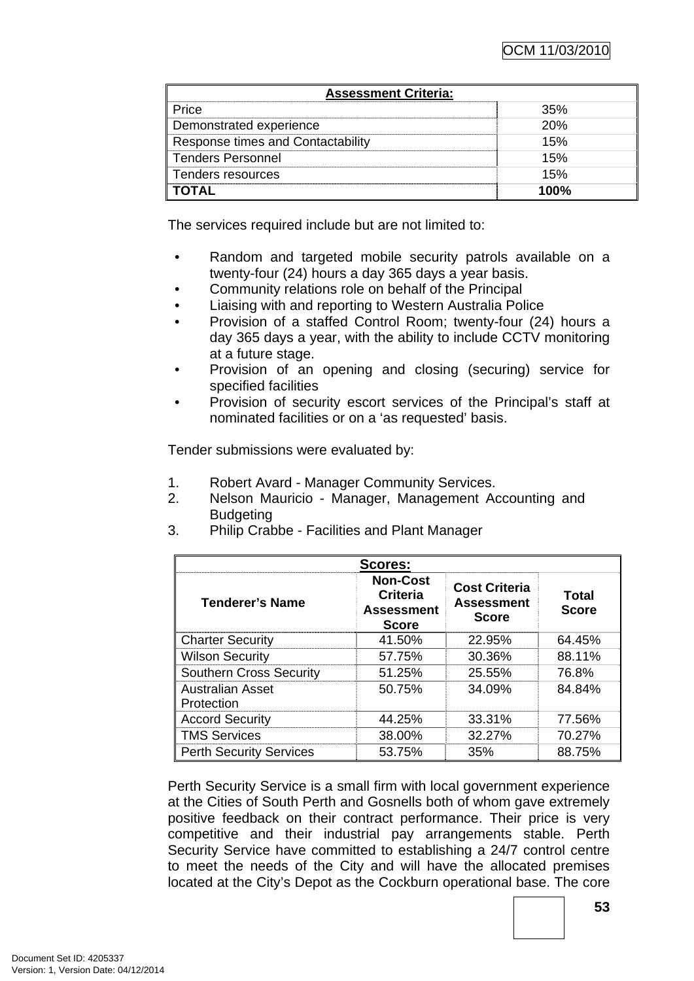| <b>Assessment Criteria:</b>       |     |  |  |  |
|-----------------------------------|-----|--|--|--|
| Price                             | 35% |  |  |  |
| Demonstrated experience           | 20% |  |  |  |
| Response times and Contactability | 15% |  |  |  |
| <b>Tenders Personnel</b>          | 15% |  |  |  |
| Tenders resources                 | 15% |  |  |  |
| ΤΟΤΑL                             | nn% |  |  |  |

The services required include but are not limited to:

- Random and targeted mobile security patrols available on a twenty-four (24) hours a day 365 days a year basis.
- Community relations role on behalf of the Principal
- Liaising with and reporting to Western Australia Police
- Provision of a staffed Control Room; twenty-four (24) hours a day 365 days a year, with the ability to include CCTV monitoring at a future stage.
- Provision of an opening and closing (securing) service for specified facilities
- Provision of security escort services of the Principal's staff at nominated facilities or on a 'as requested' basis.

Tender submissions were evaluated by:

- 1. Robert Avard Manager Community Services.
- 2. Nelson Mauricio Manager, Management Accounting and **Budgeting**
- 3. Philip Crabbe Facilities and Plant Manager

| <b>Scores:</b>                        |                                                                         |                                                           |                       |  |  |  |
|---------------------------------------|-------------------------------------------------------------------------|-----------------------------------------------------------|-----------------------|--|--|--|
| <b>Tenderer's Name</b>                | <b>Non-Cost</b><br><b>Criteria</b><br><b>Assessment</b><br><b>Score</b> | <b>Cost Criteria</b><br><b>Assessment</b><br><b>Score</b> | Total<br><b>Score</b> |  |  |  |
| <b>Charter Security</b>               | 41.50%                                                                  | 22.95%                                                    | 64.45%                |  |  |  |
| <b>Wilson Security</b>                | 57.75%                                                                  | 30.36%                                                    | 88.11%                |  |  |  |
| <b>Southern Cross Security</b>        | 51.25%                                                                  | 25.55%                                                    | 76.8%                 |  |  |  |
| <b>Australian Asset</b><br>Protection | 50.75%                                                                  | 34.09%                                                    | 84.84%                |  |  |  |
| <b>Accord Security</b>                | 44.25%                                                                  | 33.31%                                                    | 77.56%                |  |  |  |
| <b>TMS Services</b>                   | 38.00%                                                                  | 32.27%                                                    | 70.27%                |  |  |  |
| <b>Perth Security Services</b>        | 53.75%                                                                  | 35%                                                       | 88.75%                |  |  |  |

Perth Security Service is a small firm with local government experience at the Cities of South Perth and Gosnells both of whom gave extremely positive feedback on their contract performance. Their price is very competitive and their industrial pay arrangements stable. Perth Security Service have committed to establishing a 24/7 control centre to meet the needs of the City and will have the allocated premises located at the City's Depot as the Cockburn operational base. The core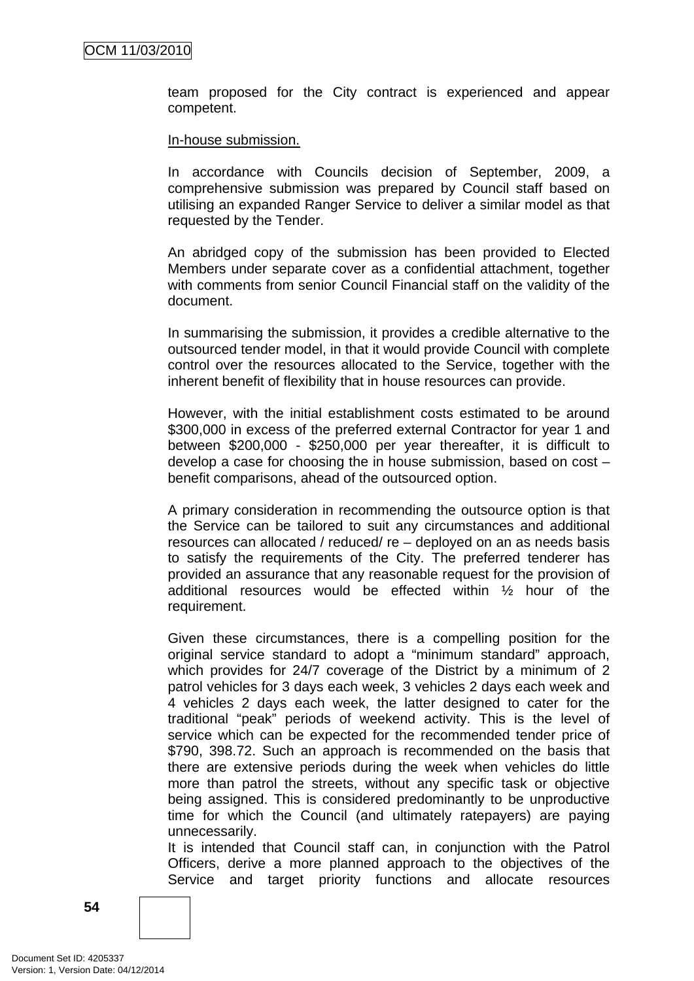team proposed for the City contract is experienced and appear competent.

#### In-house submission.

In accordance with Councils decision of September, 2009, a comprehensive submission was prepared by Council staff based on utilising an expanded Ranger Service to deliver a similar model as that requested by the Tender.

An abridged copy of the submission has been provided to Elected Members under separate cover as a confidential attachment, together with comments from senior Council Financial staff on the validity of the document.

In summarising the submission, it provides a credible alternative to the outsourced tender model, in that it would provide Council with complete control over the resources allocated to the Service, together with the inherent benefit of flexibility that in house resources can provide.

However, with the initial establishment costs estimated to be around \$300,000 in excess of the preferred external Contractor for year 1 and between \$200,000 - \$250,000 per year thereafter, it is difficult to develop a case for choosing the in house submission, based on cost – benefit comparisons, ahead of the outsourced option.

A primary consideration in recommending the outsource option is that the Service can be tailored to suit any circumstances and additional resources can allocated / reduced/ re – deployed on an as needs basis to satisfy the requirements of the City. The preferred tenderer has provided an assurance that any reasonable request for the provision of additional resources would be effected within ½ hour of the requirement.

Given these circumstances, there is a compelling position for the original service standard to adopt a "minimum standard" approach, which provides for 24/7 coverage of the District by a minimum of 2 patrol vehicles for 3 days each week, 3 vehicles 2 days each week and 4 vehicles 2 days each week, the latter designed to cater for the traditional "peak" periods of weekend activity. This is the level of service which can be expected for the recommended tender price of \$790, 398.72. Such an approach is recommended on the basis that there are extensive periods during the week when vehicles do little more than patrol the streets, without any specific task or objective being assigned. This is considered predominantly to be unproductive time for which the Council (and ultimately ratepayers) are paying unnecessarily.

It is intended that Council staff can, in conjunction with the Patrol Officers, derive a more planned approach to the objectives of the Service and target priority functions and allocate resources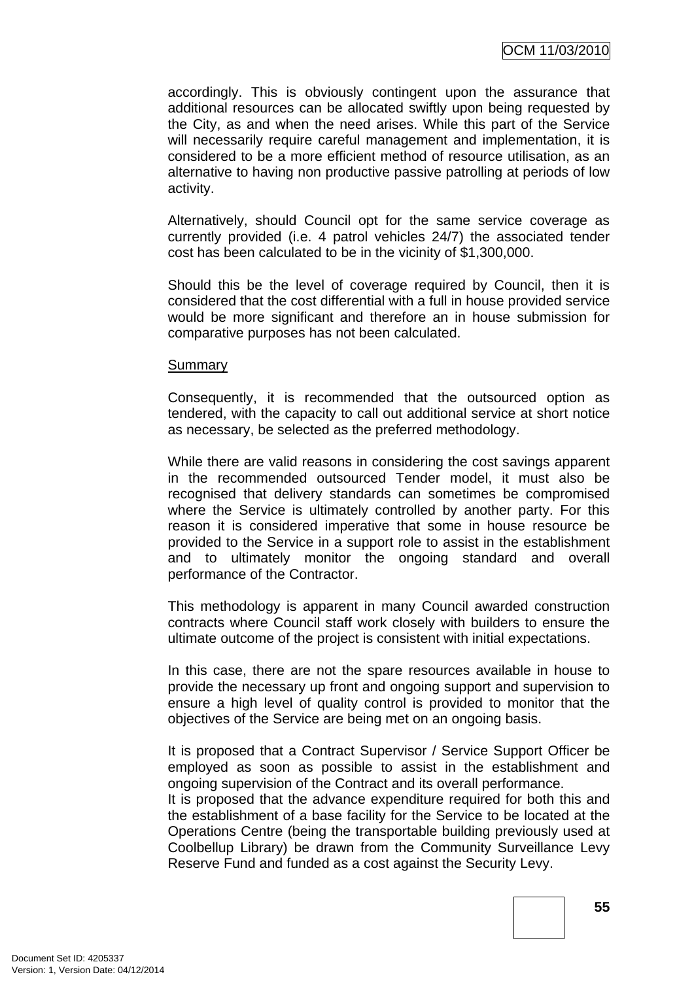accordingly. This is obviously contingent upon the assurance that additional resources can be allocated swiftly upon being requested by the City, as and when the need arises. While this part of the Service will necessarily require careful management and implementation, it is considered to be a more efficient method of resource utilisation, as an alternative to having non productive passive patrolling at periods of low activity.

Alternatively, should Council opt for the same service coverage as currently provided (i.e. 4 patrol vehicles 24/7) the associated tender cost has been calculated to be in the vicinity of \$1,300,000.

Should this be the level of coverage required by Council, then it is considered that the cost differential with a full in house provided service would be more significant and therefore an in house submission for comparative purposes has not been calculated.

#### Summary

Consequently, it is recommended that the outsourced option as tendered, with the capacity to call out additional service at short notice as necessary, be selected as the preferred methodology.

While there are valid reasons in considering the cost savings apparent in the recommended outsourced Tender model, it must also be recognised that delivery standards can sometimes be compromised where the Service is ultimately controlled by another party. For this reason it is considered imperative that some in house resource be provided to the Service in a support role to assist in the establishment and to ultimately monitor the ongoing standard and overall performance of the Contractor.

This methodology is apparent in many Council awarded construction contracts where Council staff work closely with builders to ensure the ultimate outcome of the project is consistent with initial expectations.

In this case, there are not the spare resources available in house to provide the necessary up front and ongoing support and supervision to ensure a high level of quality control is provided to monitor that the objectives of the Service are being met on an ongoing basis.

It is proposed that a Contract Supervisor / Service Support Officer be employed as soon as possible to assist in the establishment and ongoing supervision of the Contract and its overall performance.

It is proposed that the advance expenditure required for both this and the establishment of a base facility for the Service to be located at the Operations Centre (being the transportable building previously used at Coolbellup Library) be drawn from the Community Surveillance Levy Reserve Fund and funded as a cost against the Security Levy.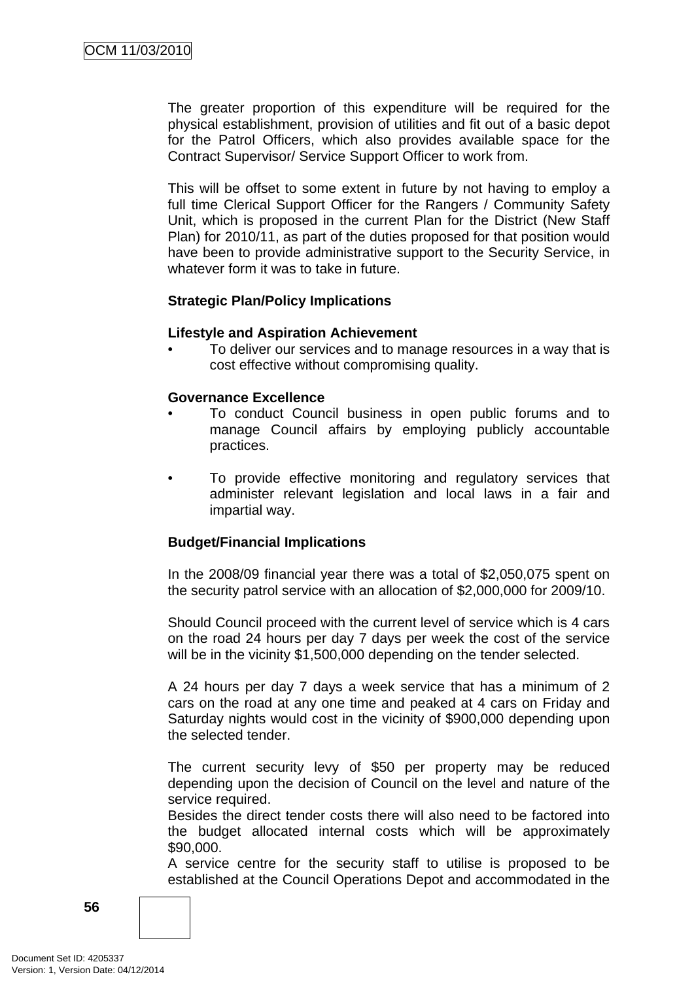The greater proportion of this expenditure will be required for the physical establishment, provision of utilities and fit out of a basic depot for the Patrol Officers, which also provides available space for the Contract Supervisor/ Service Support Officer to work from.

This will be offset to some extent in future by not having to employ a full time Clerical Support Officer for the Rangers / Community Safety Unit, which is proposed in the current Plan for the District (New Staff Plan) for 2010/11, as part of the duties proposed for that position would have been to provide administrative support to the Security Service, in whatever form it was to take in future.

# **Strategic Plan/Policy Implications**

### **Lifestyle and Aspiration Achievement**

• To deliver our services and to manage resources in a way that is cost effective without compromising quality.

### **Governance Excellence**

- To conduct Council business in open public forums and to manage Council affairs by employing publicly accountable practices.
- To provide effective monitoring and regulatory services that administer relevant legislation and local laws in a fair and impartial way.

### **Budget/Financial Implications**

In the 2008/09 financial year there was a total of \$2,050,075 spent on the security patrol service with an allocation of \$2,000,000 for 2009/10.

Should Council proceed with the current level of service which is 4 cars on the road 24 hours per day 7 days per week the cost of the service will be in the vicinity \$1,500,000 depending on the tender selected.

A 24 hours per day 7 days a week service that has a minimum of 2 cars on the road at any one time and peaked at 4 cars on Friday and Saturday nights would cost in the vicinity of \$900,000 depending upon the selected tender.

The current security levy of \$50 per property may be reduced depending upon the decision of Council on the level and nature of the service required.

Besides the direct tender costs there will also need to be factored into the budget allocated internal costs which will be approximately \$90,000.

A service centre for the security staff to utilise is proposed to be established at the Council Operations Depot and accommodated in the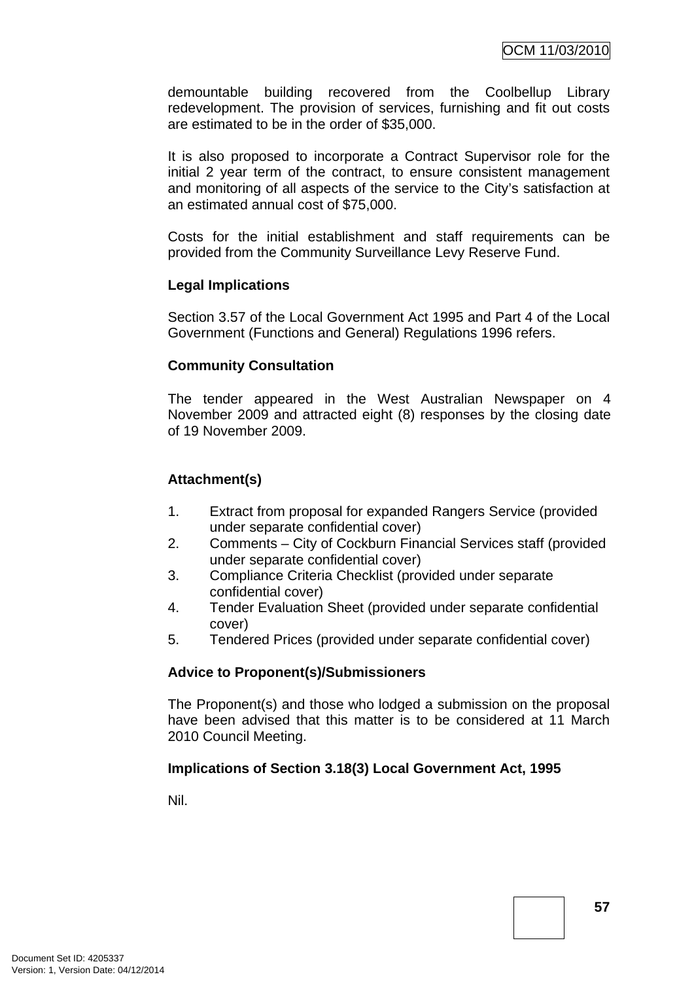demountable building recovered from the Coolbellup Library redevelopment. The provision of services, furnishing and fit out costs are estimated to be in the order of \$35,000.

It is also proposed to incorporate a Contract Supervisor role for the initial 2 year term of the contract, to ensure consistent management and monitoring of all aspects of the service to the City's satisfaction at an estimated annual cost of \$75,000.

Costs for the initial establishment and staff requirements can be provided from the Community Surveillance Levy Reserve Fund.

# **Legal Implications**

Section 3.57 of the Local Government Act 1995 and Part 4 of the Local Government (Functions and General) Regulations 1996 refers.

# **Community Consultation**

The tender appeared in the West Australian Newspaper on 4 November 2009 and attracted eight (8) responses by the closing date of 19 November 2009.

# **Attachment(s)**

- 1. Extract from proposal for expanded Rangers Service (provided under separate confidential cover)
- 2. Comments City of Cockburn Financial Services staff (provided under separate confidential cover)
- 3. Compliance Criteria Checklist (provided under separate confidential cover)
- 4. Tender Evaluation Sheet (provided under separate confidential cover)
- 5. Tendered Prices (provided under separate confidential cover)

### **Advice to Proponent(s)/Submissioners**

The Proponent(s) and those who lodged a submission on the proposal have been advised that this matter is to be considered at 11 March 2010 Council Meeting.

### **Implications of Section 3.18(3) Local Government Act, 1995**

Nil.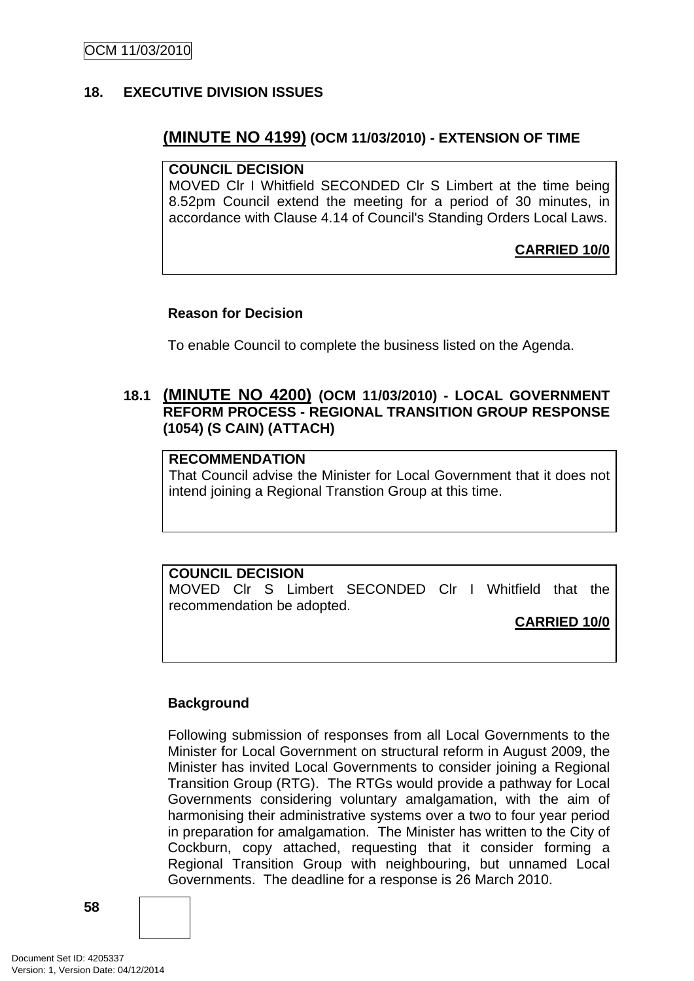# **18. EXECUTIVE DIVISION ISSUES**

# **(MINUTE NO 4199) (OCM 11/03/2010) - EXTENSION OF TIME**

#### **COUNCIL DECISION**

MOVED Clr I Whitfield SECONDED Clr S Limbert at the time being 8.52pm Council extend the meeting for a period of 30 minutes, in accordance with Clause 4.14 of Council's Standing Orders Local Laws.

# **CARRIED 10/0**

#### **Reason for Decision**

To enable Council to complete the business listed on the Agenda.

# **18.1 (MINUTE NO 4200) (OCM 11/03/2010) - LOCAL GOVERNMENT REFORM PROCESS - REGIONAL TRANSITION GROUP RESPONSE (1054) (S CAIN) (ATTACH)**

# **RECOMMENDATION**

That Council advise the Minister for Local Government that it does not intend joining a Regional Transtion Group at this time.

# **COUNCIL DECISION**

MOVED Clr S Limbert SECONDED Clr I Whitfield that the recommendation be adopted.

**CARRIED 10/0**

### **Background**

Following submission of responses from all Local Governments to the Minister for Local Government on structural reform in August 2009, the Minister has invited Local Governments to consider joining a Regional Transition Group (RTG). The RTGs would provide a pathway for Local Governments considering voluntary amalgamation, with the aim of harmonising their administrative systems over a two to four year period in preparation for amalgamation. The Minister has written to the City of Cockburn, copy attached, requesting that it consider forming a Regional Transition Group with neighbouring, but unnamed Local Governments. The deadline for a response is 26 March 2010.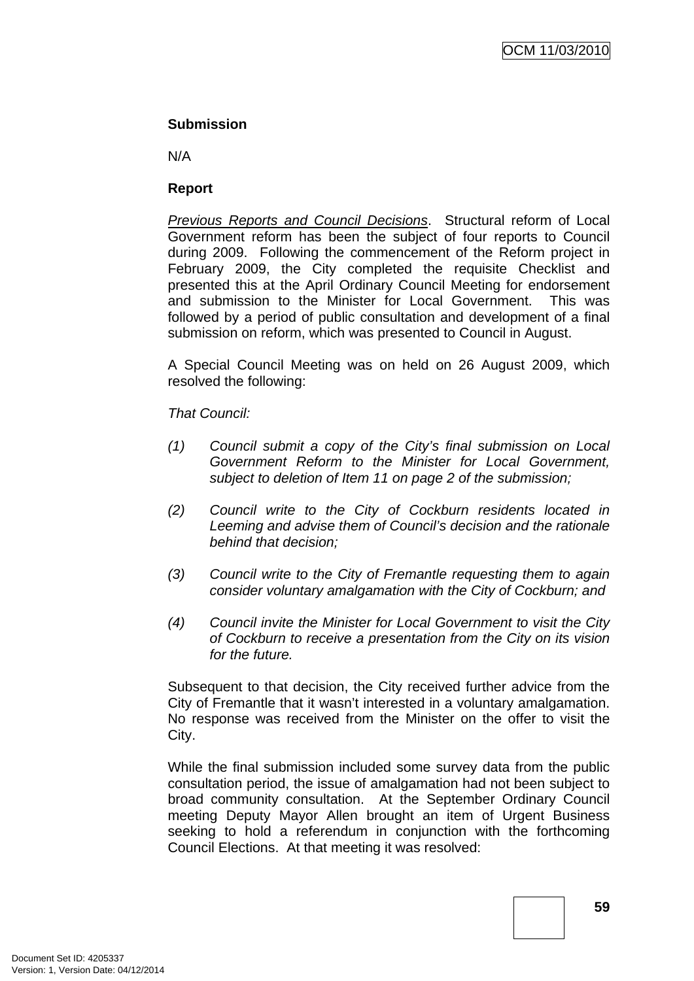# **Submission**

N/A

# **Report**

*Previous Reports and Council Decisions*. Structural reform of Local Government reform has been the subject of four reports to Council during 2009. Following the commencement of the Reform project in February 2009, the City completed the requisite Checklist and presented this at the April Ordinary Council Meeting for endorsement and submission to the Minister for Local Government. This was followed by a period of public consultation and development of a final submission on reform, which was presented to Council in August.

A Special Council Meeting was on held on 26 August 2009, which resolved the following:

*That Council:* 

- *(1) Council submit a copy of the City's final submission on Local Government Reform to the Minister for Local Government, subject to deletion of Item 11 on page 2 of the submission;*
- *(2) Council write to the City of Cockburn residents located in Leeming and advise them of Council's decision and the rationale behind that decision;*
- *(3) Council write to the City of Fremantle requesting them to again consider voluntary amalgamation with the City of Cockburn; and*
- *(4) Council invite the Minister for Local Government to visit the City of Cockburn to receive a presentation from the City on its vision for the future.*

Subsequent to that decision, the City received further advice from the City of Fremantle that it wasn't interested in a voluntary amalgamation. No response was received from the Minister on the offer to visit the City.

While the final submission included some survey data from the public consultation period, the issue of amalgamation had not been subject to broad community consultation. At the September Ordinary Council meeting Deputy Mayor Allen brought an item of Urgent Business seeking to hold a referendum in conjunction with the forthcoming Council Elections. At that meeting it was resolved: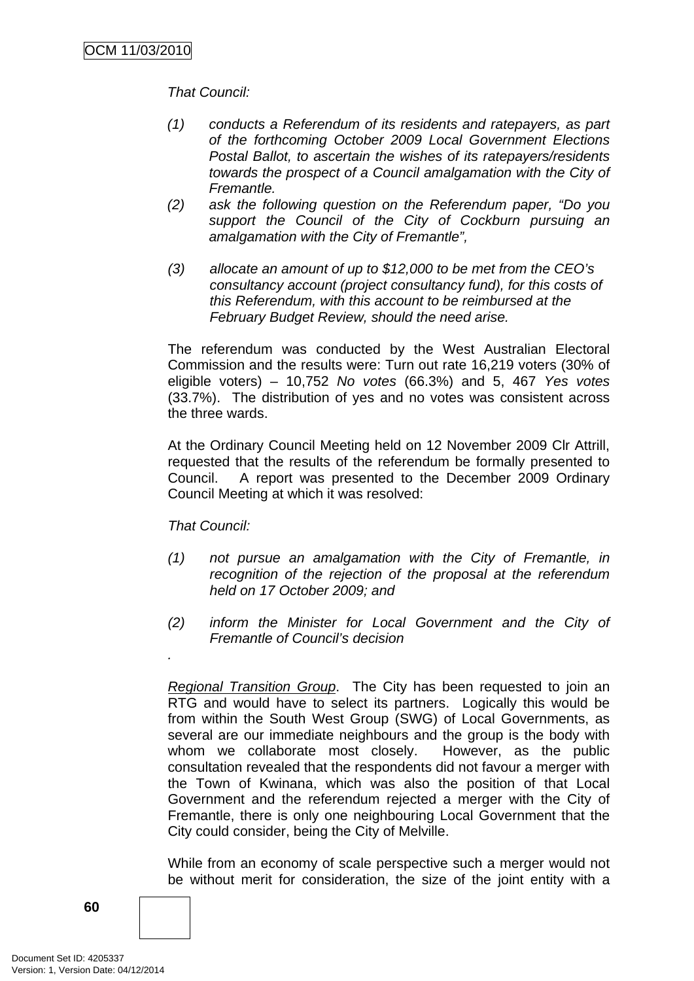*That Council:* 

- *(1) conducts a Referendum of its residents and ratepayers, as part of the forthcoming October 2009 Local Government Elections Postal Ballot, to ascertain the wishes of its ratepayers/residents towards the prospect of a Council amalgamation with the City of Fremantle.*
- *(2) ask the following question on the Referendum paper, "Do you support the Council of the City of Cockburn pursuing an amalgamation with the City of Fremantle",*
- *(3) allocate an amount of up to \$12,000 to be met from the CEO's consultancy account (project consultancy fund), for this costs of this Referendum, with this account to be reimbursed at the February Budget Review, should the need arise.*

The referendum was conducted by the West Australian Electoral Commission and the results were: Turn out rate 16,219 voters (30% of eligible voters) – 10,752 *No votes* (66.3%) and 5, 467 *Yes votes* (33.7%). The distribution of yes and no votes was consistent across the three wards.

At the Ordinary Council Meeting held on 12 November 2009 Clr Attrill, requested that the results of the referendum be formally presented to Council. A report was presented to the December 2009 Ordinary Council Meeting at which it was resolved:

*That Council:* 

*.* 

- *(1) not pursue an amalgamation with the City of Fremantle, in recognition of the rejection of the proposal at the referendum held on 17 October 2009; and*
- *(2) inform the Minister for Local Government and the City of Fremantle of Council's decision*

*Regional Transition Group*. The City has been requested to join an RTG and would have to select its partners. Logically this would be from within the South West Group (SWG) of Local Governments, as several are our immediate neighbours and the group is the body with whom we collaborate most closely. However, as the public consultation revealed that the respondents did not favour a merger with the Town of Kwinana, which was also the position of that Local Government and the referendum rejected a merger with the City of Fremantle, there is only one neighbouring Local Government that the City could consider, being the City of Melville.

While from an economy of scale perspective such a merger would not be without merit for consideration, the size of the joint entity with a

**60**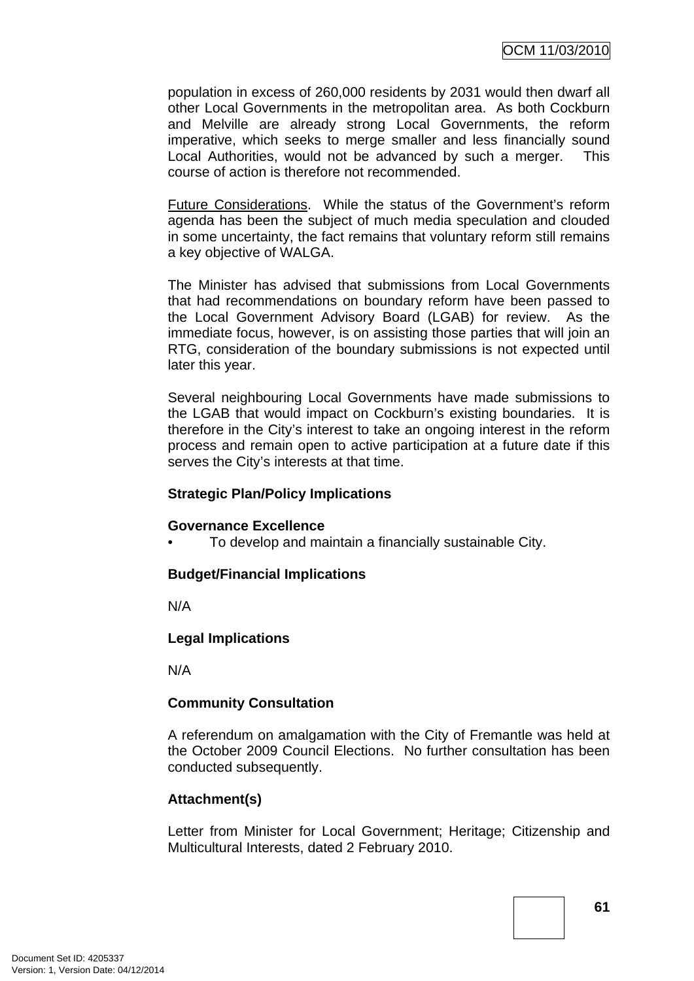population in excess of 260,000 residents by 2031 would then dwarf all other Local Governments in the metropolitan area. As both Cockburn and Melville are already strong Local Governments, the reform imperative, which seeks to merge smaller and less financially sound Local Authorities, would not be advanced by such a merger. This course of action is therefore not recommended.

Future Considerations. While the status of the Government's reform agenda has been the subject of much media speculation and clouded in some uncertainty, the fact remains that voluntary reform still remains a key objective of WALGA.

The Minister has advised that submissions from Local Governments that had recommendations on boundary reform have been passed to the Local Government Advisory Board (LGAB) for review. As the immediate focus, however, is on assisting those parties that will join an RTG, consideration of the boundary submissions is not expected until later this year.

Several neighbouring Local Governments have made submissions to the LGAB that would impact on Cockburn's existing boundaries. It is therefore in the City's interest to take an ongoing interest in the reform process and remain open to active participation at a future date if this serves the City's interests at that time.

### **Strategic Plan/Policy Implications**

### **Governance Excellence**

• To develop and maintain a financially sustainable City.

### **Budget/Financial Implications**

N/A

### **Legal Implications**

N/A

### **Community Consultation**

A referendum on amalgamation with the City of Fremantle was held at the October 2009 Council Elections. No further consultation has been conducted subsequently.

### **Attachment(s)**

Letter from Minister for Local Government; Heritage; Citizenship and Multicultural Interests, dated 2 February 2010.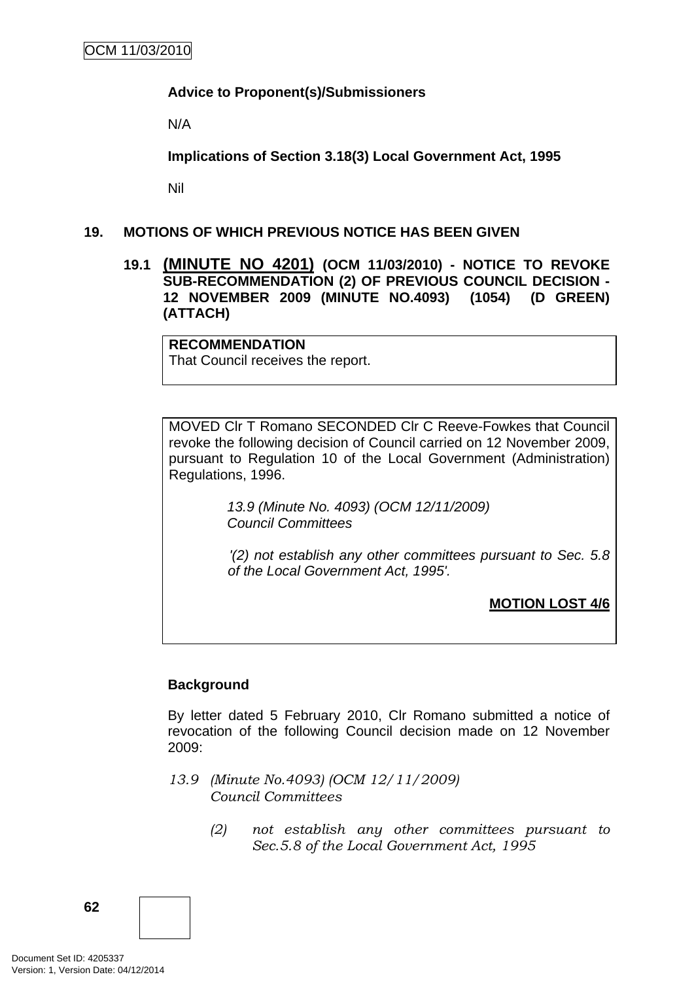# **Advice to Proponent(s)/Submissioners**

N/A

**Implications of Section 3.18(3) Local Government Act, 1995**

Nil

# **19. MOTIONS OF WHICH PREVIOUS NOTICE HAS BEEN GIVEN**

**19.1 (MINUTE NO 4201) (OCM 11/03/2010) - NOTICE TO REVOKE SUB-RECOMMENDATION (2) OF PREVIOUS COUNCIL DECISION - 12 NOVEMBER 2009 (MINUTE NO.4093) (1054) (D GREEN) (ATTACH)** 

# **RECOMMENDATION**

That Council receives the report.

MOVED Clr T Romano SECONDED Clr C Reeve-Fowkes that Council revoke the following decision of Council carried on 12 November 2009, pursuant to Regulation 10 of the Local Government (Administration) Regulations, 1996.

> *13.9 (Minute No. 4093) (OCM 12/11/2009) Council Committees*

*'(2) not establish any other committees pursuant to Sec. 5.8 of the Local Government Act, 1995'.* 

**MOTION LOST 4/6**

# **Background**

By letter dated 5 February 2010, Clr Romano submitted a notice of revocation of the following Council decision made on 12 November 2009:

- *13.9 (Minute No.4093) (OCM 12/11/2009) Council Committees* 
	- *(2) not establish any other committees pursuant to Sec.5.8 of the Local Government Act, 1995*

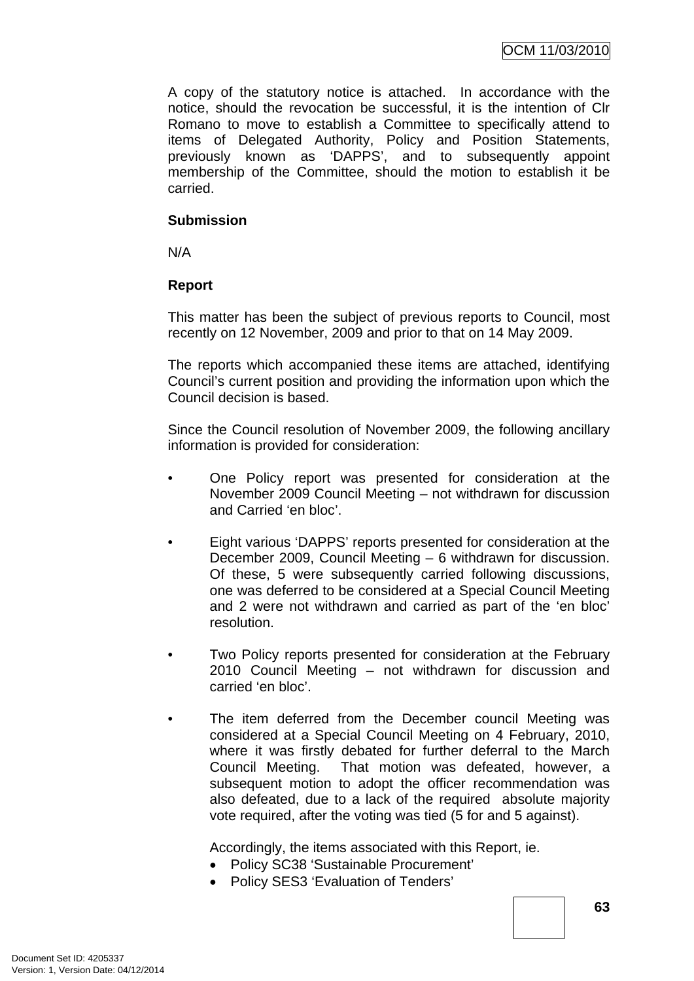A copy of the statutory notice is attached. In accordance with the notice, should the revocation be successful, it is the intention of Clr Romano to move to establish a Committee to specifically attend to items of Delegated Authority, Policy and Position Statements, previously known as 'DAPPS', and to subsequently appoint membership of the Committee, should the motion to establish it be carried.

# **Submission**

N/A

# **Report**

This matter has been the subject of previous reports to Council, most recently on 12 November, 2009 and prior to that on 14 May 2009.

The reports which accompanied these items are attached, identifying Council's current position and providing the information upon which the Council decision is based.

Since the Council resolution of November 2009, the following ancillary information is provided for consideration:

- One Policy report was presented for consideration at the November 2009 Council Meeting – not withdrawn for discussion and Carried 'en bloc'.
- Eight various 'DAPPS' reports presented for consideration at the December 2009, Council Meeting – 6 withdrawn for discussion. Of these, 5 were subsequently carried following discussions, one was deferred to be considered at a Special Council Meeting and 2 were not withdrawn and carried as part of the 'en bloc' resolution.
- Two Policy reports presented for consideration at the February 2010 Council Meeting – not withdrawn for discussion and carried 'en bloc'.
- The item deferred from the December council Meeting was considered at a Special Council Meeting on 4 February, 2010, where it was firstly debated for further deferral to the March Council Meeting. That motion was defeated, however, a subsequent motion to adopt the officer recommendation was also defeated, due to a lack of the required absolute majority vote required, after the voting was tied (5 for and 5 against).

Accordingly, the items associated with this Report, ie.

- Policy SC38 'Sustainable Procurement'
- Policy SES3 'Evaluation of Tenders'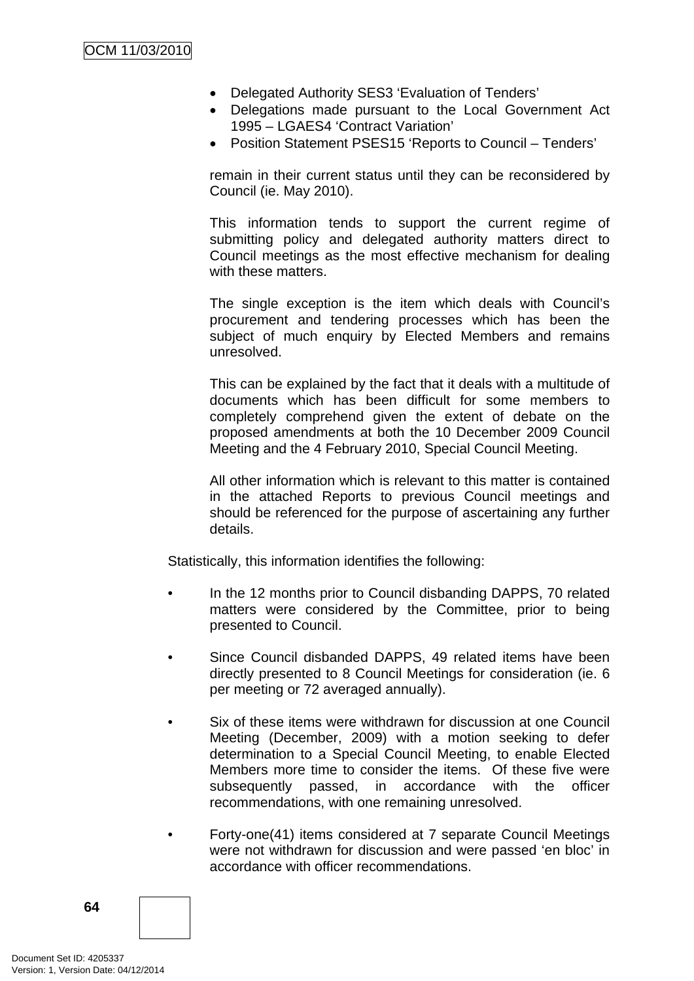- Delegated Authority SES3 'Evaluation of Tenders'
- Delegations made pursuant to the Local Government Act 1995 – LGAES4 'Contract Variation'
- Position Statement PSES15 'Reports to Council Tenders'

remain in their current status until they can be reconsidered by Council (ie. May 2010).

This information tends to support the current regime of submitting policy and delegated authority matters direct to Council meetings as the most effective mechanism for dealing with these matters.

The single exception is the item which deals with Council's procurement and tendering processes which has been the subject of much enquiry by Elected Members and remains unresolved.

This can be explained by the fact that it deals with a multitude of documents which has been difficult for some members to completely comprehend given the extent of debate on the proposed amendments at both the 10 December 2009 Council Meeting and the 4 February 2010, Special Council Meeting.

All other information which is relevant to this matter is contained in the attached Reports to previous Council meetings and should be referenced for the purpose of ascertaining any further details.

Statistically, this information identifies the following:

- In the 12 months prior to Council disbanding DAPPS, 70 related matters were considered by the Committee, prior to being presented to Council.
- Since Council disbanded DAPPS, 49 related items have been directly presented to 8 Council Meetings for consideration (ie. 6 per meeting or 72 averaged annually).
- Six of these items were withdrawn for discussion at one Council Meeting (December, 2009) with a motion seeking to defer determination to a Special Council Meeting, to enable Elected Members more time to consider the items. Of these five were subsequently passed, in accordance with the officer recommendations, with one remaining unresolved.
- Forty-one(41) items considered at 7 separate Council Meetings were not withdrawn for discussion and were passed 'en bloc' in accordance with officer recommendations.

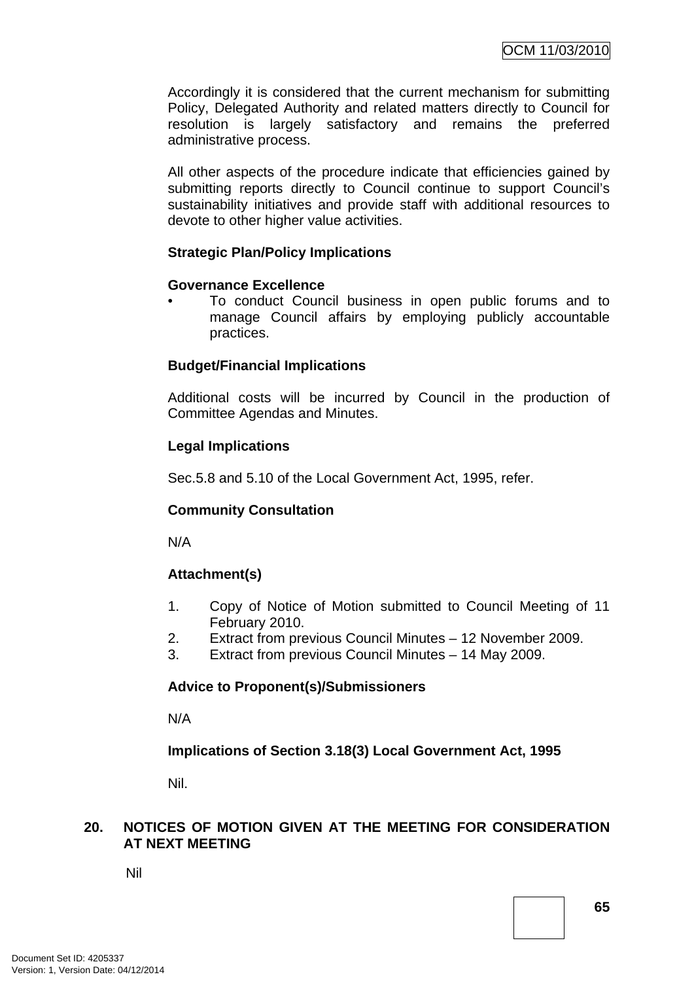Accordingly it is considered that the current mechanism for submitting Policy, Delegated Authority and related matters directly to Council for resolution is largely satisfactory and remains the preferred administrative process.

All other aspects of the procedure indicate that efficiencies gained by submitting reports directly to Council continue to support Council's sustainability initiatives and provide staff with additional resources to devote to other higher value activities.

# **Strategic Plan/Policy Implications**

### **Governance Excellence**

• To conduct Council business in open public forums and to manage Council affairs by employing publicly accountable practices.

# **Budget/Financial Implications**

Additional costs will be incurred by Council in the production of Committee Agendas and Minutes.

# **Legal Implications**

Sec.5.8 and 5.10 of the Local Government Act, 1995, refer.

# **Community Consultation**

N/A

# **Attachment(s)**

- 1. Copy of Notice of Motion submitted to Council Meeting of 11 February 2010.
- 2. Extract from previous Council Minutes 12 November 2009.
- 3. Extract from previous Council Minutes 14 May 2009.

# **Advice to Proponent(s)/Submissioners**

N/A

# **Implications of Section 3.18(3) Local Government Act, 1995**

Nil.

# **20. NOTICES OF MOTION GIVEN AT THE MEETING FOR CONSIDERATION AT NEXT MEETING**

Nil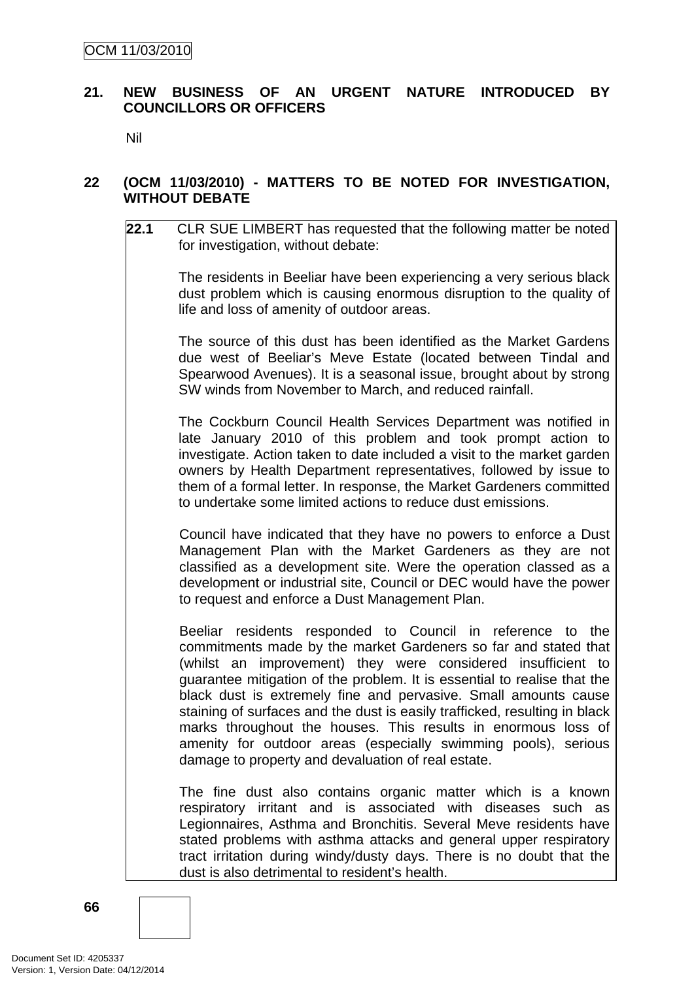# **21. NEW BUSINESS OF AN URGENT NATURE INTRODUCED BY COUNCILLORS OR OFFICERS**

Nil

# **22 (OCM 11/03/2010) - MATTERS TO BE NOTED FOR INVESTIGATION, WITHOUT DEBATE**

**22.1** CLR SUE LIMBERT has requested that the following matter be noted for investigation, without debate:

> The residents in Beeliar have been experiencing a very serious black dust problem which is causing enormous disruption to the quality of life and loss of amenity of outdoor areas.

> The source of this dust has been identified as the Market Gardens due west of Beeliar's Meve Estate (located between Tindal and Spearwood Avenues). It is a seasonal issue, brought about by strong SW winds from November to March, and reduced rainfall.

> The Cockburn Council Health Services Department was notified in late January 2010 of this problem and took prompt action to investigate. Action taken to date included a visit to the market garden owners by Health Department representatives, followed by issue to them of a formal letter. In response, the Market Gardeners committed to undertake some limited actions to reduce dust emissions.

> Council have indicated that they have no powers to enforce a Dust Management Plan with the Market Gardeners as they are not classified as a development site. Were the operation classed as a development or industrial site, Council or DEC would have the power to request and enforce a Dust Management Plan.

> Beeliar residents responded to Council in reference to the commitments made by the market Gardeners so far and stated that (whilst an improvement) they were considered insufficient to guarantee mitigation of the problem. It is essential to realise that the black dust is extremely fine and pervasive. Small amounts cause staining of surfaces and the dust is easily trafficked, resulting in black marks throughout the houses. This results in enormous loss of amenity for outdoor areas (especially swimming pools), serious damage to property and devaluation of real estate.

> The fine dust also contains organic matter which is a known respiratory irritant and is associated with diseases such as Legionnaires, Asthma and Bronchitis. Several Meve residents have stated problems with asthma attacks and general upper respiratory tract irritation during windy/dusty days. There is no doubt that the dust is also detrimental to resident's health.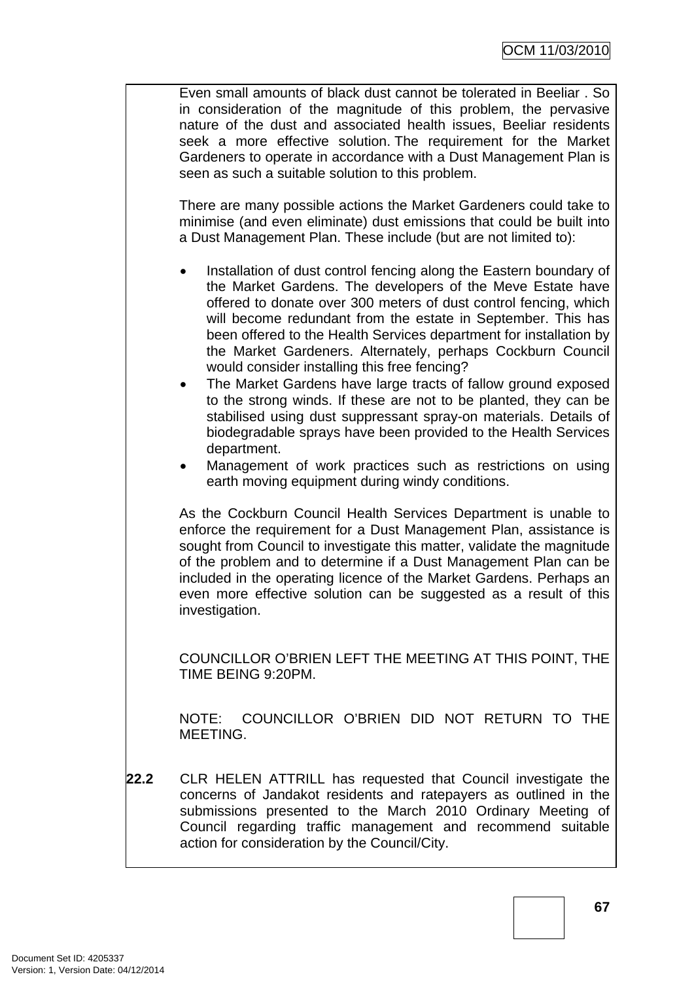Even small amounts of black dust cannot be tolerated in Beeliar . So in consideration of the magnitude of this problem, the pervasive nature of the dust and associated health issues, Beeliar residents seek a more effective solution. The requirement for the Market Gardeners to operate in accordance with a Dust Management Plan is seen as such a suitable solution to this problem.

There are many possible actions the Market Gardeners could take to minimise (and even eliminate) dust emissions that could be built into a Dust Management Plan. These include (but are not limited to):

- Installation of dust control fencing along the Eastern boundary of the Market Gardens. The developers of the Meve Estate have offered to donate over 300 meters of dust control fencing, which will become redundant from the estate in September. This has been offered to the Health Services department for installation by the Market Gardeners. Alternately, perhaps Cockburn Council would consider installing this free fencing?
- The Market Gardens have large tracts of fallow ground exposed to the strong winds. If these are not to be planted, they can be stabilised using dust suppressant spray-on materials. Details of biodegradable sprays have been provided to the Health Services department.
- Management of work practices such as restrictions on using earth moving equipment during windy conditions.

As the Cockburn Council Health Services Department is unable to enforce the requirement for a Dust Management Plan, assistance is sought from Council to investigate this matter, validate the magnitude of the problem and to determine if a Dust Management Plan can be included in the operating licence of the Market Gardens. Perhaps an even more effective solution can be suggested as a result of this investigation.

COUNCILLOR O'BRIEN LEFT THE MEETING AT THIS POINT, THE TIME BEING 9:20PM.

NOTE: COUNCILLOR O'BRIEN DID NOT RETURN TO THE MEETING.

**22.2** CLR HELEN ATTRILL has requested that Council investigate the concerns of Jandakot residents and ratepayers as outlined in the submissions presented to the March 2010 Ordinary Meeting of Council regarding traffic management and recommend suitable action for consideration by the Council/City.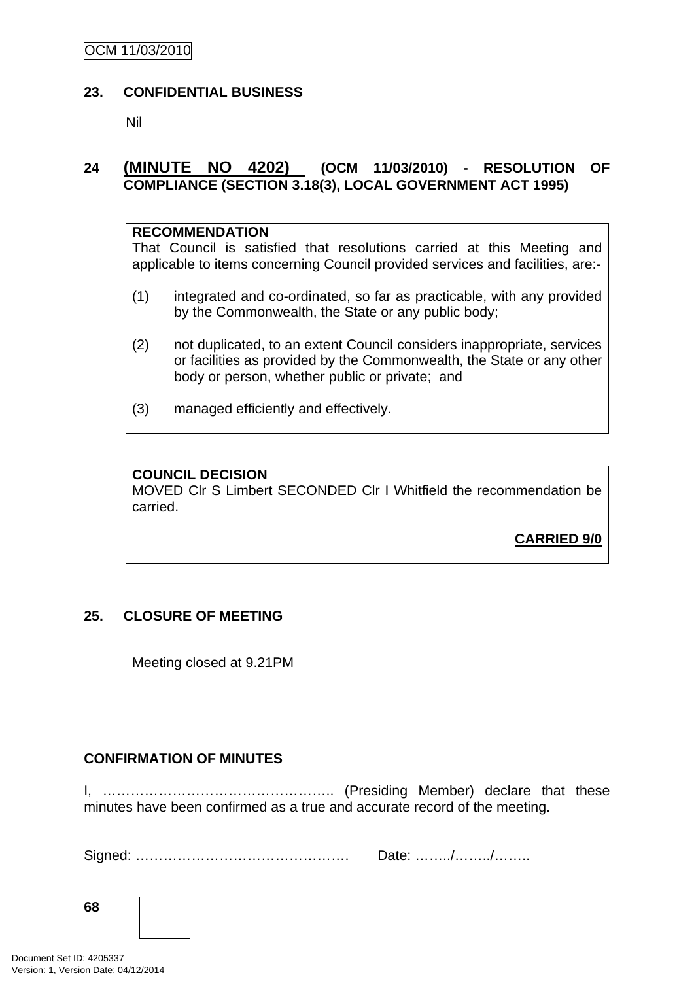# OCM 11/03/2010

### **23. CONFIDENTIAL BUSINESS**

Nil

# **24 (MINUTE NO 4202) (OCM 11/03/2010) - RESOLUTION OF COMPLIANCE (SECTION 3.18(3), LOCAL GOVERNMENT ACT 1995)**

### **RECOMMENDATION**

That Council is satisfied that resolutions carried at this Meeting and applicable to items concerning Council provided services and facilities, are:-

- (1) integrated and co-ordinated, so far as practicable, with any provided by the Commonwealth, the State or any public body;
- (2) not duplicated, to an extent Council considers inappropriate, services or facilities as provided by the Commonwealth, the State or any other body or person, whether public or private; and
- (3) managed efficiently and effectively.

#### **COUNCIL DECISION**

MOVED Clr S Limbert SECONDED Clr I Whitfield the recommendation be carried.

**CARRIED 9/0**

### **25. CLOSURE OF MEETING**

Meeting closed at 9.21PM

### **CONFIRMATION OF MINUTES**

I, ………………………………………….. (Presiding Member) declare that these minutes have been confirmed as a true and accurate record of the meeting.

Signed: ………………………………………. Date: ……../……../……..

| 68 |  |
|----|--|
|    |  |